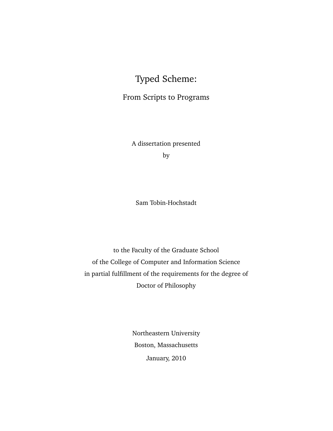# Typed Scheme:

# From Scripts to Programs

A dissertation presented by

Sam Tobin-Hochstadt

to the Faculty of the Graduate School of the College of Computer and Information Science in partial fulfillment of the requirements for the degree of Doctor of Philosophy

> Northeastern University Boston, Massachusetts January, 2010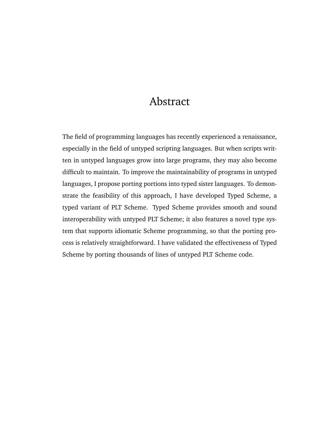# Abstract

<span id="page-2-0"></span>The field of programming languages has recently experienced a renaissance, especially in the field of untyped scripting languages. But when scripts written in untyped languages grow into large programs, they may also become difficult to maintain. To improve the maintainability of programs in untyped languages, I propose porting portions into typed sister languages. To demonstrate the feasibility of this approach, I have developed Typed Scheme, a typed variant of PLT Scheme. Typed Scheme provides smooth and sound interoperability with untyped PLT Scheme; it also features a novel type system that supports idiomatic Scheme programming, so that the porting process is relatively straightforward. I have validated the effectiveness of Typed Scheme by porting thousands of lines of untyped PLT Scheme code.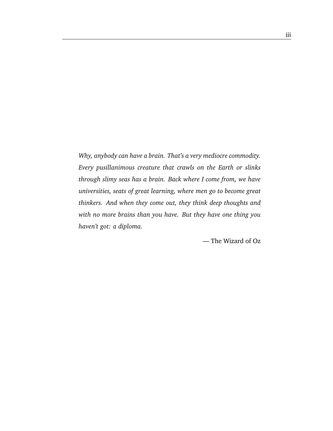*Why, anybody can have a brain. That's a very mediocre commodity. Every pusillanimous creature that crawls on the Earth or slinks through slimy seas has a brain. Back where I come from, we have universities, seats of great learning, where men go to become great thinkers. And when they come out, they think deep thoughts and with no more brains than you have. But they have one thing you haven't got: a diploma.*

— The Wizard of Oz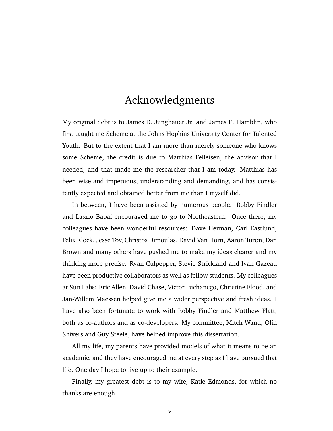# Acknowledgments

<span id="page-6-0"></span>My original debt is to James D. Jungbauer Jr. and James E. Hamblin, who first taught me Scheme at the Johns Hopkins University Center for Talented Youth. But to the extent that I am more than merely someone who knows some Scheme, the credit is due to Matthias Felleisen, the advisor that I needed, and that made me the researcher that I am today. Matthias has been wise and impetuous, understanding and demanding, and has consistently expected and obtained better from me than I myself did.

In between, I have been assisted by numerous people. Robby Findler and Laszlo Babai encouraged me to go to Northeastern. Once there, my colleagues have been wonderful resources: Dave Herman, Carl Eastlund, Felix Klock, Jesse Tov, Christos Dimoulas, David Van Horn, Aaron Turon, Dan Brown and many others have pushed me to make my ideas clearer and my thinking more precise. Ryan Culpepper, Stevie Strickland and Ivan Gazeau have been productive collaborators as well as fellow students. My colleagues at Sun Labs: Eric Allen, David Chase, Victor Luchancgo, Christine Flood, and Jan-Willem Maessen helped give me a wider perspective and fresh ideas. I have also been fortunate to work with Robby Findler and Matthew Flatt, both as co-authors and as co-developers. My committee, Mitch Wand, Olin Shivers and Guy Steele, have helped improve this dissertation.

All my life, my parents have provided models of what it means to be an academic, and they have encouraged me at every step as I have pursued that life. One day I hope to live up to their example.

Finally, my greatest debt is to my wife, Katie Edmonds, for which no thanks are enough.

v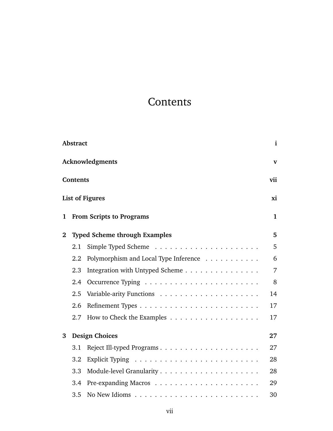# **Contents**

<span id="page-8-0"></span>

|                | Abstract        |                                       | $\mathbf i$    |
|----------------|-----------------|---------------------------------------|----------------|
|                |                 | Acknowledgments                       | $\mathbf{V}$   |
|                | <b>Contents</b> |                                       | vii            |
|                |                 | <b>List of Figures</b>                | xi             |
| 1              |                 | <b>From Scripts to Programs</b>       | $\mathbf 1$    |
| $\overline{2}$ |                 | <b>Typed Scheme through Examples</b>  | 5              |
|                | 2.1             |                                       | 5              |
|                | 2.2             | Polymorphism and Local Type Inference | 6              |
|                | 2.3             | Integration with Untyped Scheme       | $\overline{7}$ |
|                | 2.4             |                                       | 8              |
|                | 2.5             |                                       | 14             |
|                | 2.6             |                                       | 17             |
|                | 2.7             |                                       | 17             |
| 3              |                 | <b>Design Choices</b>                 | 27             |
|                | 3.1             |                                       | 27             |
|                | 3.2             |                                       | 28             |
|                | 3.3             |                                       | 28             |
|                | 3.4             |                                       | 29             |
|                | 3.5             |                                       | 30             |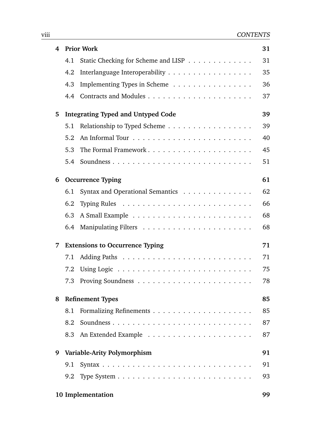| 4 |     | <b>Prior Work</b>                         | 31 |
|---|-----|-------------------------------------------|----|
|   | 4.1 | Static Checking for Scheme and LISP       | 31 |
|   | 4.2 | Interlanguage Interoperability            | 35 |
|   | 4.3 | Implementing Types in Scheme              | 36 |
|   | 4.4 |                                           | 37 |
| 5 |     | <b>Integrating Typed and Untyped Code</b> | 39 |
|   | 5.1 | Relationship to Typed Scheme              | 39 |
|   | 5.2 |                                           | 40 |
|   | 5.3 |                                           | 45 |
|   | 5.4 |                                           | 51 |
| 6 |     | <b>Occurrence Typing</b>                  | 61 |
|   | 6.1 | Syntax and Operational Semantics          | 62 |
|   | 6.2 |                                           | 66 |
|   | 6.3 |                                           | 68 |
|   | 6.4 |                                           | 68 |
| 7 |     | <b>Extensions to Occurrence Typing</b>    | 71 |
|   | 7.1 |                                           | 71 |
|   | 7.2 |                                           | 75 |
|   | 7.3 |                                           | 78 |
| 8 |     | <b>Refinement Types</b>                   | 85 |
|   | 8.1 |                                           | 85 |
|   | 8.2 |                                           | 87 |
|   | 8.3 |                                           | 87 |
| 9 |     | Variable-Arity Polymorphism               | 91 |
|   | 9.1 |                                           | 91 |
|   |     |                                           | 93 |
|   |     | 10 Implementation                         | 99 |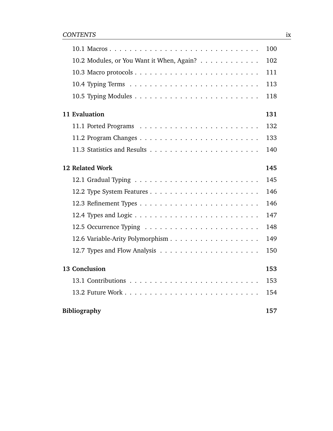|                                           | 100 |
|-------------------------------------------|-----|
| 10.2 Modules, or You Want it When, Again? | 102 |
|                                           | 111 |
|                                           | 113 |
|                                           | 118 |
| 11 Evaluation                             | 131 |
|                                           | 132 |
|                                           | 133 |
|                                           | 140 |
| 12 Related Work                           | 145 |
|                                           | 145 |
|                                           | 146 |
|                                           | 146 |
|                                           | 147 |
|                                           | 148 |
|                                           | 149 |
|                                           | 150 |
| 13 Conclusion                             | 153 |
|                                           | 153 |
|                                           | 154 |
| <b>Bibliography</b>                       | 157 |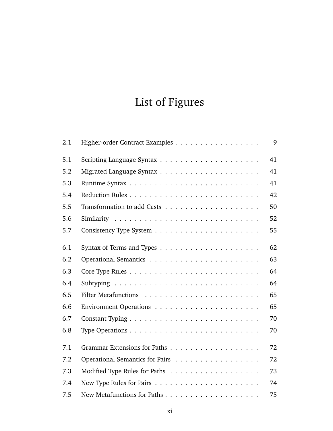# List of Figures

<span id="page-12-0"></span>

| 2.1 | Higher-order Contract Examples  | 9  |
|-----|---------------------------------|----|
| 5.1 |                                 | 41 |
| 5.2 |                                 | 41 |
| 5.3 |                                 | 41 |
| 5.4 |                                 | 42 |
| 5.5 |                                 | 50 |
| 5.6 |                                 | 52 |
| 5.7 |                                 | 55 |
| 6.1 |                                 | 62 |
| 6.2 |                                 | 63 |
| 6.3 |                                 | 64 |
| 6.4 |                                 | 64 |
| 6.5 |                                 | 65 |
| 6.6 |                                 | 65 |
| 6.7 |                                 | 70 |
| 6.8 |                                 | 70 |
| 7.1 |                                 | 72 |
| 7.2 | Operational Semantics for Pairs | 72 |
| 7.3 |                                 | 73 |
| 7.4 |                                 | 74 |
| 7.5 |                                 | 75 |
|     |                                 |    |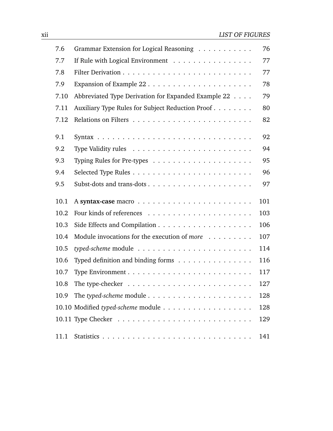| 7.6  | Grammar Extension for Logical Reasoning                                        | 76  |
|------|--------------------------------------------------------------------------------|-----|
| 7.7  | If Rule with Logical Environment                                               | 77  |
| 7.8  |                                                                                | 77  |
| 7.9  |                                                                                | 78  |
| 7.10 | Abbreviated Type Derivation for Expanded Example 22                            | 79  |
| 7.11 | Auxiliary Type Rules for Subject Reduction Proof                               | 80  |
| 7.12 |                                                                                | 82  |
| 9.1  |                                                                                | 92  |
| 9.2  |                                                                                | 94  |
| 9.3  |                                                                                | 95  |
| 9.4  |                                                                                | 96  |
| 9.5  |                                                                                | 97  |
| 10.1 |                                                                                | 101 |
| 10.2 |                                                                                | 103 |
| 10.3 |                                                                                | 106 |
| 10.4 | Module invocations for the execution of more                                   | 107 |
| 10.5 |                                                                                | 114 |
| 10.6 | Typed definition and binding forms                                             | 116 |
| 10.7 |                                                                                | 117 |
| 10.8 | The type-checker $\dots \dots \dots \dots \dots \dots \dots \dots \dots \dots$ | 127 |
| 10.9 |                                                                                | 128 |
|      |                                                                                | 128 |
|      |                                                                                | 129 |
| 11.1 |                                                                                | 141 |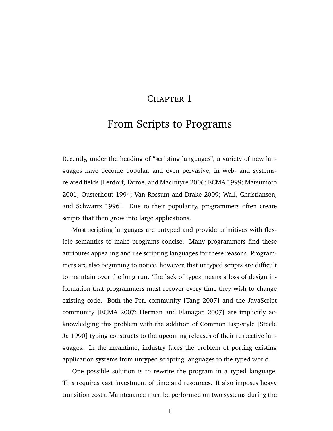## CHAPTER 1

# <span id="page-14-0"></span>From Scripts to Programs

Recently, under the heading of "scripting languages", a variety of new languages have become popular, and even pervasive, in web- and systemsrelated fields [\[Lerdorf, Tatroe, and MacIntyre](#page-176-0) [2006;](#page-176-0) [ECMA](#page-172-0) [1999;](#page-172-0) [Matsumoto](#page-176-1) [2001;](#page-176-1) [Ousterhout](#page-177-0) [1994;](#page-177-0) [Van Rossum and Drake](#page-180-0) [2009;](#page-180-0) [Wall, Christiansen,](#page-180-1) [and Schwartz](#page-180-1) [1996\]](#page-180-1). Due to their popularity, programmers often create scripts that then grow into large applications.

Most scripting languages are untyped and provide primitives with flexible semantics to make programs concise. Many programmers find these attributes appealing and use scripting languages for these reasons. Programmers are also beginning to notice, however, that untyped scripts are difficult to maintain over the long run. The lack of types means a loss of design information that programmers must recover every time they wish to change existing code. Both the Perl community [\[Tang](#page-179-0) [2007\]](#page-179-0) and the JavaScript community [\[ECMA](#page-172-1) [2007;](#page-172-1) [Herman and Flanagan](#page-175-0) [2007\]](#page-175-0) are implicitly acknowledging this problem with the addition of Common Lisp-style [\[Steele](#page-178-0) [Jr.](#page-178-0) [1990\]](#page-178-0) typing constructs to the upcoming releases of their respective languages. In the meantime, industry faces the problem of porting existing application systems from untyped scripting languages to the typed world.

One possible solution is to rewrite the program in a typed language. This requires vast investment of time and resources. It also imposes heavy transition costs. Maintenance must be performed on two systems during the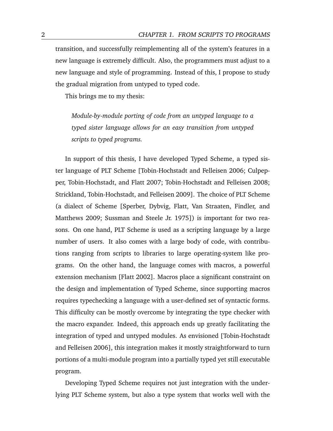transition, and successfully reimplementing all of the system's features in a new language is extremely difficult. Also, the programmers must adjust to a new language and style of programming. Instead of this, I propose to study the gradual migration from untyped to typed code.

This brings me to my thesis:

*Module-by-module porting of code from an untyped language to a typed sister language allows for an easy transition from untyped scripts to typed programs.*

In support of this thesis, I have developed Typed Scheme, a typed sister language of PLT Scheme [\[Tobin-Hochstadt and Felleisen](#page-179-1) [2006;](#page-179-1) [Culpep](#page-172-2)[per, Tobin-Hochstadt, and Flatt](#page-172-2) [2007;](#page-172-2) [Tobin-Hochstadt and Felleisen](#page-179-2) [2008;](#page-179-2) [Strickland, Tobin-Hochstadt, and Felleisen](#page-179-3) [2009\]](#page-179-3). The choice of PLT Scheme (a dialect of Scheme [\[Sperber, Dybvig, Flatt, Van Straaten, Findler, and](#page-178-1) [Matthews](#page-178-1) [2009;](#page-178-1) [Sussman and Steele Jr.](#page-179-4) [1975\]](#page-179-4)) is important for two reasons. On one hand, PLT Scheme is used as a scripting language by a large number of users. It also comes with a large body of code, with contributions ranging from scripts to libraries to large operating-system like programs. On the other hand, the language comes with macros, a powerful extension mechanism [\[Flatt](#page-173-0) [2002\]](#page-173-0). Macros place a significant constraint on the design and implementation of Typed Scheme, since supporting macros requires typechecking a language with a user-defined set of syntactic forms. This difficulty can be mostly overcome by integrating the type checker with the macro expander. Indeed, this approach ends up greatly facilitating the integration of typed and untyped modules. As envisioned [\[Tobin-Hochstadt](#page-179-1) [and Felleisen](#page-179-1) [2006\]](#page-179-1), this integration makes it mostly straightforward to turn portions of a multi-module program into a partially typed yet still executable program.

Developing Typed Scheme requires not just integration with the underlying PLT Scheme system, but also a type system that works well with the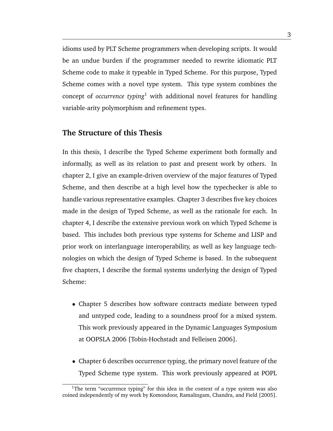idioms used by PLT Scheme programmers when developing scripts. It would be an undue burden if the programmer needed to rewrite idiomatic PLT Scheme code to make it typeable in Typed Scheme. For this purpose, Typed Scheme comes with a novel type system. This type system combines the concept of *occurrence typing*<sup>1</sup> with additional novel features for handling variable-arity polymorphism and refinement types.

#### **The Structure of this Thesis**

In this thesis, I describe the Typed Scheme experiment both formally and informally, as well as its relation to past and present work by others. In chapter [2,](#page-18-0) I give an example-driven overview of the major features of Typed Scheme, and then describe at a high level how the typechecker is able to handle various representative examples. Chapter [3](#page-40-0) describes five key choices made in the design of Typed Scheme, as well as the rationale for each. In chapter [4,](#page-44-0) I describe the extensive previous work on which Typed Scheme is based. This includes both previous type systems for Scheme and LISP and prior work on interlanguage interoperability, as well as key language technologies on which the design of Typed Scheme is based. In the subsequent five chapters, I describe the formal systems underlying the design of Typed Scheme:

- Chapter [5](#page-52-0) describes how software contracts mediate between typed and untyped code, leading to a soundness proof for a mixed system. This work previously appeared in the Dynamic Languages Symposium at OOPSLA 2006 [\[Tobin-Hochstadt and Felleisen](#page-179-1) [2006\]](#page-179-1).
- Chapter [6](#page-74-0) describes occurrence typing, the primary novel feature of the Typed Scheme type system. This work previously appeared at POPL

<sup>&</sup>lt;sup>1</sup>The term "occurrence typing" for this idea in the context of a type system was also coined independently of my work by [Komondoor, Ramalingam, Chandra, and Field](#page-176-2) [\[2005\]](#page-176-2).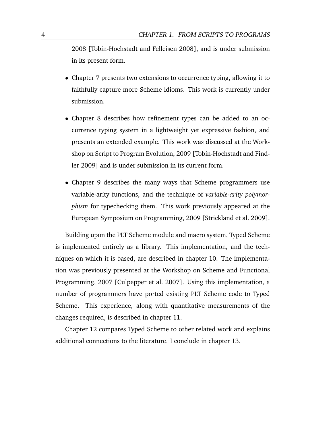2008 [\[Tobin-Hochstadt and Felleisen](#page-179-2) [2008\]](#page-179-2), and is under submission in its present form.

- Chapter [7](#page-84-0) presents two extensions to occurrence typing, allowing it to faithfully capture more Scheme idioms. This work is currently under submission.
- Chapter [8](#page-98-0) describes how refinement types can be added to an occurrence typing system in a lightweight yet expressive fashion, and presents an extended example. This work was discussed at the Workshop on Script to Program Evolution, 2009 [\[Tobin-Hochstadt and Find](#page-179-5)[ler](#page-179-5) [2009\]](#page-179-5) and is under submission in its current form.
- Chapter [9](#page-104-0) describes the many ways that Scheme programmers use variable-arity functions, and the technique of *variable-arity polymorphism* for typechecking them. This work previously appeared at the European Symposium on Programming, 2009 [\[Strickland et al.](#page-179-3) [2009\]](#page-179-3).

Building upon the PLT Scheme module and macro system, Typed Scheme is implemented entirely as a library. This implementation, and the techniques on which it is based, are described in chapter [10.](#page-112-0) The implementation was previously presented at the Workshop on Scheme and Functional Programming, 2007 [\[Culpepper et al.](#page-172-2) [2007\]](#page-172-2). Using this implementation, a number of programmers have ported existing PLT Scheme code to Typed Scheme. This experience, along with quantitative measurements of the changes required, is described in chapter [11.](#page-144-0)

Chapter [12](#page-158-0) compares Typed Scheme to other related work and explains additional connections to the literature. I conclude in chapter [13.](#page-166-0)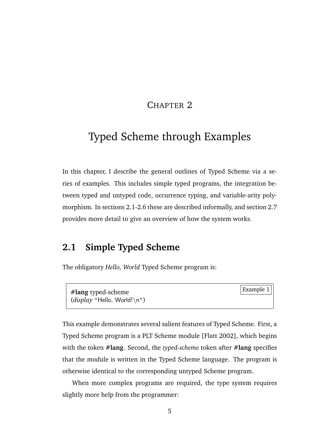## CHAPTER 2

# <span id="page-18-0"></span>Typed Scheme through Examples

In this chapter, I describe the general outlines of Typed Scheme via a series of examples. This includes simple typed programs, the integration between typed and untyped code, occurrence typing, and variable-arity polymorphism. In sections [2.1-](#page-18-1)[2.6](#page-30-0) these are described informally, and section [2.7](#page-30-1) provides more detail to give an overview of how the system works.

# <span id="page-18-1"></span>**2.1 Simple Typed Scheme**

<span id="page-18-2"></span>The obligatory *Hello, World* Typed Scheme program is:

Example 1 **#lang** typed-scheme (*display* "Hello, World!\n")

This example demonstrates several salient features of Typed Scheme. First, a Typed Scheme program is a PLT Scheme module [\[Flatt](#page-173-0) [2002\]](#page-173-0), which begins with the token **#lang**. Second, the *typed-scheme* token after **#lang** specifies that the module is written in the Typed Scheme language. The program is otherwise identical to the corresponding untyped Scheme program.

<span id="page-18-3"></span>When more complex programs are required, the type system requires slightly more help from the programmer: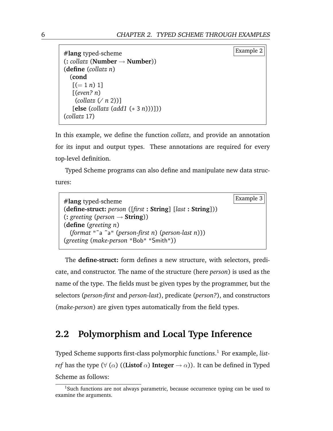```
Example 2 #lang typed-scheme
(: collatz (Number → Number))
(define (collatz n)
 (cond
  [ (= 1 n) 1][(even? n)
   (collatz (/ n 2))]
  [else (collatz (add1 (∗ 3 n)))]))
(collatz 17)
```
In this example, we define the function *collatz*, and provide an annotation for its input and output types. These annotations are required for every top-level definition.

Typed Scheme programs can also define and manipulate new data structures:

<span id="page-19-1"></span>

| $#$ lang typed-scheme                                      | Example 3 $  $ |
|------------------------------------------------------------|----------------|
| (define-struct: person ([first : String] [last : String])) |                |
| $(:greeting (person \rightarrow String))$                  |                |
| (define (greeting $n$ )                                    |                |
| (format "~a ~a" (person-first n) (person-last n)))         |                |
| (greeting (make-person "Bob" "Smith"))                     |                |

The **define-struct:** form defines a new structure, with selectors, predicate, and constructor. The name of the structure (here *person*) is used as the name of the type. The fields must be given types by the programmer, but the selectors (*person-first* and *person-last*), predicate (*person?*), and constructors (*make-person*) are given types automatically from the field types.

## <span id="page-19-0"></span>**2.2 Polymorphism and Local Type Inference**

Typed Scheme supports first-class polymorphic functions.<sup>1</sup> For example, *listref* has the type ( $\forall$  ( $\alpha$ ) ((**Listof**  $\alpha$ ) **Integer**  $\rightarrow \alpha$ )). It can be defined in Typed Scheme as follows:

<sup>&</sup>lt;sup>1</sup>Such functions are not always parametric, because occurrence typing can be used to examine the arguments.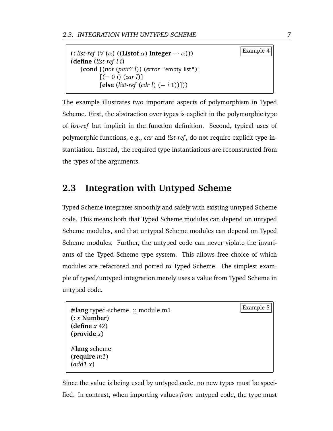$(\text{c} \text{ list-ref } (\forall (\alpha) ((\text{Listof } \alpha) \text{ Integer } \rightarrow \alpha)))$  Example 4 (**define** (*list-ref l i*) (**cond** [(*not* (*pair? l*)) (*error* "empty list")]  $[ (= 0 i) (car l)]$ [**else** (*list-ref* (*cdr l*) (− *i* 1))]))

The example illustrates two important aspects of polymorphism in Typed Scheme. First, the abstraction over types is explicit in the polymorphic type of *list-ref* but implicit in the function definition. Second, typical uses of polymorphic functions, e.g., *car* and *list-ref*, do not require explicit type instantiation. Instead, the required type instantiations are reconstructed from the types of the arguments.

# <span id="page-20-0"></span>**2.3 Integration with Untyped Scheme**

Typed Scheme integrates smoothly and safely with existing untyped Scheme code. This means both that Typed Scheme modules can depend on untyped Scheme modules, and that untyped Scheme modules can depend on Typed Scheme modules. Further, the untyped code can never violate the invariants of the Typed Scheme type system. This allows free choice of which modules are refactored and ported to Typed Scheme. The simplest example of typed/untyped integration merely uses a value from Typed Scheme in untyped code.

```
Example 5 #lang typed-scheme ;; module m1
(: x Number)
(define x 42)
(provide x)
#lang scheme
(require m1)
(add1 x)
```
Since the value is being used by untyped code, no new types must be specified. In contrast, when importing values *from* untyped code, the type must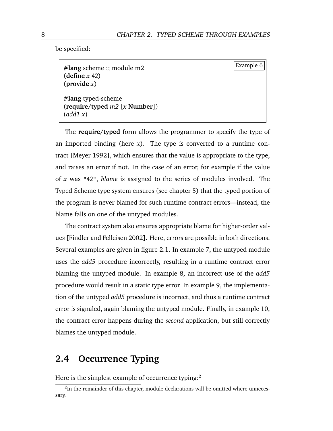<span id="page-21-2"></span>be specified:

Example 6 **#lang** scheme ;; module m2 (**define** *x* 42) (**provide** *x*) **#lang** typed-scheme (**require/typed** *m2* [*x* **Number**]) (*add1 x*)

The **require/typed** form allows the programmer to specify the type of an imported binding (here *x*). The type is converted to a runtime contract [\[Meyer](#page-177-1) [1992\]](#page-177-1), which ensures that the value is appropriate to the type, and raises an error if not. In the case of an error, for example if the value of *x* was "42", *blame* is assigned to the series of modules involved. The Typed Scheme type system ensures (see chapter [5\)](#page-52-0) that the typed portion of the program is never blamed for such runtime contract errors—instead, the blame falls on one of the untyped modules.

The contract system also ensures appropriate blame for higher-order values [\[Findler and Felleisen](#page-172-3) [2002\]](#page-172-3). Here, errors are possible in both directions. Several examples are given in figure [2.1.](#page-22-0) In example [7,](#page-22-1) the untyped module uses the *add5* procedure incorrectly, resulting in a runtime contract error blaming the untyped module. In example [8,](#page-22-2) an incorrect use of the *add5* procedure would result in a static type error. In example [9,](#page-22-3) the implementation of the untyped *add5* procedure is incorrect, and thus a runtime contract error is signaled, again blaming the untyped module. Finally, in example [10,](#page-22-4) the contract error happens during the *second* application, but still correctly blames the untyped module.

## <span id="page-21-0"></span>**2.4 Occurrence Typing**

Here is the simplest example of occurrence typing:<sup>2</sup>

<span id="page-21-1"></span> $2$ In the remainder of this chapter, module declarations will be omitted where unnecessary.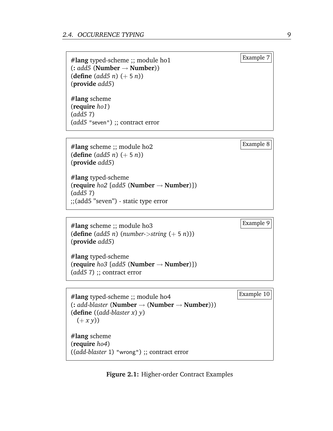<span id="page-22-1"></span><span id="page-22-0"></span>Example 7 **#lang** typed-scheme ;; module ho1 (**:** *add5* (**Number** → **Number**)) (**define** (*add5 n*) (+ 5 *n*)) (**provide** *add5*)

**#lang** scheme (**require** *ho1*) (*add5* 7) (*add5* "seven") ;; contract error

<span id="page-22-2"></span>Example 8 **#lang** scheme ;; module ho2 (**define** (*add5 n*) (+ 5 *n*)) (**provide** *add5*)

**#lang** typed-scheme (**require** *ho2* [*add5* (**Number** → **Number**)]) (*add5* 7) ;;(add5 "seven") - static type error

<span id="page-22-3"></span>Example 9 **#lang** scheme ;; module ho3 (**define** (*add5 n*) (*number-*>*string* (+ 5 *n*))) (**provide** *add5*)

**#lang** typed-scheme (**require** *ho3* [*add5* (**Number** → **Number**)]) (*add5* 7) ;; contract error

<span id="page-22-4"></span>Example 10 **#lang** typed-scheme ;; module ho4 (**:** *add-blaster* (**Number** → (**Number** → **Number**))) (**define** ((*add-blaster x*) *y*)  $(+ x y))$ **#lang** scheme (**require** *ho4*) ((*add-blaster* 1) "wrong") ;; contract error

**Figure 2.1:** Higher-order Contract Examples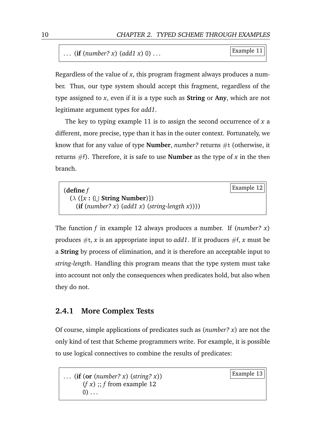```
Example 11 . . . (if (number? x) (add1 x) 0) . . .
```
Regardless of the value of *x*, this program fragment always produces a number. Thus, our type system should accept this fragment, regardless of the type assigned to *x*, even if it is a type such as **String** or **Any**, which are not legitimate argument types for *add1*.

The key to typing example [11](#page-21-1) is to assign the second occurrence of *x* a different, more precise, type than it has in the outer context. Fortunately, we know that for any value of type **Number**, *number?* returns #t (otherwise, it returns #f). Therefore, it is safe to use **Number** as the type of *x* in the then branch.

<span id="page-23-0"></span>

| (define $f$                                          |  |
|------------------------------------------------------|--|
| $(\lambda ([x : ( \cup String Number)])$             |  |
| (if $(number? x)$ $(add1 x)$ $(string-length x)))$ ) |  |

The function *f* in example [12](#page-23-0) always produces a number. If (*number? x*) produces  $\#t$ , *x* is an appropriate input to *add1*. If it produces  $\#f$ , *x* must be a **String** by process of elimination, and it is therefore an acceptable input to *string-length*. Handling this program means that the type system must take into account not only the consequences when predicates hold, but also when they do not.

#### **2.4.1 More Complex Tests**

Of course, simple applications of predicates such as (*number? x*) are not the only kind of test that Scheme programmers write. For example, it is possible to use logical connectives to combine the results of predicates:

```
Example 13 . . . (if (or (number? x) (string? x))
    (f x); f12
    (0) ...
```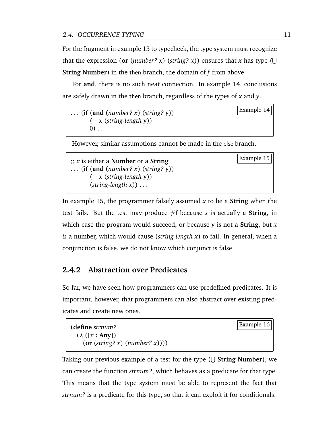For the fragment in example [13](#page-23-1) to typecheck, the type system must recognize that the expression (or (*number? x*) (*string? x*)) ensures that *x* has type ( $\cup$ **String Number**) in the then branch, the domain of *f* from above.

For **and**, there is no such neat connection. In example [14,](#page-24-0) conclusions are safely drawn in the then branch, regardless of the types of *x* and *y*.

<span id="page-24-0"></span>Example 14 . . . (**if** (**and** (*number? x*) (*string? y*)) (+ *x* (*string-length y*))  $(0)$  ...

<span id="page-24-1"></span>However, similar assumptions cannot be made in the else branch.

Example 15 ;; *x* is either a **Number** or a **String** . . . (**if** (**and** (*number? x*) (*string? y*)) (+ *x* (*string-length y*)) (*string-length x*)) . . .

In example [15,](#page-24-1) the programmer falsely assumed *x* to be a **String** when the test fails. But the test may produce  $#f$  because x is actually a **String**, in which case the program would succeed, or because *y* is not a **String**, but *x is* a number, which would cause (*string-length x*) to fail. In general, when a conjunction is false, we do not know which conjunct is false.

#### **2.4.2 Abstraction over Predicates**

So far, we have seen how programmers can use predefined predicates. It is important, however, that programmers can also abstract over existing predicates and create new ones.

<span id="page-24-2"></span>

| (define <i>strnum?</i>            | Example 16 |
|-----------------------------------|------------|
| $(\lambda ([x : Any])$            |            |
| $($ or (string? x) (number? x)))) |            |

Taking our previous example of a test for the type ( $\cup$  **String Number**), we can create the function *strnum?*, which behaves as a predicate for that type. This means that the type system must be able to represent the fact that *strnum?* is a predicate for this type, so that it can exploit it for conditionals.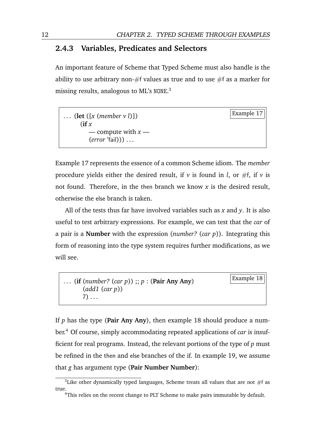#### **2.4.3 Variables, Predicates and Selectors**

An important feature of Scheme that Typed Scheme must also handle is the ability to use arbitrary non- $#f$  values as true and to use  $#f$  as a marker for missing results, analogous to ML's NONE. 3

<span id="page-25-0"></span>

| (let $([x (member v l)])$ )<br>(if $x$             | $ $ Example 17 $ $ |
|----------------------------------------------------|--------------------|
| — compute with $x$ —<br>$(error$ 'fail))) $\ldots$ |                    |

Example [17](#page-25-0) represents the essence of a common Scheme idiom. The *member* procedure yields either the desired result, if  $\nu$  is found in *l*, or #f, if  $\nu$  is not found. Therefore, in the then branch we know *x* is the desired result, otherwise the else branch is taken.

All of the tests thus far have involved variables such as *x* and *y*. It is also useful to test arbitrary expressions. For example, we can test that the *car* of a pair is a **Number** with the expression (*number?* (*car p*)). Integrating this form of reasoning into the type system requires further modifications, as we will see.

<span id="page-25-1"></span>

| (if (number? (car p)); $p : (Pair Any Any)$ | $ $ Example 18 $  $ |
|---------------------------------------------|---------------------|
| $(\text{add1} (\text{car } p))$             |                     |
|                                             |                     |

If *p* has the type (**Pair Any Any**), then example [18](#page-25-1) should produce a number.<sup>4</sup> Of course, simply accommodating repeated applications of *car* is insufficient for real programs. Instead, the relevant portions of the type of *p* must be refined in the then and else branches of the if. In example [19,](#page-25-2) we assume that *g* has argument type (**Pair Number Number**):

<span id="page-25-2"></span><sup>&</sup>lt;sup>3</sup>Like other dynamically typed languages, Scheme treats all values that are not  $#f$  as true.

<sup>&</sup>lt;sup>4</sup>This relies on the recent change to PLT Scheme to make pairs immutable by default.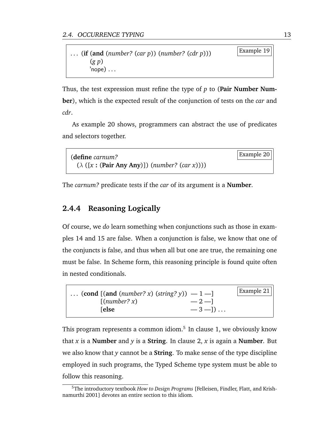| (if (and (number? (car p)) (number? (cdr p))) | Example 19 |
|-----------------------------------------------|------------|
| (g p)<br>$\rq$ nope)                          |            |

Thus, the test expression must refine the type of *p* to (**Pair Number Number**), which is the expected result of the conjunction of tests on the *car* and *cdr*.

As example [20](#page-26-0) shows, programmers can abstract the use of predicates and selectors together.

```
Example 20 (define carnum?
 (λ ([x : (Pair Any Any)]) (number? (car x))))
```
The *carnum?* predicate tests if the *car* of its argument is a **Number**.

#### **2.4.4 Reasoning Logically**

Of course, we *do* learn something when conjunctions such as those in examples [14](#page-24-0) and [15](#page-24-1) are false. When a conjunction is false, we know that one of the conjuncts is false, and thus when all but one are true, the remaining one must be false. In Scheme form, this reasoning principle is found quite often in nested conditionals.



This program represents a common idiom.<sup>5</sup> In clause 1, we obviously know that *x* is a **Number** and *y* is a **String**. In clause 2, *x* is again a **Number**. But we also know that *y* cannot be a **String**. To make sense of the type discipline employed in such programs, the Typed Scheme type system must be able to follow this reasoning.

<sup>5</sup>The introductory textbook *How to Design Programs* [\[Felleisen, Findler, Flatt, and Krish](#page-172-4)[namurthi](#page-172-4) [2001\]](#page-172-4) devotes an entire section to this idiom.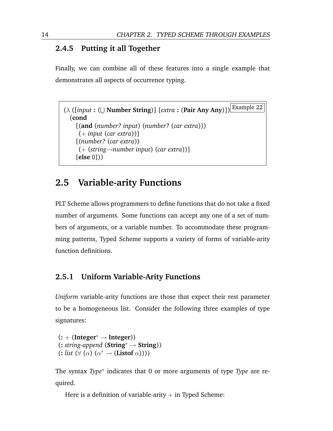#### **2.4.5 Putting it all Together**

<span id="page-27-1"></span>Finally, we can combine all of these features into a single example that demonstrates all aspects of occurrence typing.

```
Example 22 (λ ([input : (
S
Number String)] [extra : (Pair Any Any)])
 (cond
    [(and (number? input) (number? (car extra)))
     (+ input (car extra))]
    [(number? (car extra))
     (+ (string→number input) (car extra))]
    [else 0]))
```
## <span id="page-27-0"></span>**2.5 Variable-arity Functions**

PLT Scheme allows programmers to define functions that do not take a fixed number of arguments. Some functions can accept any one of a set of numbers of arguments, or a variable number. To accommodate these programming patterns, Typed Scheme supports a variety of forms of variable-arity function definitions.

#### **2.5.1 Uniform Variable-Arity Functions**

*Uniform* variable-arity functions are those that expect their rest parameter to be a homogeneous list. Consider the following three examples of type signatures:

```
(: + (Integer∗ → Integer))
(: string-append (String∗ → String))
(: list (∀ (α) (α
∗ → (Listof α))))
```
The syntax *Type*<sup>∗</sup> indicates that 0 or more arguments of type *Type* are required.

Here is a definition of variable-arity  $+$  in Typed Scheme: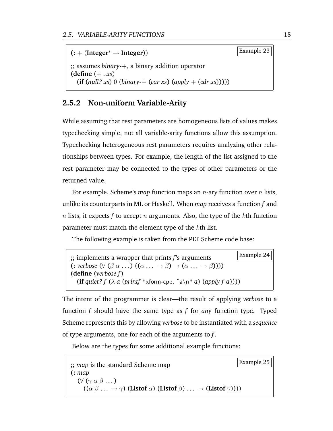

#### **2.5.2 Non-uniform Variable-Arity**

While assuming that rest parameters are homogeneous lists of values makes typechecking simple, not all variable-arity functions allow this assumption. Typechecking heterogeneous rest parameters requires analyzing other relationships between types. For example, the length of the list assigned to the rest parameter may be connected to the types of other parameters or the returned value.

For example, Scheme's *map* function maps an n-ary function over n lists, unlike its counterparts in ML or Haskell. When *map* receives a function *f* and  $n$  lists, it expects  $f$  to accept  $n$  arguments. Also, the type of the  $k$ th function parameter must match the element type of the kth list.

The following example is taken from the PLT Scheme code base:

```
Example 24 ;; implements a wrapper that prints f's arguments
(\text{: } \text{verbose } (\forall (\beta \alpha \dots)((\alpha \dots \rightarrow \beta) \rightarrow (\alpha \dots \rightarrow \beta))))(define (verbose f )
   (if quiet? f (\lambda a (printf "xform-cpp: ~a\n" a) (apply f a))))
```
The intent of the programmer is clear—the result of applying *verbose* to a function *f* should have the same type as *f* for *any* function type. Typed Scheme represents this by allowing *verbose* to be instantiated with a *sequence* of type arguments, one for each of the arguments to *f*.

Below are the types for some additional example functions:

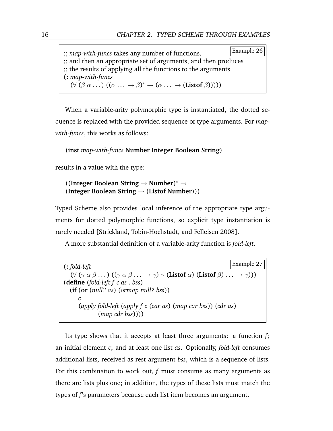| :; map-with-funcs takes any number of functions,                                                                           | Example 26 |
|----------------------------------------------------------------------------------------------------------------------------|------------|
| ;; and then an appropriate set of arguments, and then produces                                                             |            |
| :; the results of applying all the functions to the arguments                                                              |            |
| $\sum$ : map-with-funcs                                                                                                    |            |
| $(\forall (\beta \alpha \dots)((\alpha \dots \rightarrow \beta)^* \rightarrow (\alpha \dots \rightarrow (Listof \beta))))$ |            |

When a variable-arity polymorphic type is instantiated, the dotted sequence is replaced with the provided sequence of type arguments. For *mapwith-funcs*, this works as follows:

#### (**inst** *map-with-funcs* **Number Integer Boolean String**)

results in a value with the type:

#### ((**Integer Boolean String** → **Number**) <sup>∗</sup> → (**Integer Boolean String** → (**Listof Number**)))

Typed Scheme also provides local inference of the appropriate type arguments for dotted polymorphic functions, so explicit type instantiation is rarely needed [\[Strickland, Tobin-Hochstadt, and Felleisen](#page-179-6) [2008\]](#page-179-6).

A more substantial definition of a variable-arity function is *fold-left*.

Example 27 (**:** *fold-left* (∀ (γ α β . . . ) ((γ α β . . . → γ) γ (**Listof** α) (**Listof** β) . . . → γ))) (**define** (*fold-left f c as* . *bss*) (**if** (**or** (*null? as*) (*ormap null? bss*)) *c* (*apply fold-left* (*apply f c* (*car as*) (*map car bss*)) (*cdr as*) (*map cdr bss*))))

Its type shows that it accepts at least three arguments: a function *f*; an initial element *c*; and at least one list *as*. Optionally, *fold-left* consumes additional lists, received as rest argument *bss*, which is a sequence of lists. For this combination to work out, *f* must consume as many arguments as there are lists plus one; in addition, the types of these lists must match the types of *f*'s parameters because each list item becomes an argument.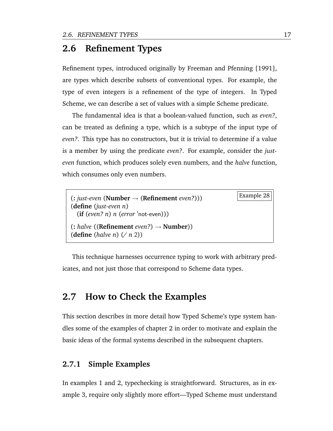### <span id="page-30-0"></span>**2.6 Refinement Types**

Refinement types, introduced originally by [Freeman and Pfenning](#page-173-1) [\[1991\]](#page-173-1), are types which describe subsets of conventional types. For example, the type of even integers is a refinement of the type of integers. In Typed Scheme, we can describe a set of values with a simple Scheme predicate.

The fundamental idea is that a boolean-valued function, such as *even?*, can be treated as defining a type, which is a subtype of the input type of *even?*. This type has no constructors, but it is trivial to determine if a value is a member by using the predicate *even?*. For example, consider the *justeven* function, which produces solely even numbers, and the *halve* function, which consumes only even numbers.

```
Example 28 (: just-even (Number → (Refinement even?)))
(define (just-even n)
 (if (even? n) n (error 'not-even)))
(: halve ((Refinement even?) → Number))
(define (halve n) (/ n 2))
```
This technique harnesses occurrence typing to work with arbitrary predicates, and not just those that correspond to Scheme data types.

## <span id="page-30-1"></span>**2.7 How to Check the Examples**

This section describes in more detail how Typed Scheme's type system handles some of the examples of chapter [2](#page-18-0) in order to motivate and explain the basic ideas of the formal systems described in the subsequent chapters.

#### **2.7.1 Simple Examples**

In examples [1](#page-18-2) and [2,](#page-18-3) typechecking is straightforward. Structures, as in example [3,](#page-19-1) require only slightly more effort—Typed Scheme must understand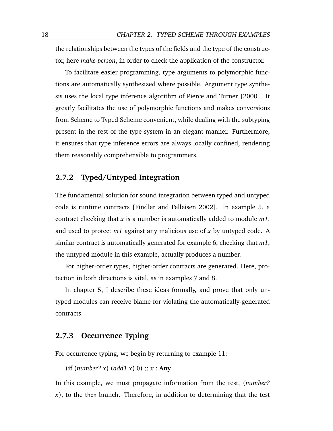the relationships between the types of the fields and the type of the constructor, here *make-person*, in order to check the application of the constructor.

To facilitate easier programming, type arguments to polymorphic functions are automatically synthesized where possible. Argument type synthesis uses the local type inference algorithm of [Pierce and Turner](#page-178-2) [\[2000\]](#page-178-2). It greatly facilitates the use of polymorphic functions and makes conversions from Scheme to Typed Scheme convenient, while dealing with the subtyping present in the rest of the type system in an elegant manner. Furthermore, it ensures that type inference errors are always locally confined, rendering them reasonably comprehensible to programmers.

#### **2.7.2 Typed/Untyped Integration**

The fundamental solution for sound integration between typed and untyped code is runtime contracts [\[Findler and Felleisen](#page-172-3) [2002\]](#page-172-3). In example [5,](#page-20-1) a contract checking that *x* is a number is automatically added to module *m1*, and used to protect *m1* against any malicious use of *x* by untyped code. A similar contract is automatically generated for example [6,](#page-21-2) checking that *m1*, the untyped module in this example, actually produces a number.

For higher-order types, higher-order contracts are generated. Here, protection in both directions is vital, as in examples [7](#page-22-1) and [8.](#page-22-2)

In chapter [5,](#page-52-0) I describe these ideas formally, and prove that only untyped modules can receive blame for violating the automatically-generated contracts.

#### **2.7.3 Occurrence Typing**

For occurrence typing, we begin by returning to example [11:](#page-21-1)

(**if** (*number? x*) (*add1 x*) 0) ;; *x* : **Any**

In this example, we must propagate information from the test, (*number? x*), to the then branch. Therefore, in addition to determining that the test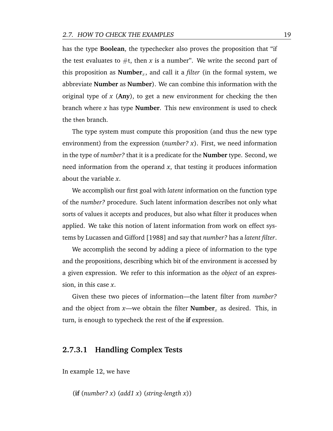has the type **Boolean**, the typechecker also proves the proposition that "if the test evaluates to  $\#t$ , then *x* is a number". We write the second part of this proposition as **Number**<sub>x</sub>, and call it a *filter* (in the formal system, we abbreviate **Number** as **Number**). We can combine this information with the original type of *x* (**Any**), to get a new environment for checking the then branch where *x* has type **Number**. This new environment is used to check the then branch.

The type system must compute this proposition (and thus the new type environment) from the expression (*number? x*). First, we need information in the type of *number?* that it is a predicate for the **Number** type. Second, we need information from the operand *x*, that testing it produces information about the variable *x*.

We accomplish our first goal with *latent* information on the function type of the *number?* procedure. Such latent information describes not only what sorts of values it accepts and produces, but also what filter it produces when applied. We take this notion of latent information from work on effect systems by [Lucassen and Gifford](#page-176-3) [\[1988\]](#page-176-3) and say that *number?* has a *latent filter*.

We accomplish the second by adding a piece of information to the type and the propositions, describing which bit of the environment is accessed by a given expression. We refer to this information as the *object* of an expression, in this case *x*.

Given these two pieces of information—the latent filter from *number?* and the object from  $x$ —we obtain the filter **Number**<sub>x</sub> as desired. This, in turn, is enough to typecheck the rest of the **if** expression.

#### **2.7.3.1 Handling Complex Tests**

In example [12,](#page-23-0) we have

(**if** (*number? x*) (*add1 x*) (*string-length x*))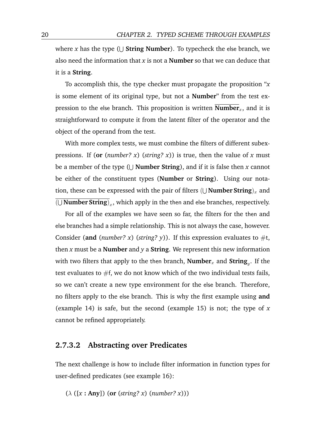where *x* has the type ( $\cup$  **String Number**). To typecheck the else branch, we also need the information that *x* is not a **Number** so that we can deduce that it is a **String**.

To accomplish this, the type checker must propagate the proposition "*x* is some element of its original type, but not a **Number**" from the test expression to the else branch. This proposition is written  $\overline{\text{Number}}_x$ , and it is straightforward to compute it from the latent filter of the operator and the object of the operand from the test.

With more complex tests, we must combine the filters of different subexpressions. If (**or** (*number? x*) (*string? x*)) is true, then the value of *x* must be a member of the type (U **Number String**), and if it is false then *x* cannot be either of the constituent types (**Number** or **String**). Using our notation, these can be expressed with the pair of filters  $(\cup$  **Number String**)<sub>x</sub> and  $(\cup$  **Number String**)<sub>x</sub>, which apply in the then and else branches, respectively.

For all of the examples we have seen so far, the filters for the then and else branches had a simple relationship. This is not always the case, however. Consider (and (*number? x*) (*string? y*)). If this expression evaluates to  $\#t$ , then *x* must be a **Number** and *y* a **String**. We represent this new information with two filters that apply to the then branch,  $\textbf{Number}_{x}$  and  $\textbf{String}_{y}.$  If the test evaluates to  $#f$ , we do not know which of the two individual tests fails, so we can't create a new type environment for the else branch. Therefore, no filters apply to the else branch. This is why the first example using **and** (example [14\)](#page-24-0) is safe, but the second (example [15\)](#page-24-1) is not; the type of *x* cannot be refined appropriately.

#### **2.7.3.2 Abstracting over Predicates**

The next challenge is how to include filter information in function types for user-defined predicates (see example [16\)](#page-24-2):

(λ ([*x* **: Any**]) (**or** (*string? x*) (*number? x*)))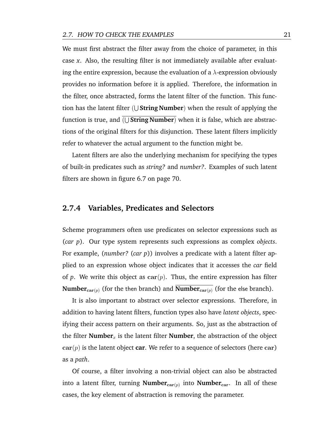We must first abstract the filter away from the choice of parameter, in this case *x*. Also, the resulting filter is not immediately available after evaluating the entire expression, because the evaluation of a  $\lambda$ -expression obviously provides no information before it is applied. Therefore, the information in the filter, once abstracted, forms the latent filter of the function. This function has the latent filter ( S **String Number**) when the result of applying the function is true, and ( S **String Number**) when it is false, which are abstractions of the original filters for this disjunction. These latent filters implicitly refer to whatever the actual argument to the function might be.

Latent filters are also the underlying mechanism for specifying the types of built-in predicates such as *string?* and *number?*. Examples of such latent filters are shown in figure [6.7](#page-83-0) on page [70.](#page-83-0)

#### **2.7.4 Variables, Predicates and Selectors**

Scheme programmers often use predicates on selector expressions such as (*car p*). Our type system represents such expressions as complex *objects*. For example, (*number?* (*car p*)) involves a predicate with a latent filter applied to an expression whose object indicates that it accesses the *car* field of *p*. We write this object as  $\text{car}(p)$ . Thus, the entire expression has filter **Number**<sub>car(p)</sub> (for the then branch) and  $\overline{\text{Number}_{\text{car}(p)}}$  (for the else branch).

It is also important to abstract over selector expressions. Therefore, in addition to having latent filters, function types also have *latent objects*, specifying their access pattern on their arguments. So, just as the abstraction of the filter **Number**<sub>x</sub> is the latent filter **Number**, the abstraction of the object  $car(p)$  is the latent object **car**. We refer to a sequence of selectors (here car) as a *path*.

Of course, a filter involving a non-trivial object can also be abstracted into a latent filter, turning **Number<sub>car(p)</sub> into <b>Number**<sub>car</sub>. In all of these cases, the key element of abstraction is removing the parameter.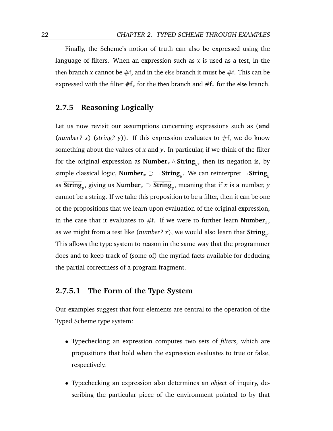Finally, the Scheme's notion of truth can also be expressed using the language of filters. When an expression such as *x* is used as a test, in the then branch *x* cannot be  $#f$ , and in the else branch it must be  $#f$ . This can be expressed with the filter  $\overline{H}_x$  for the then branch and  $\#f_x$  for the else branch.

#### **2.7.5 Reasoning Logically**

Let us now revisit our assumptions concerning expressions such as (**and** (*number? x*) (*string? y*)). If this expression evaluates to  $#f$ , we do know something about the values of *x* and *y*. In particular, if we think of the filter for the original expression as  $\textbf{Number}_x \wedge \textbf{String}_y,$  then its negation is, by simple classical logic,  $\textbf{Number}_x$  ⊃  $\neg$   $\textbf{String}_y$ . We can reinterpret  $\neg$   $\textbf{String}_y$ as **String**<sup>y</sup> , giving us **Number**<sup>x</sup> ⊃ **String**<sup>y</sup> , meaning that if *x* is a number, *y* cannot be a string. If we take this proposition to be a filter, then it can be one of the propositions that we learn upon evaluation of the original expression, in the case that it evaluates to  $#f$ . If we were to further learn **Number**<sub>x</sub>, as we might from a test like (*number? x*), we would also learn that  $\textbf{String}_y$ . This allows the type system to reason in the same way that the programmer does and to keep track of (some of) the myriad facts available for deducing the partial correctness of a program fragment.

#### **2.7.5.1 The Form of the Type System**

Our examples suggest that four elements are central to the operation of the Typed Scheme type system:

- Typechecking an expression computes two sets of *filters*, which are propositions that hold when the expression evaluates to true or false, respectively.
- Typechecking an expression also determines an *object* of inquiry, describing the particular piece of the environment pointed to by that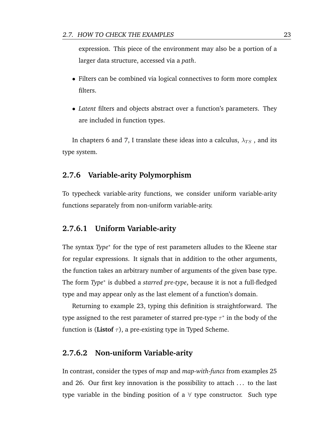expression. This piece of the environment may also be a portion of a larger data structure, accessed via a *path*.

- Filters can be combined via logical connectives to form more complex filters.
- *Latent* filters and objects abstract over a function's parameters. They are included in function types.

In chapters [6](#page-74-0) and [7,](#page-84-0) I translate these ideas into a calculus,  $\lambda_{TS}$ , and its type system.

#### **2.7.6 Variable-arity Polymorphism**

To typecheck variable-arity functions, we consider uniform variable-arity functions separately from non-uniform variable-arity.

#### **2.7.6.1 Uniform Variable-arity**

The syntax *Type*<sup>\*</sup> for the type of rest parameters alludes to the Kleene star for regular expressions. It signals that in addition to the other arguments, the function takes an arbitrary number of arguments of the given base type. The form *Type*<sup>∗</sup> is dubbed a *starred pre-type*, because it is not a full-fledged type and may appear only as the last element of a function's domain.

Returning to example [23,](#page-27-0) typing this definition is straightforward. The type assigned to the rest parameter of starred pre-type  $\tau^*$  in the body of the function is (**Listof**  $\tau$ ), a pre-existing type in Typed Scheme.

# **2.7.6.2 Non-uniform Variable-arity**

In contrast, consider the types of *map* and *map-with-funcs* from examples [25](#page-28-0) and [26.](#page-28-1) Our first key innovation is the possibility to attach . . . to the last type variable in the binding position of a  $\forall$  type constructor. Such type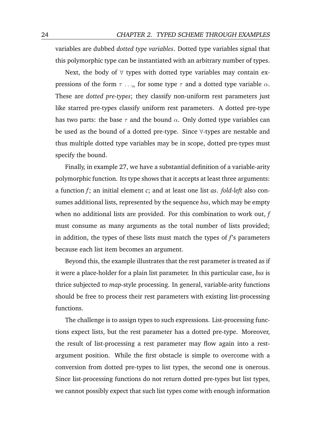variables are dubbed *dotted type variables*. Dotted type variables signal that this polymorphic type can be instantiated with an arbitrary number of types.

Next, the body of  $\forall$  types with dotted type variables may contain expressions of the form  $\tau \dots$  for some type  $\tau$  and a dotted type variable  $\alpha$ . These are *dotted pre-types*; they classify non-uniform rest parameters just like starred pre-types classify uniform rest parameters. A dotted pre-type has two parts: the base  $\tau$  and the bound  $\alpha$ . Only dotted type variables can be used as the bound of a dotted pre-type. Since ∀-types are nestable and thus multiple dotted type variables may be in scope, dotted pre-types must specify the bound.

Finally, in example [27,](#page-29-0) we have a substantial definition of a variable-arity polymorphic function. Its type shows that it accepts at least three arguments: a function *f*; an initial element *c*; and at least one list *as*. *fold-left* also consumes additional lists, represented by the sequence *bss*, which may be empty when no additional lists are provided. For this combination to work out, *f* must consume as many arguments as the total number of lists provided; in addition, the types of these lists must match the types of *f*'s parameters because each list item becomes an argument.

Beyond this, the example illustrates that the rest parameter is treated as if it were a place-holder for a plain list parameter. In this particular case, *bss* is thrice subjected to *map*-style processing. In general, variable-arity functions should be free to process their rest parameters with existing list-processing functions.

The challenge is to assign types to such expressions. List-processing functions expect lists, but the rest parameter has a dotted pre-type. Moreover, the result of list-processing a rest parameter may flow again into a restargument position. While the first obstacle is simple to overcome with a conversion from dotted pre-types to list types, the second one is onerous. Since list-processing functions do not return dotted pre-types but list types, we cannot possibly expect that such list types come with enough information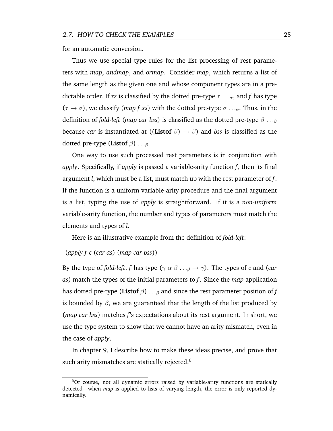for an automatic conversion.

Thus we use special type rules for the list processing of rest parameters with *map*, *andmap*, and *ormap*. Consider *map*, which returns a list of the same length as the given one and whose component types are in a predictable order. If *xs* is classified by the dotted pre-type  $\tau \dots \alpha$ , and f has type  $(\tau \rightarrow \sigma)$ , we classify (*map f xs*) with the dotted pre-type  $\sigma \ldots_{\alpha}$ . Thus, in the definition of *fold-left* (*map car bss*) is classified as the dotted pre-type  $\beta \dots \beta$ because *car* is instantiated at ((**Listof**  $\beta$ )  $\rightarrow$   $\beta$ ) and *bss* is classified as the dotted pre-type (**Listof**  $\beta$ ) . . . $\beta$ **.** 

One way to use such processed rest parameters is in conjunction with *apply*. Specifically, if *apply* is passed a variable-arity function *f*, then its final argument *l*, which must be a list, must match up with the rest parameter of *f*. If the function is a uniform variable-arity procedure and the final argument is a list, typing the use of *apply* is straightforward. If it is a *non-uniform* variable-arity function, the number and types of parameters must match the elements and types of *l*.

Here is an illustrative example from the definition of *fold-left*:

#### (*apply f c* (*car as*) (*map car bss*))

By the type of *fold-left*, *f* has type ( $\gamma \alpha \beta \dots \beta \rightarrow \gamma$ ). The types of *c* and (*car as*) match the types of the initial parameters to *f*. Since the *map* application has dotted pre-type (Listof  $\beta$ ) . . .  $\beta$  and since the rest parameter position of  $f$ is bounded by  $\beta$ , we are guaranteed that the length of the list produced by (*map car bss*) matches *f*'s expectations about its rest argument. In short, we use the type system to show that we cannot have an arity mismatch, even in the case of *apply*.

In chapter [9,](#page-104-0) I describe how to make these ideas precise, and prove that such arity mismatches are statically rejected. $6$ 

 $60f$  course, not all dynamic errors raised by variable-arity functions are statically detected—when *map* is applied to lists of varying length, the error is only reported dynamically.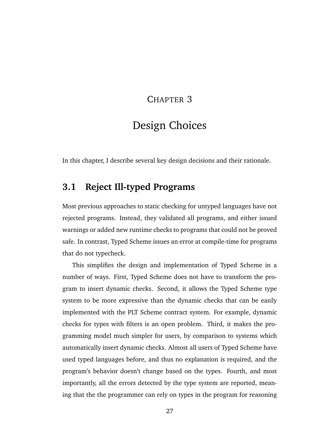### CHAPTER 3

# Design Choices

In this chapter, I describe several key design decisions and their rationale.

# **3.1 Reject Ill-typed Programs**

Most previous approaches to static checking for untyped languages have not rejected programs. Instead, they validated all programs, and either issued warnings or added new runtime checks to programs that could not be proved safe. In contrast, Typed Scheme issues an error at compile-time for programs that do not typecheck.

This simplifies the design and implementation of Typed Scheme in a number of ways. First, Typed Scheme does not have to transform the program to insert dynamic checks. Second, it allows the Typed Scheme type system to be more expressive than the dynamic checks that can be easily implemented with the PLT Scheme contract system. For example, dynamic checks for types with filters is an open problem. Third, it makes the programming model much simpler for users, by comparison to systems which automatically insert dynamic checks. Almost all users of Typed Scheme have used typed languages before, and thus no explanation is required, and the program's behavior doesn't change based on the types. Fourth, and most importantly, all the errors detected by the type system are reported, meaning that the the programmer can rely on types in the program for reasoning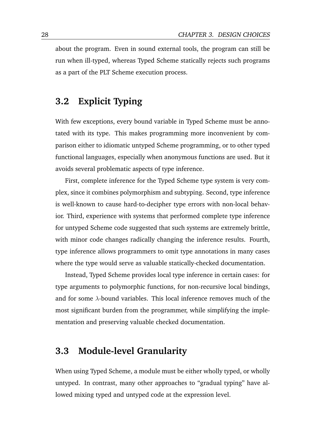about the program. Even in sound external tools, the program can still be run when ill-typed, whereas Typed Scheme statically rejects such programs as a part of the PLT Scheme execution process.

# **3.2 Explicit Typing**

With few exceptions, every bound variable in Typed Scheme must be annotated with its type. This makes programming more inconvenient by comparison either to idiomatic untyped Scheme programming, or to other typed functional languages, especially when anonymous functions are used. But it avoids several problematic aspects of type inference.

First, complete inference for the Typed Scheme type system is very complex, since it combines polymorphism and subtyping. Second, type inference is well-known to cause hard-to-decipher type errors with non-local behavior. Third, experience with systems that performed complete type inference for untyped Scheme code suggested that such systems are extremely brittle, with minor code changes radically changing the inference results. Fourth, type inference allows programmers to omit type annotations in many cases where the type would serve as valuable statically-checked documentation.

Instead, Typed Scheme provides local type inference in certain cases: for type arguments to polymorphic functions, for non-recursive local bindings, and for some  $\lambda$ -bound variables. This local inference removes much of the most significant burden from the programmer, while simplifying the implementation and preserving valuable checked documentation.

### **3.3 Module-level Granularity**

When using Typed Scheme, a module must be either wholly typed, or wholly untyped. In contrast, many other approaches to "gradual typing" have allowed mixing typed and untyped code at the expression level.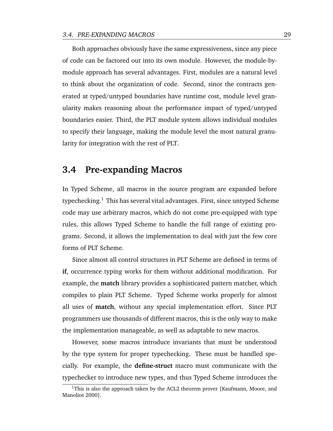Both approaches obviously have the same expressiveness, since any piece of code can be factored out into its own module. However, the module-bymodule approach has several advantages. First, modules are a natural level to think about the organization of code. Second, since the contracts generated at typed/untyped boundaries have runtime cost, module level granularity makes reasoning about the performance impact of typed/untyped boundaries easier. Third, the PLT module system allows individual modules to specify their language, making the module level the most natural granularity for integration with the rest of PLT.

### **3.4 Pre-expanding Macros**

In Typed Scheme, all macros in the source program are expanded before typechecking.<sup>1</sup> This has several vital advantages. First, since untyped Scheme code may use arbitrary macros, which do not come pre-equipped with type rules, this allows Typed Scheme to handle the full range of existing programs. Second, it allows the implementation to deal with just the few core forms of PLT Scheme.

Since almost all control structures in PLT Scheme are defined in terms of **if**, occurrence typing works for them without additional modification. For example, the **match** library provides a sophisticated pattern matcher, which compiles to plain PLT Scheme. Typed Scheme works properly for almost all uses of **match**, without any special implementation effort. Since PLT programmers use thousands of different macros, this is the only way to make the implementation manageable, as well as adaptable to new macros.

However, some macros introduce invariants that must be understood by the type system for proper typechecking. These must be handled specially. For example, the **define-struct** macro must communicate with the typechecker to introduce new types, and thus Typed Scheme introduces the

 $1$ This is also the approach taken by the ACL2 theorem prover [\[Kaufmann, Moore, and](#page-176-0) [Manolios](#page-176-0) [2000\]](#page-176-0).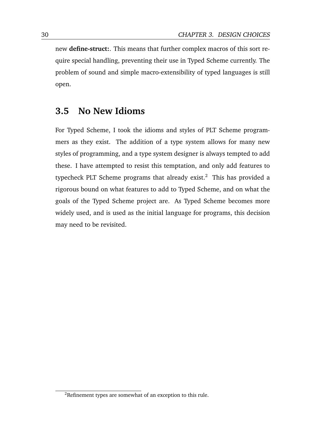new **define-struct:**. This means that further complex macros of this sort require special handling, preventing their use in Typed Scheme currently. The problem of sound and simple macro-extensibility of typed languages is still open.

# **3.5 No New Idioms**

For Typed Scheme, I took the idioms and styles of PLT Scheme programmers as they exist. The addition of a type system allows for many new styles of programming, and a type system designer is always tempted to add these. I have attempted to resist this temptation, and only add features to typecheck PLT Scheme programs that already exist. $<sup>2</sup>$  This has provided a</sup> rigorous bound on what features to add to Typed Scheme, and on what the goals of the Typed Scheme project are. As Typed Scheme becomes more widely used, and is used as the initial language for programs, this decision may need to be revisited.

<sup>2</sup>Refinement types are somewhat of an exception to this rule.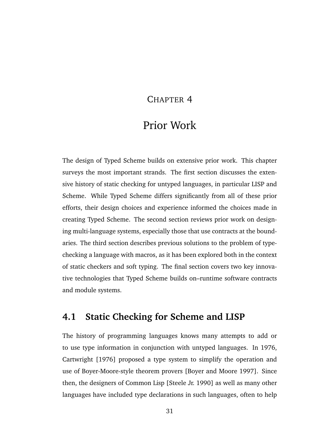### CHAPTER 4

# Prior Work

The design of Typed Scheme builds on extensive prior work. This chapter surveys the most important strands. The first section discusses the extensive history of static checking for untyped languages, in particular LISP and Scheme. While Typed Scheme differs significantly from all of these prior efforts, their design choices and experience informed the choices made in creating Typed Scheme. The second section reviews prior work on designing multi-language systems, especially those that use contracts at the boundaries. The third section describes previous solutions to the problem of typechecking a language with macros, as it has been explored both in the context of static checkers and soft typing. The final section covers two key innovative technologies that Typed Scheme builds on–runtime software contracts and module systems.

## **4.1 Static Checking for Scheme and LISP**

The history of programming languages knows many attempts to add or to use type information in conjunction with untyped languages. In 1976, [Cartwright](#page-171-0) [\[1976\]](#page-171-0) proposed a type system to simplify the operation and use of Boyer-Moore-style theorem provers [\[Boyer and Moore](#page-170-0) [1997\]](#page-170-0). Since then, the designers of Common Lisp [\[Steele Jr.](#page-178-0) [1990\]](#page-178-0) as well as many other languages have included type declarations in such languages, often to help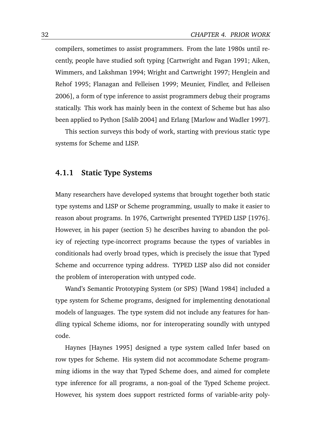compilers, sometimes to assist programmers. From the late 1980s until recently, people have studied soft typing [\[Cartwright and Fagan](#page-171-1) [1991;](#page-171-1) [Aiken,](#page-170-1) [Wimmers, and Lakshman](#page-170-1) [1994;](#page-170-1) [Wright and Cartwright](#page-180-0) [1997;](#page-180-0) [Henglein and](#page-175-0) [Rehof](#page-175-0) [1995;](#page-175-0) [Flanagan and Felleisen](#page-173-0) [1999;](#page-173-0) [Meunier, Findler, and Felleisen](#page-177-0) [2006\]](#page-177-0), a form of type inference to assist programmers debug their programs statically. This work has mainly been in the context of Scheme but has also been applied to Python [\[Salib](#page-178-1) [2004\]](#page-178-1) and Erlang [\[Marlow and Wadler](#page-176-1) [1997\]](#page-176-1).

This section surveys this body of work, starting with previous static type systems for Scheme and LISP.

#### **4.1.1 Static Type Systems**

Many researchers have developed systems that brought together both static type systems and LISP or Scheme programming, usually to make it easier to reason about programs. In 1976, Cartwright presented TYPED LISP [\[1976\]](#page-171-0). However, in his paper (section 5) he describes having to abandon the policy of rejecting type-incorrect programs because the types of variables in conditionals had overly broad types, which is precisely the issue that Typed Scheme and occurrence typing address. TYPED LISP also did not consider the problem of interoperation with untyped code.

Wand's Semantic Prototyping System (or SPS) [\[Wand](#page-180-1) [1984\]](#page-180-1) included a type system for Scheme programs, designed for implementing denotational models of languages. The type system did not include any features for handling typical Scheme idioms, nor for interoperating soundly with untyped code.

Haynes [\[Haynes](#page-175-1) [1995\]](#page-175-1) designed a type system called Infer based on row types for Scheme. His system did not accommodate Scheme programming idioms in the way that Typed Scheme does, and aimed for complete type inference for all programs, a non-goal of the Typed Scheme project. However, his system does support restricted forms of variable-arity poly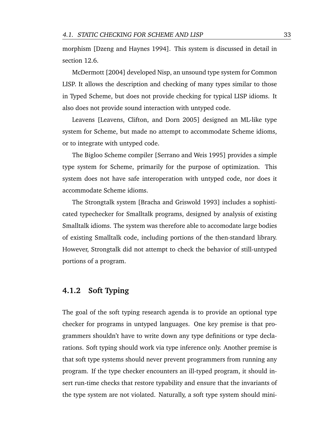morphism [\[Dzeng and Haynes](#page-172-0) [1994\]](#page-172-0). This system is discussed in detail in section [12.6.](#page-162-0)

[McDermott](#page-177-1) [\[2004\]](#page-177-1) developed Nisp, an unsound type system for Common LISP. It allows the description and checking of many types similar to those in Typed Scheme, but does not provide checking for typical LISP idioms. It also does not provide sound interaction with untyped code.

Leavens [\[Leavens, Clifton, and Dorn](#page-176-2) [2005\]](#page-176-2) designed an ML-like type system for Scheme, but made no attempt to accommodate Scheme idioms, or to integrate with untyped code.

The Bigloo Scheme compiler [\[Serrano and Weis](#page-178-2) [1995\]](#page-178-2) provides a simple type system for Scheme, primarily for the purpose of optimization. This system does not have safe interoperation with untyped code, nor does it accommodate Scheme idioms.

The Strongtalk system [\[Bracha and Griswold](#page-170-2) [1993\]](#page-170-2) includes a sophisticated typechecker for Smalltalk programs, designed by analysis of existing Smalltalk idioms. The system was therefore able to accomodate large bodies of existing Smalltalk code, including portions of the then-standard library. However, Strongtalk did not attempt to check the behavior of still-untyped portions of a program.

#### **4.1.2 Soft Typing**

The goal of the soft typing research agenda is to provide an optional type checker for programs in untyped languages. One key premise is that programmers shouldn't have to write down any type definitions or type declarations. Soft typing should work via type inference only. Another premise is that soft type systems should never prevent programmers from running any program. If the type checker encounters an ill-typed program, it should insert run-time checks that restore typability and ensure that the invariants of the type system are not violated. Naturally, a soft type system should mini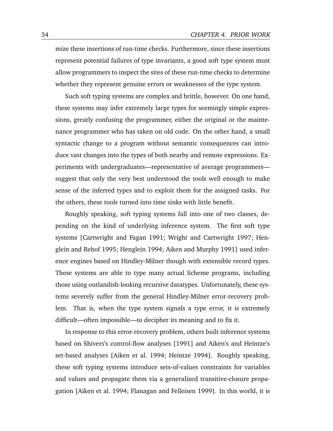mize these insertions of run-time checks. Furthermore, since these insertions represent potential failures of type invariants, a good soft type system must allow programmers to inspect the sites of these run-time checks to determine whether they represent genuine errors or weaknesses of the type system.

Such soft typing systems are complex and brittle, however. On one hand, these systems may infer extremely large types for seemingly simple expressions, greatly confusing the programmer, either the original or the maintenance programmer who has taken on old code. On the other hand, a small syntactic change to a program without semantic consequences can introduce vast changes into the types of both nearby and remote expressions. Experiments with undergraduates—representative of average programmers suggest that only the very best understood the tools well enough to make sense of the inferred types and to exploit them for the assigned tasks. For the others, these tools turned into time sinks with little benefit.

Roughly speaking, soft typing systems fall into one of two classes, depending on the kind of underlying inference system. The first soft type systems [\[Cartwright and Fagan](#page-171-1) [1991;](#page-171-1) [Wright and Cartwright](#page-180-0) [1997;](#page-180-0) [Hen](#page-175-0)[glein and Rehof](#page-175-0) [1995;](#page-175-0) [Henglein](#page-175-2) [1994;](#page-175-2) [Aiken and Murphy](#page-170-3) [1991\]](#page-170-3) used inference engines based on Hindley-Milner though with extensible record types. These systems are able to type many actual Scheme programs, including those using outlandish-looking recursive datatypes. Unfortunately, these systems severely suffer from the general Hindley-Milner error-recovery problem. That is, when the type system signals a type error, it is extremely difficult—often impossible—to decipher its meaning and to fix it.

In response to this error-recovery problem, others built inference systems based on Shivers's control-flow analyses [\[1991\]](#page-178-3) and Aiken's and Heintze's set-based analyses [\[Aiken et al.](#page-170-1) [1994;](#page-170-1) [Heintze](#page-175-3) [1994\]](#page-175-3). Roughly speaking, these soft typing systems introduce sets-of-values constraints for variables and values and propagate them via a generalized transitive-closure propagation [\[Aiken et al.](#page-170-1) [1994;](#page-170-1) [Flanagan and Felleisen](#page-173-0) [1999\]](#page-173-0). In this world, it is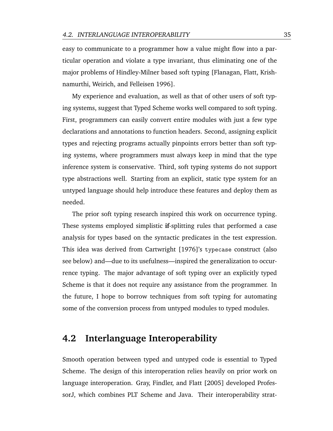easy to communicate to a programmer how a value might flow into a particular operation and violate a type invariant, thus eliminating one of the major problems of Hindley-Milner based soft typing [\[Flanagan, Flatt, Krish](#page-173-1)[namurthi, Weirich, and Felleisen](#page-173-1) [1996\]](#page-173-1).

My experience and evaluation, as well as that of other users of soft typing systems, suggest that Typed Scheme works well compared to soft typing. First, programmers can easily convert entire modules with just a few type declarations and annotations to function headers. Second, assigning explicit types and rejecting programs actually pinpoints errors better than soft typing systems, where programmers must always keep in mind that the type inference system is conservative. Third, soft typing systems do not support type abstractions well. Starting from an explicit, static type system for an untyped language should help introduce these features and deploy them as needed.

The prior soft typing research inspired this work on occurrence typing. These systems employed simplistic **if**-splitting rules that performed a case analysis for types based on the syntactic predicates in the test expression. This idea was derived from [Cartwright](#page-171-0) [\[1976\]](#page-171-0)'s typecase construct (also see below) and—due to its usefulness—inspired the generalization to occurrence typing. The major advantage of soft typing over an explicitly typed Scheme is that it does not require any assistance from the programmer. In the future, I hope to borrow techniques from soft typing for automating some of the conversion process from untyped modules to typed modules.

### **4.2 Interlanguage Interoperability**

Smooth operation between typed and untyped code is essential to Typed Scheme. The design of this interoperation relies heavily on prior work on language interoperation. [Gray, Findler, and Flatt](#page-174-0) [\[2005\]](#page-174-0) developed ProfessorJ, which combines PLT Scheme and Java. Their interoperability strat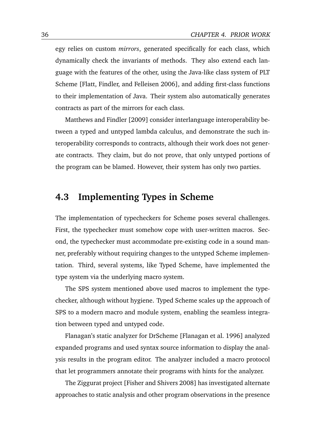egy relies on custom *mirrors*, generated specifically for each class, which dynamically check the invariants of methods. They also extend each language with the features of the other, using the Java-like class system of PLT Scheme [\[Flatt, Findler, and Felleisen](#page-173-2) [2006\]](#page-173-2), and adding first-class functions to their implementation of Java. Their system also automatically generates contracts as part of the mirrors for each class.

[Matthews and Findler](#page-176-3) [\[2009\]](#page-176-3) consider interlanguage interoperability between a typed and untyped lambda calculus, and demonstrate the such interoperability corresponds to contracts, although their work does not generate contracts. They claim, but do not prove, that only untyped portions of the program can be blamed. However, their system has only two parties.

## **4.3 Implementing Types in Scheme**

The implementation of typecheckers for Scheme poses several challenges. First, the typechecker must somehow cope with user-written macros. Second, the typechecker must accommodate pre-existing code in a sound manner, preferably without requiring changes to the untyped Scheme implementation. Third, several systems, like Typed Scheme, have implemented the type system via the underlying macro system.

The SPS system mentioned above used macros to implement the typechecker, although without hygiene. Typed Scheme scales up the approach of SPS to a modern macro and module system, enabling the seamless integration between typed and untyped code.

Flanagan's static analyzer for DrScheme [\[Flanagan et al.](#page-173-1) [1996\]](#page-173-1) analyzed expanded programs and used syntax source information to display the analysis results in the program editor. The analyzer included a macro protocol that let programmers annotate their programs with hints for the analyzer.

The Ziggurat project [\[Fisher and Shivers](#page-172-1) [2008\]](#page-172-1) has investigated alternate approaches to static analysis and other program observations in the presence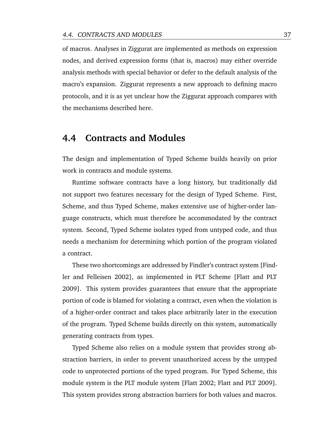of macros. Analyses in Ziggurat are implemented as methods on expression nodes, and derived expression forms (that is, macros) may either override analysis methods with special behavior or defer to the default analysis of the macro's expansion. Ziggurat represents a new approach to defining macro protocols, and it is as yet unclear how the Ziggurat approach compares with the mechanisms described here.

### **4.4 Contracts and Modules**

The design and implementation of Typed Scheme builds heavily on prior work in contracts and module systems.

Runtime software contracts have a long history, but traditionally did not support two features necessary for the design of Typed Scheme. First, Scheme, and thus Typed Scheme, makes extensive use of higher-order language constructs, which must therefore be accommodated by the contract system. Second, Typed Scheme isolates typed from untyped code, and thus needs a mechanism for determining which portion of the program violated a contract.

These two shortcomings are addressed by Findler's contract system [\[Find](#page-172-2)[ler and Felleisen](#page-172-2) [2002\]](#page-172-2), as implemented in PLT Scheme [\[Flatt and PLT](#page-173-3) [2009\]](#page-173-3). This system provides guarantees that ensure that the appropriate portion of code is blamed for violating a contract, even when the violation is of a higher-order contract and takes place arbitrarily later in the execution of the program. Typed Scheme builds directly on this system, automatically generating contracts from types.

Typed Scheme also relies on a module system that provides strong abstraction barriers, in order to prevent unauthorized access by the untyped code to unprotected portions of the typed program. For Typed Scheme, this module system is the PLT module system [\[Flatt](#page-173-4) [2002;](#page-173-4) [Flatt and PLT](#page-173-3) [2009\]](#page-173-3). This system provides strong abstraction barriers for both values and macros.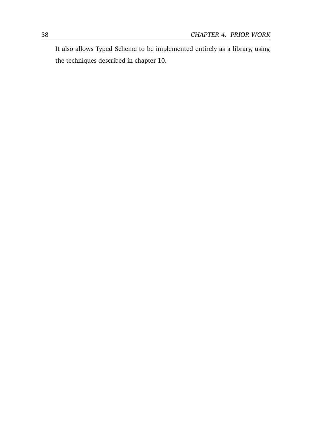It also allows Typed Scheme to be implemented entirely as a library, using the techniques described in chapter [10.](#page-112-0)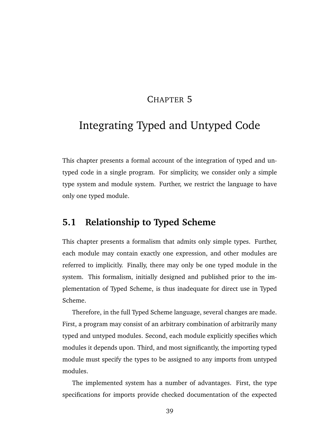## CHAPTER 5

# Integrating Typed and Untyped Code

This chapter presents a formal account of the integration of typed and untyped code in a single program. For simplicity, we consider only a simple type system and module system. Further, we restrict the language to have only one typed module.

# **5.1 Relationship to Typed Scheme**

This chapter presents a formalism that admits only simple types. Further, each module may contain exactly one expression, and other modules are referred to implicitly. Finally, there may only be one typed module in the system. This formalism, initially designed and published prior to the implementation of Typed Scheme, is thus inadequate for direct use in Typed Scheme.

Therefore, in the full Typed Scheme language, several changes are made. First, a program may consist of an arbitrary combination of arbitrarily many typed and untyped modules. Second, each module explicitly specifies which modules it depends upon. Third, and most significantly, the importing typed module must specify the types to be assigned to any imports from untyped modules.

The implemented system has a number of advantages. First, the type specifications for imports provide checked documentation of the expected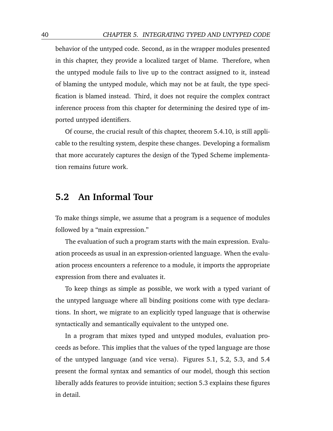behavior of the untyped code. Second, as in the wrapper modules presented in this chapter, they provide a localized target of blame. Therefore, when the untyped module fails to live up to the contract assigned to it, instead of blaming the untyped module, which may not be at fault, the type specification is blamed instead. Third, it does not require the complex contract inference process from this chapter for determining the desired type of imported untyped identifiers.

Of course, the crucial result of this chapter, theorem [5.4.10,](#page-72-0) is still applicable to the resulting system, despite these changes. Developing a formalism that more accurately captures the design of the Typed Scheme implementation remains future work.

## **5.2 An Informal Tour**

To make things simple, we assume that a program is a sequence of modules followed by a "main expression."

The evaluation of such a program starts with the main expression. Evaluation proceeds as usual in an expression-oriented language. When the evaluation process encounters a reference to a module, it imports the appropriate expression from there and evaluates it.

To keep things as simple as possible, we work with a typed variant of the untyped language where all binding positions come with type declarations. In short, we migrate to an explicitly typed language that is otherwise syntactically and semantically equivalent to the untyped one.

In a program that mixes typed and untyped modules, evaluation proceeds as before. This implies that the values of the typed language are those of the untyped language (and vice versa). Figures [5.1,](#page-54-0) [5.2,](#page-54-1) [5.3,](#page-54-2) and [5.4](#page-55-0) present the formal syntax and semantics of our model, though this section liberally adds features to provide intuition; section [5.3](#page-58-0) explains these figures in detail.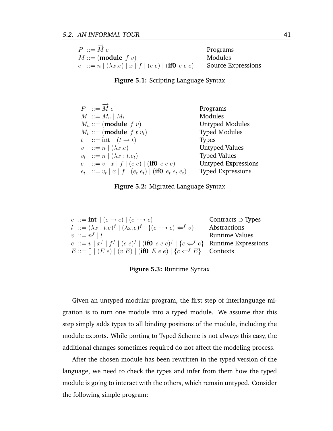<span id="page-54-0"></span>

| $P ::= \overrightarrow{M} e$                              | Programs                  |
|-----------------------------------------------------------|---------------------------|
| $M ::= (module f v)$                                      | Modules                   |
| $e := n   (\lambda x . e)   x   f   (e e)   (if 0 e e e)$ | <b>Source Expressions</b> |

**Figure 5.1:** Scripting Language Syntax

<span id="page-54-1"></span>

| $P \nightharpoonup \overrightarrow{M} e$                   | Programs                   |
|------------------------------------------------------------|----------------------------|
| $M \nightharpoonup M_u \mid M_t$                           | Modules                    |
| $M_u ::= (module f v)$                                     | Untyped Modules            |
| $M_t ::= (module \ f \ t \ v_t)$                           | <b>Typed Modules</b>       |
| t ::= int $(t \rightarrow t)$                              | <b>Types</b>               |
| $v$ : $n \mid (\lambda x.e)$                               | <b>Untyped Values</b>      |
| $v_t$ : = $n   (\lambda x : t.e_t)$                        | <b>Typed Values</b>        |
| $e$ := $v   x   f   (e e)  $ (if0 $e e e$ )                | <b>Untyped Expressions</b> |
| $e_t$ ::= $v_t   x   f   (e_t e_t)  $ (if0 $e_t e_t e_t$ ) | <b>Typed Expressions</b>   |

| Figure 5.2: Migrated Language Syntax |  |  |  |
|--------------------------------------|--|--|--|
|--------------------------------------|--|--|--|

<span id="page-54-2"></span>

| $c ::= \textbf{int} \mid (c \rightarrow c) \mid (c \rightarrow c)$                              | Contracts $\supset$ Types |
|-------------------------------------------------------------------------------------------------|---------------------------|
| $l$ ::= $(\lambda x : t.e)^f \mid (\lambda x.e)^f \mid \{(c \rightarrow c) \Leftarrow^f v\}$    | Abstractions              |
| $v \ ::= n^f \mid l$                                                                            | <b>Runtime Values</b>     |
| $e := v   x^f   f^f   (e e)^f  $ (if0 $e e e)^f   \{c \leftarrow^f e\}$ Runtime Expressions     |                           |
| $E ::= \left[   (E e)   (v E)   (\textbf{if0} \ E e e)   \{c \leftarrow^f E\} \right]$ Contexts |                           |

**Figure 5.3:** Runtime Syntax

Given an untyped modular program, the first step of interlanguage migration is to turn one module into a typed module. We assume that this step simply adds types to all binding positions of the module, including the module exports. While porting to Typed Scheme is not always this easy, the additional changes sometimes required do not affect the modeling process.

After the chosen module has been rewritten in the typed version of the language, we need to check the types and infer from them how the typed module is going to interact with the others, which remain untyped. Consider the following simple program: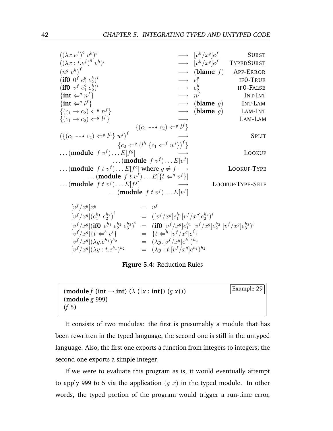<span id="page-55-0"></span> $((\lambda x. e^f)^g v^h)$  $\longrightarrow$   $[v^h/x^g]e$ **SUBST**  $((\lambda x : t.e^f)^{g'}v^h)$  $i \longrightarrow [v^h/x^g]e$ **TYPEDSUBST**  $(n^g v^h)$ <sup>f</sup> −→ (**blame** f) APP-ERROR  $(\textbf{if0} \;\; 0^f \;\: e_1^g \;\: e_2^h)$ i  $\longrightarrow e_1^g$ 1 IF0-TRUE  $(\textbf{if0} \;\; v^f \;\: e_1^g \;\: e_2^h)$ i  $\longrightarrow e_2^h$ IF0-FALSE  $\{\mathbf{int} \Leftarrow^g n^f\}$ f }  $\longrightarrow n^f$ INT-INT  $\{int \leftarrow g$  $\rightarrow$  (**blame** g) INT-LAM  $\{(c_1 \rightarrow c_2) \Leftarrow^g n^f\}$  $\longrightarrow$  (**blame** g) LAM-INT  $\{(c_1 \rightarrow c_2) \Leftarrow^g l$ LAM-LAM  $\{(c_1 \dashrightarrow c_2) \Leftarrow^g l^f\}$  $(\{(c_1 \dashrightarrow c_2) \Leftarrow^g l^h\} w^i)^f$   $\longrightarrow$  Split  ${c_2 \leftarrow^g (l^h \{c_1 \leftarrow^f w^i\})^f}$  $\ldots$  (**module**  $f v^f$ )  $\ldots E[f^g]$ LOOKUP  $\dots$  (**module**  $f v^f$ )  $\dots$   $E[v^f]$  $\dots$  (**module**  $f t v^f$ )  $\dots E[f^g]$  where  $g \neq f \longrightarrow$  LOOKUP-TYPE ... (**module**  $f t v^f$ )...  $E[{t \Leftarrow^{g} v^f}]$  $\ldots$  (**module**  $f \cdot v^f$ )  $\ldots E[f^f]$ LOOKUP-TYPE-SELF  $\dots$  (**module**  $f t v^f$ )  $\dots$   $E[v^f]$ f

$$
\begin{array}{rcl}\n[v^f/x^g]x^g & = & v^f \\
[v^f/x^g](e_1^{h_1} e_2^{h_2})^i & = & ([v^f/x^g]e_1^{h_1}[v^f/x^g]e_2^{h_2})^i \\
[v^f/x^g](\mathbf{ifO} \ e_1^{h_1} e_2^{h_2} e_3^{h_3})^i & = & (\mathbf{ifO} \ [v^f/x^g]e_1^{h_1} \ [v^f/x^g]e_2^{h_2} \ [v^f/x^g]e_3^{h_3})^i \\
[v^f/x^g] \{t \Leftarrow^h e^i\} & = & \{t \Leftarrow^h [v^f/x^g]e^i\} \\
[v^f/x^g](\lambda y.e^{h_1})^{h_2} & = & (\lambda y \cdot [v^f/x^g]e^{h_1})^{h_2} \\
[v^f/x^g](\lambda y \cdot t.e^{h_1})^{h_2} & = & (\lambda y \cdot t \cdot [v^f/x^g]e^{h_1})^{h_2}\n\end{array}
$$

**Figure 5.4:** Reduction Rules



It consists of two modules: the first is presumably a module that has been rewritten in the typed language, the second one is still in the untyped language. Also, the first one exports a function from integers to integers; the second one exports a simple integer.

If we were to evaluate this program as is, it would eventually attempt to apply 999 to 5 via the application  $(g \, x)$  in the typed module. In other words, the typed portion of the program would trigger a run-time error,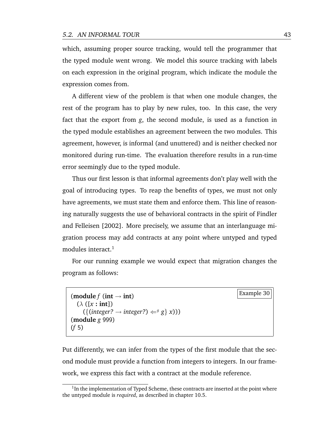which, assuming proper source tracking, would tell the programmer that the typed module went wrong. We model this source tracking with labels on each expression in the original program, which indicate the module the expression comes from.

A different view of the problem is that when one module changes, the rest of the program has to play by new rules, too. In this case, the very fact that the export from *g*, the second module, is used as a function in the typed module establishes an agreement between the two modules. This agreement, however, is informal (and unuttered) and is neither checked nor monitored during run-time. The evaluation therefore results in a run-time error seemingly due to the typed module.

Thus our first lesson is that informal agreements don't play well with the goal of introducing types. To reap the benefits of types, we must not only have agreements, we must state them and enforce them. This line of reasoning naturally suggests the use of behavioral contracts in the spirit of [Findler](#page-172-2) [and Felleisen](#page-172-2) [\[2002\]](#page-172-2). More precisely, we assume that an interlanguage migration process may add contracts at any point where untyped and typed modules interact. $<sup>1</sup>$ </sup>

For our running example we would expect that migration changes the program as follows:

```
{Example 30} {Example 30}(\lambda ([x : int])
   ({{interger? \rightarrow integer?}) \Leftarrow gx))
(module g 999)
(f 5)
```
Put differently, we can infer from the types of the first module that the second module must provide a function from integers to integers. In our framework, we express this fact with a contract at the module reference.

<sup>&</sup>lt;sup>1</sup>In the implementation of Typed Scheme, these contracts are inserted at the point where the untyped module is *required*, as described in chapter [10.5.](#page-131-0)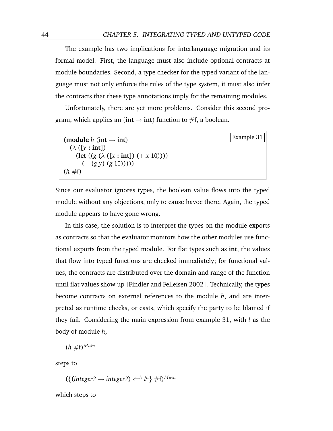The example has two implications for interlanguage migration and its formal model. First, the language must also include optional contracts at module boundaries. Second, a type checker for the typed variant of the language must not only enforce the rules of the type system, it must also infer the contracts that these type annotations imply for the remaining modules.

Unfortunately, there are yet more problems. Consider this second program, which applies an ( $int \rightarrow int$ ) function to #f, a boolean.

<span id="page-57-0"></span>

| (module h (int $\rightarrow$ int)                          | Example $31$ |
|------------------------------------------------------------|--------------|
| $(\lambda$ ([y : int])                                     |              |
| $(\text{let } ((g (\lambda ([x : \text{int}]) (+ x 10))))$ |              |
| $(+ (g y) (g 10))))$                                       |              |
| $(h \#f)$                                                  |              |

Since our evaluator ignores types, the boolean value flows into the typed module without any objections, only to cause havoc there. Again, the typed module appears to have gone wrong.

In this case, the solution is to interpret the types on the module exports as contracts so that the evaluator monitors how the other modules use functional exports from the typed module. For flat types such as **int**, the values that flow into typed functions are checked immediately; for functional values, the contracts are distributed over the domain and range of the function until flat values show up [\[Findler and Felleisen](#page-172-2) [2002\]](#page-172-2). Technically, the types become contracts on external references to the module *h*, and are interpreted as runtime checks, or casts, which specify the party to be blamed if they fail. Considering the main expression from example [31,](#page-57-0) with  $l$  as the body of module *h*,

 $(h \# f)^{Main}$ 

steps to

 $({$ {interger? \rightarrow integer?) \Leftarrow^h l^h} \#f}<sup>*Main*</sup>

which steps to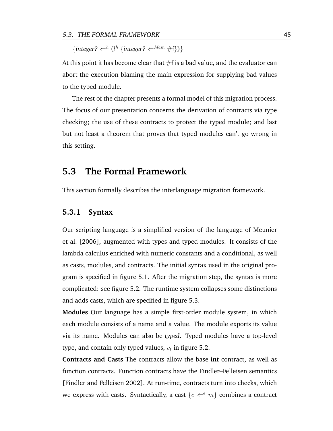$\{integer? \Leftarrow^h (l^h \{integer? \Leftarrow^{Main} \#f\})\}$ 

At this point it has become clear that  $#f$  is a bad value, and the evaluator can abort the execution blaming the main expression for supplying bad values to the typed module.

The rest of the chapter presents a formal model of this migration process. The focus of our presentation concerns the derivation of contracts via type checking; the use of these contracts to protect the typed module; and last but not least a theorem that proves that typed modules can't go wrong in this setting.

### <span id="page-58-0"></span>**5.3 The Formal Framework**

This section formally describes the interlanguage migration framework.

#### **5.3.1 Syntax**

Our scripting language is a simplified version of the language of [Meunier](#page-177-0) [et al.](#page-177-0) [\[2006\]](#page-177-0), augmented with types and typed modules. It consists of the lambda calculus enriched with numeric constants and a conditional, as well as casts, modules, and contracts. The initial syntax used in the original program is specified in figure [5.1.](#page-54-0) After the migration step, the syntax is more complicated: see figure [5.2.](#page-54-1) The runtime system collapses some distinctions and adds casts, which are specified in figure [5.3.](#page-54-2)

**Modules** Our language has a simple first-order module system, in which each module consists of a name and a value. The module exports its value via its name. Modules can also be *typed*. Typed modules have a top-level type, and contain only typed values,  $v_t$  in figure [5.2.](#page-54-1)

**Contracts and Casts** The contracts allow the base **int** contract, as well as function contracts. Function contracts have the Findler–Felleisen semantics [\[Findler and Felleisen](#page-172-2) [2002\]](#page-172-2). At run-time, contracts turn into checks, which we express with casts. Syntactically, a cast  ${c \Leftarrow^{e} m}$  combines a contract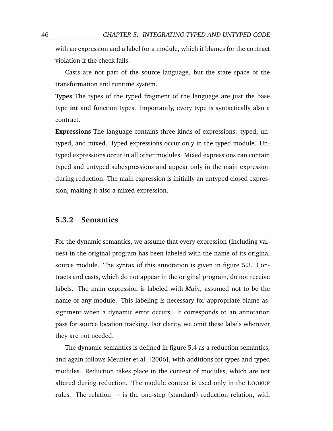with an expression and a label for a module, which it blames for the contract violation if the check fails.

Casts are not part of the source language, but the state space of the transformation and runtime system.

**Types** The types of the typed fragment of the language are just the base type **int** and function types. Importantly, every type is syntactically also a contract.

**Expressions** The language contains three kinds of expressions: typed, untyped, and mixed. Typed expressions occur only in the typed module. Untyped expressions occur in all other modules. Mixed expressions can contain typed and untyped subexpressions and appear only in the main expression during reduction. The main expression is initially an untyped closed expression, making it also a mixed expression.

#### **5.3.2 Semantics**

For the dynamic semantics, we assume that every expression (including values) in the original program has been labeled with the name of its original source module. The syntax of this annotation is given in figure [5.3.](#page-54-2) Contracts and casts, which do not appear in the original program, do not receive labels. The main expression is labeled with *Main*, assumed not to be the name of any module. This labeling is necessary for appropriate blame assignment when a dynamic error occurs. It corresponds to an annotation pass for source location tracking. For clarity, we omit these labels wherever they are not needed.

The dynamic semantics is defined in figure [5.4](#page-55-0) as a reduction semantics, and again follows [Meunier et al.](#page-177-0) [\[2006\]](#page-177-0), with additions for types and typed modules. Reduction takes place in the context of modules, which are not altered during reduction. The module context is used only in the LOOKUP rules. The relation  $\rightarrow$  is the one-step (standard) reduction relation, with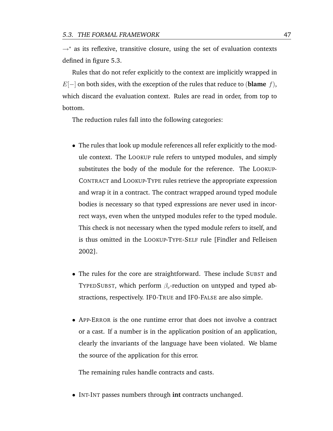$\rightarrow^*$  as its reflexive, transitive closure, using the set of evaluation contexts defined in figure [5.3.](#page-54-2)

Rules that do not refer explicitly to the context are implicitly wrapped in E[−] on both sides, with the exception of the rules that reduce to (**blame** f), which discard the evaluation context. Rules are read in order, from top to bottom.

The reduction rules fall into the following categories:

- The rules that look up module references all refer explicitly to the module context. The LOOKUP rule refers to untyped modules, and simply substitutes the body of the module for the reference. The LOOKUP-CONTRACT and LOOKUP-TYPE rules retrieve the appropriate expression and wrap it in a contract. The contract wrapped around typed module bodies is necessary so that typed expressions are never used in incorrect ways, even when the untyped modules refer to the typed module. This check is not necessary when the typed module refers to itself, and is thus omitted in the LOOKUP-TYPE-SELF rule [\[Findler and Felleisen](#page-172-2) [2002\]](#page-172-2).
- The rules for the core are straightforward. These include SUBST and TYPEDSUBST, which perform  $\beta_v$ -reduction on untyped and typed abstractions, respectively. IF0-TRUE and IF0-FALSE are also simple.
- APP-ERROR is the one runtime error that does not involve a contract or a cast. If a number is in the application position of an application, clearly the invariants of the language have been violated. We blame the source of the application for this error.

The remaining rules handle contracts and casts.

• INT-INT passes numbers through **int** contracts unchanged.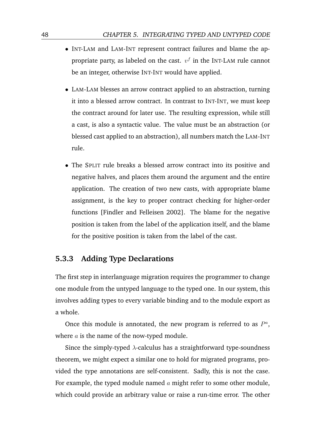- INT-LAM and LAM-INT represent contract failures and blame the appropriate party, as labeled on the cast.  $v^f$  in the INT-LAM rule cannot be an integer, otherwise INT-INT would have applied.
- LAM-LAM blesses an arrow contract applied to an abstraction, turning it into a blessed arrow contract. In contrast to INT-INT, we must keep the contract around for later use. The resulting expression, while still a cast, is also a syntactic value. The value must be an abstraction (or blessed cast applied to an abstraction), all numbers match the LAM-INT rule.
- The SPLIT rule breaks a blessed arrow contract into its positive and negative halves, and places them around the argument and the entire application. The creation of two new casts, with appropriate blame assignment, is the key to proper contract checking for higher-order functions [\[Findler and Felleisen](#page-172-2) [2002\]](#page-172-2). The blame for the negative position is taken from the label of the application itself, and the blame for the positive position is taken from the label of the cast.

#### **5.3.3 Adding Type Declarations**

The first step in interlanguage migration requires the programmer to change one module from the untyped language to the typed one. In our system, this involves adding types to every variable binding and to the module export as a whole.

Once this module is annotated, the new program is referred to as  $P^a$ , where  $a$  is the name of the now-typed module.

Since the simply-typed  $\lambda$ -calculus has a straightforward type-soundness theorem, we might expect a similar one to hold for migrated programs, provided the type annotations are self-consistent. Sadly, this is not the case. For example, the typed module named  $a$  might refer to some other module, which could provide an arbitrary value or raise a run-time error. The other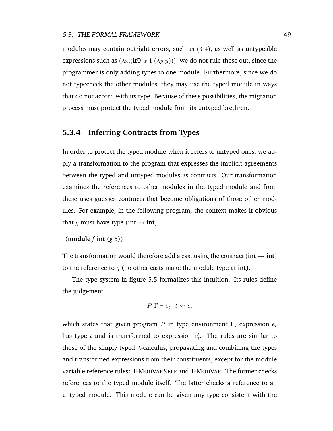modules may contain outright errors, such as (3 4), as well as untypeable expressions such as  $(\lambda x.(\textbf{if0 } x 1 (\lambda y. y))))$ ; we do not rule these out, since the programmer is only adding types to one module. Furthermore, since we do not typecheck the other modules, they may use the typed module in ways that do not accord with its type. Because of these possibilities, the migration process must protect the typed module from its untyped brethren.

#### **5.3.4 Inferring Contracts from Types**

In order to protect the typed module when it refers to untyped ones, we apply a transformation to the program that expresses the implicit agreements between the typed and untyped modules as contracts. Our transformation examines the references to other modules in the typed module and from these uses guesses contracts that become obligations of those other modules. For example, in the following program, the context makes it obvious that g must have type ( $int \rightarrow int$ ):

(**module** *f* **int** (*g* 5))

The transformation would therefore add a cast using the contract ( $int \rightarrow int$ ) to the reference to g (no other casts make the module type at **int**).

The type system in figure [5.5](#page-63-0) formalizes this intuition. Its rules define the judgement

$$
P, \Gamma \vdash e_t : t \leadsto e'_t
$$

which states that given program P in type environment  $\Gamma$ , expression  $e_t$ has type  $t$  and is transformed to expression  $e'_t$ . The rules are similar to those of the simply typed  $\lambda$ -calculus, propagating and combining the types and transformed expressions from their constituents, except for the module variable reference rules: T-MODVARSELF and T-MODVAR. The former checks references to the typed module itself. The latter checks a reference to an untyped module. This module can be given any type consistent with the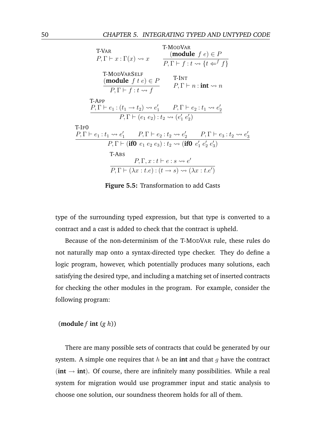<span id="page-63-0"></span>

| T-VAR<br>$P, \Gamma \vdash x : \Gamma(x) \rightsquigarrow x$                                                            | T-MODVAR<br>(module $f e \in P$<br>$P, \Gamma \vdash f : t \leadsto \{t \Leftarrow^f f\}$                                                                |
|-------------------------------------------------------------------------------------------------------------------------|----------------------------------------------------------------------------------------------------------------------------------------------------------|
| <b>T-MODVARSELF</b><br>(module $f \, t \, e) \in P$<br>$P, \Gamma \vdash f : t \leadsto f$                              | T-INT<br>$P, \Gamma \vdash n : \textbf{int} \leadsto n$                                                                                                  |
| T-App                                                                                                                   |                                                                                                                                                          |
| $P, \Gamma \vdash e_1 : (t_1 \rightarrow t_2) \rightsquigarrow e'_1$ $P, \Gamma \vdash e_2 : t_1 \rightsquigarrow e'_2$ |                                                                                                                                                          |
| $P, \Gamma \vdash (e_1 \ e_2) : t_2 \leadsto (e'_1 \ e'_2)$                                                             |                                                                                                                                                          |
| $T-IF0$                                                                                                                 |                                                                                                                                                          |
|                                                                                                                         | $P, \Gamma \vdash e_1 : t_1 \rightsquigarrow e'_1$ $P, \Gamma \vdash e_2 : t_2 \rightsquigarrow e'_2$ $P, \Gamma \vdash e_3 : t_2 \rightsquigarrow e'_3$ |
|                                                                                                                         | $P, \Gamma \vdash (if0 \ e_1 \ e_2 \ e_3) : t_2 \leadsto (if0 \ e'_1 \ e'_2 \ e'_3)$                                                                     |
| T-ABS                                                                                                                   |                                                                                                                                                          |
|                                                                                                                         | $P, \Gamma, x : t \vdash e : s \leadsto e'$                                                                                                              |
|                                                                                                                         | $P, \Gamma \vdash (\lambda x : t.e) : (t \rightarrow s) \rightsquigarrow (\lambda x : t.e')$                                                             |

**Figure 5.5:** Transformation to add Casts

type of the surrounding typed expression, but that type is converted to a contract and a cast is added to check that the contract is upheld.

Because of the non-determinism of the T-MODVAR rule, these rules do not naturally map onto a syntax-directed type checker. They do define a logic program, however, which potentially produces many solutions, each satisfying the desired type, and including a matching set of inserted contracts for checking the other modules in the program. For example, consider the following program:

(**module**  $f$  **int**  $(g h)$ )

There are many possible sets of contracts that could be generated by our system. A simple one requires that  $h$  be an **int** and that  $g$  have the contract  $(int \rightarrow int)$ . Of course, there are infinitely many possibilities. While a real system for migration would use programmer input and static analysis to choose one solution, our soundness theorem holds for all of them.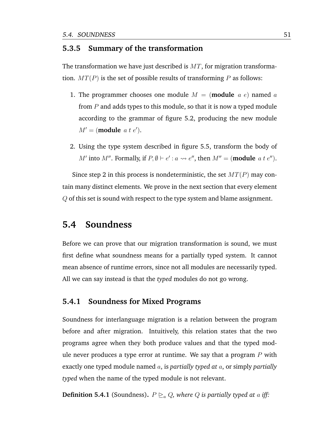#### **5.3.5 Summary of the transformation**

The transformation we have just described is  $MT$ , for migration transformation.  $MT(P)$  is the set of possible results of transforming P as follows:

- 1. The programmer chooses one module  $M = ($ **module**  $a e)$  named  $a$ from  $P$  and adds types to this module, so that it is now a typed module according to the grammar of figure [5.2,](#page-54-1) producing the new module  $M' = (module \ a \ t \ e').$
- 2. Using the type system described in figure [5.5,](#page-63-0) transform the body of M' into M''. Formally, if  $P, \emptyset \vdash e' : a \leadsto e''$ , then  $M'' = (\text{module } a t e'')$ .

Since step 2 in this process is nondeterministic, the set  $MT(P)$  may contain many distinct elements. We prove in the next section that every element Q of this set is sound with respect to the type system and blame assignment.

## **5.4 Soundness**

Before we can prove that our migration transformation is sound, we must first define what soundness means for a partially typed system. It cannot mean absence of runtime errors, since not all modules are necessarily typed. All we can say instead is that the *typed* modules do not go wrong.

#### **5.4.1 Soundness for Mixed Programs**

Soundness for interlanguage migration is a relation between the program before and after migration. Intuitively, this relation states that the two programs agree when they both produce values and that the typed module never produces a type error at runtime. We say that a program  $P$  with exactly one typed module named a, is *partially typed at* a, or simply *partially typed* when the name of the typed module is not relevant.

**Definition 5.4.1** (Soundness).  $P \geq_a Q$ , where Q is partially typed at a iff: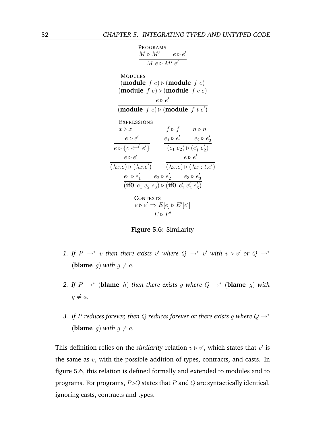<span id="page-65-0"></span>

| PROGRAMS                                                      |                                                              |                           |
|---------------------------------------------------------------|--------------------------------------------------------------|---------------------------|
| $\overline{M} \triangleright \overline{M'}$                   | $e \triangleright e'$                                        |                           |
| MODULES                                                       |                                                              |                           |
| (module $f e) \triangleright (\text{module } f e)$            |                                                              |                           |
| (module $f e) \triangleright (\text{module } f e e)$          |                                                              |                           |
| $e \triangleright e'$                                         |                                                              |                           |
| (module $f e) \triangleright (\text{module } f t e')$         |                                                              |                           |
| EXPRESSIONS                                                   | $f \triangleright f$                                         | $n \triangleright n$      |
| $e \triangleright e'$                                         | $e_1 \triangleright e'_1$                                    | $e_2 \triangleright e'_2$ |
| $e \triangleright \{c \Leftarrow^f e'\}$                      | $e_1 \triangleright e'_1$                                    | $e_2 \triangleright e'_2$ |
| $(\lambda x.e) \triangleright (\lambda x.e')$                 | $(\lambda x.e) \triangleright (\lambda x : t.e')$            |                           |
| $e_1 \triangleright e'_1$                                     | $e_2 \triangleright e'_2$                                    | $e_3 \triangleright e'_3$ |
| (if $0 e_1 e_2 e_3$ ) \triangleright (if $0 e'_1 e'_2 e'_3$ ) |                                                              |                           |
| CONTENTS                                                      | $e \triangleright e' \Rightarrow E[e] \triangleright E'[e']$ |                           |
| $E \triangleright E'$                                         |                                                              |                           |

**Figure 5.6:** Similarity

- 1. If  $P \rightarrow^* v$  then there exists v' where  $Q \rightarrow^* v'$  with  $v \triangleright v'$  or  $Q \rightarrow^* v'$ (**blame** g) with  $g \neq a$ .
- 2. If  $P \rightarrow^*$  (blame h) then there exists g where  $Q \rightarrow^*$  (blame g) with  $g \neq a$ .
- *3. If* P *reduces forever, then* Q *reduces forever or there exists* g *where* Q →<sup>∗</sup> (**blame** g) with  $g \neq a$ .

This definition relies on the *similarity* relation  $v \triangleright v'$ , which states that  $v'$  is the same as  $v$ , with the possible addition of types, contracts, and casts. In figure [5.6,](#page-65-0) this relation is defined formally and extended to modules and to programs. For programs,  $P \triangleright Q$  states that P and Q are syntactically identical, ignoring casts, contracts and types.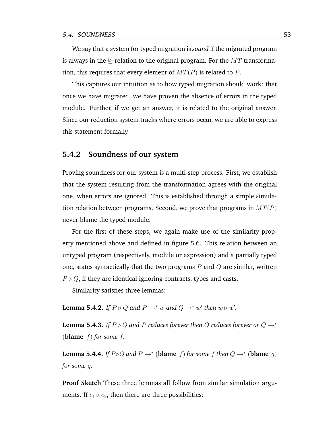We say that a system for typed migration is *sound* if the migrated program is always in the  $\triangleright$  relation to the original program. For the MT transformation, this requires that every element of  $MT(P)$  is related to P.

This captures our intuition as to how typed migration should work: that once we have migrated, we have proven the absence of errors in the typed module. Further, if we get an answer, it is related to the original answer. Since our reduction system tracks where errors occur, we are able to express this statement formally.

#### **5.4.2 Soundness of our system**

Proving soundness for our system is a multi-step process. First, we establish that the system resulting from the transformation agrees with the original one, when errors are ignored. This is established through a simple simulation relation between programs. Second, we prove that programs in  $MT(P)$ never blame the typed module.

For the first of these steps, we again make use of the similarity property mentioned above and defined in figure [5.6.](#page-65-0) This relation between an untyped program (respectively, module or expression) and a partially typed one, states syntactically that the two programs  $P$  and  $Q$  are similar, written  $P \triangleright Q$ , if they are identical ignoring contracts, types and casts.

Similarity satisfies three lemmas:

**Lemma 5.4.2.** If  $P \triangleright Q$  and  $P \rightarrow^* w$  and  $Q \rightarrow^* w'$  then  $w \triangleright w'$ .

**Lemma 5.4.3.** *If*  $P \triangleright Q$  *and*  $P$  *reduces forever then*  $Q$  *reduces forever or*  $Q \rightarrow^*$ **(blame**  $f$ ) for some  $f$ .

**Lemma 5.4.4.** *If*  $P \triangleright Q$  *and*  $P \rightarrow^*$  (**blame** f) *for some* f *then*  $Q \rightarrow^*$  (**blame** g) *for some* g*.*

**Proof Sketch** These three lemmas all follow from similar simulation arguments. If  $e_1 \triangleright e_2$ , then there are three possibilities: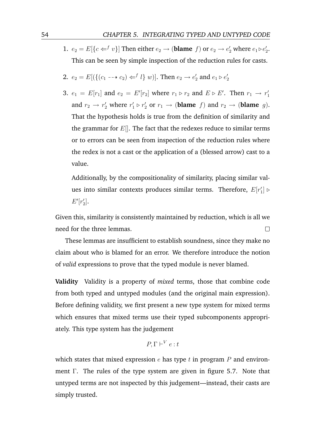1.  $e_2 = E[\lbrace c \Leftarrow^f v \rbrace]$  Then either  $e_2 \to (\text{blame } f)$  or  $e_2 \to e'_2$  where  $e_1 \triangleright e'_2$ . This can be seen by simple inspection of the reduction rules for casts.

2. 
$$
e_2 = E[(\{(c_1 \rightarrow c_2) \Leftarrow^f l\} w)]
$$
. Then  $e_2 \rightarrow e'_2$  and  $e_1 \triangleright e'_2$ 

3.  $e_1 = E[r_1]$  and  $e_2 = E'[r_2]$  where  $r_1 \triangleright r_2$  and  $E \triangleright E'$ . Then  $r_1 \rightarrow r'_1$ and  $r_2 \rightarrow r_2'$  where  $r_1' \triangleright r_2'$  or  $r_1 \rightarrow$  (**blame** f) and  $r_2 \rightarrow$  (**blame** g). That the hypothesis holds is true from the definition of similarity and the grammar for  $E[$ . The fact that the redexes reduce to similar terms or to errors can be seen from inspection of the reduction rules where the redex is not a cast or the application of a (blessed arrow) cast to a value.

Additionally, by the compositionality of similarity, placing similar values into similar contexts produces similar terms. Therefore,  $E[r_1'] \triangleright$  $E'[r'_2]$ .

Given this, similarity is consistently maintained by reduction, which is all we need for the three lemmas.  $\Box$ 

These lemmas are insufficient to establish soundness, since they make no claim about who is blamed for an error. We therefore introduce the notion of *valid* expressions to prove that the typed module is never blamed.

**Validity** Validity is a property of *mixed* terms, those that combine code from both typed and untyped modules (and the original main expression). Before defining validity, we first present a new type system for mixed terms which ensures that mixed terms use their typed subcomponents appropriately. This type system has the judgement

$$
P, \Gamma \vdash^V e : t
$$

which states that mixed expression  $e$  has type  $t$  in program  $P$  and environment Γ. The rules of the type system are given in figure [5.7.](#page-68-0) Note that untyped terms are not inspected by this judgement—instead, their casts are simply trusted.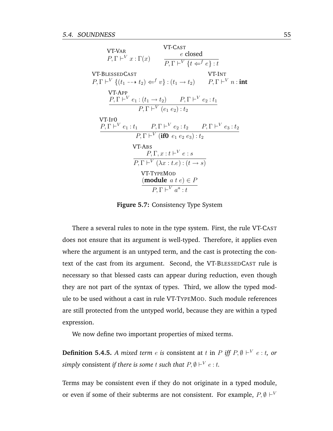<span id="page-68-0"></span>

| <b>VT-VAR</b><br>$P, \Gamma \vdash^{V} x : \Gamma(x)$                                                                                                            | VT-CAST<br>e closed<br>$P, \Gamma \vdash^{V} \{t \Leftarrow^{f} e\} : t$                                                                                             |        |
|------------------------------------------------------------------------------------------------------------------------------------------------------------------|----------------------------------------------------------------------------------------------------------------------------------------------------------------------|--------|
| <b>VT-BLESSEDCAST</b><br>$P, \Gamma \vdash^{V} \{ (t_1 \dashrightarrow t_2) \Leftarrow^{f} v \} : (t_1 \rightarrow t_2)$ $P, \Gamma \vdash^{V} n : \mathbf{int}$ |                                                                                                                                                                      | VT-INT |
| VT-APP<br>$P, \Gamma \vdash^{V} e_1 : (t_1 \to t_2)$ $P, \Gamma \vdash^{V} e_2 : t_1$                                                                            | $P, \Gamma \vdash^{V} (e_1 \ e_2) : t_2$                                                                                                                             |        |
| VT-IF0<br>$P, \Gamma \vdash^{V} e_1 : t_1 \qquad P, \Gamma \vdash^{V} e_2 : t_2 \qquad P, \Gamma \vdash^{V} e_3 : t_2$                                           |                                                                                                                                                                      |        |
| VT-ABS                                                                                                                                                           | $P, \Gamma \vdash^{V} (\textbf{if0} \ e_1 \ e_2 \ e_3) : t_2$<br>$P, \Gamma, x : t \vdash^{V} e : s$<br>$P, \Gamma \vdash^{V} (\lambda x : t.e) : (t \rightarrow s)$ |        |
|                                                                                                                                                                  | <b>VT-TYPEMOD</b><br>(module <i>a</i> $t e$ ) $\in$ <i>P</i><br>$P, \Gamma \vdash^{V} a^{a} : t$                                                                     |        |

**Figure 5.7:** Consistency Type System

There a several rules to note in the type system. First, the rule VT-CAST does not ensure that its argument is well-typed. Therefore, it applies even where the argument is an untyped term, and the cast is protecting the context of the cast from its argument. Second, the VT-BLESSEDCAST rule is necessary so that blessed casts can appear during reduction, even though they are not part of the syntax of types. Third, we allow the typed module to be used without a cast in rule VT-TYPEMOD. Such module references are still protected from the untyped world, because they are within a typed expression.

We now define two important properties of mixed terms.

**Definition 5.4.5.** A mixed term  $e$  is consistent at  $t$  in  $P$  iff  $P, \emptyset \vdash^{V} e:t$ , or simply consistent *if there is some*  $t$  *such that*  $P, \emptyset \vdash^{V} e : t.$ 

Terms may be consistent even if they do not originate in a typed module, or even if some of their subterms are not consistent. For example,  $P, \emptyset \vdash^{V}$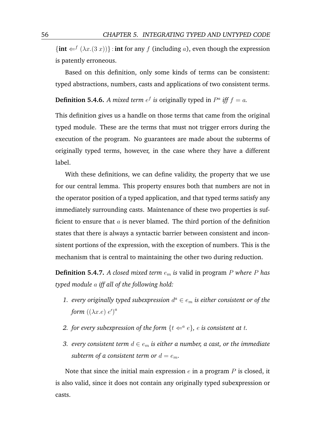${\{\text{int} \in f(\lambda x. (3 x))\}}$ : **int** for any f (including a), even though the expression is patently erroneous.

Based on this definition, only some kinds of terms can be consistent: typed abstractions, numbers, casts and applications of two consistent terms.

**Definition 5.4.6.** A mixed term  $e^f$  is originally typed in  $P^a$  iff  $f = a$ .

This definition gives us a handle on those terms that came from the original typed module. These are the terms that must not trigger errors during the execution of the program. No guarantees are made about the subterms of originally typed terms, however, in the case where they have a different label.

With these definitions, we can define validity, the property that we use for our central lemma. This property ensures both that numbers are not in the operator position of a typed application, and that typed terms satisfy any immediately surrounding casts. Maintenance of these two properties is sufficient to ensure that  $a$  is never blamed. The third portion of the definition states that there is always a syntactic barrier between consistent and inconsistent portions of the expression, with the exception of numbers. This is the mechanism that is central to maintaining the other two during reduction.

**Definition 5.4.7.** *A closed mixed term* e<sup>m</sup> *is* valid in program P *where* P *has typed module* a *iff all of the following hold:*

- 1. *every originally typed subexpression*  $d^a \in e_m$  *is either consistent or of the* form  $((\lambda x.e) e)^a$
- 2. *for every subexpression of the form*  $\{t \leftarrow a e\}$ *, e is consistent at t.*
- *3. every consistent term*  $d \in e_m$  *is either a number, a cast, or the immediate subterm of a consistent term or*  $d = e_m$ .

Note that since the initial main expression  $e$  in a program  $P$  is closed, it is also valid, since it does not contain any originally typed subexpression or casts.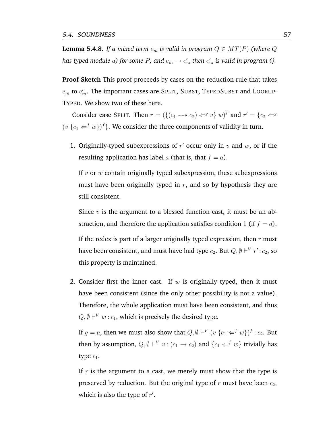**Lemma 5.4.8.** *If a mixed term*  $e_m$  *is valid in program*  $Q \in MT(P)$  *(where*  $Q$ has typed module  $a$ ) for some  $P$ , and  $e_m \to e'_m$  then  $e'_m$  is valid in program  $Q$ .

**Proof Sketch** This proof proceeds by cases on the reduction rule that takes  $e_m$  to  $e_m^\prime$ . The important cases are SPLIT, SUBST, TYPEDSUBST and LOOKUP-TYPED. We show two of these here.

Consider case SPLIT. Then  $r = (\{(c_1 - \rightarrow c_2) \Leftarrow^g v\} w)^f$  and  $r' = \{c_2 \Leftarrow^g v\}$  $(v \{c_1 \leftarrow^f w\})^f$ . We consider the three components of validity in turn.

1. Originally-typed subexpressions of  $r'$  occur only in  $v$  and  $w$ , or if the resulting application has label a (that is, that  $f = a$ ).

If  $v$  or  $w$  contain originally typed subexpression, these subexpressions must have been originally typed in  $r$ , and so by hypothesis they are still consistent.

Since  $v$  is the argument to a blessed function cast, it must be an abstraction, and therefore the application satisfies condition 1 (if  $f = a$ ).

If the redex is part of a larger originally typed expression, then  $r$  must have been consistent, and must have had type  $c_2.$  But  $Q, \emptyset \vdash^{V} r'$  :  $c_2,$  so this property is maintained.

2. Consider first the inner cast. If w is originally typed, then it must have been consistent (since the only other possibility is not a value). Therefore, the whole application must have been consistent, and thus  $Q, \emptyset \vdash^{V} w : c_1$ , which is precisely the desired type.

If  $g = a$ , then we must also show that  $Q, \emptyset \vdash^V (v \{c_1 \Leftarrow^f w\})^f : c_2$ . But then by assumption,  $Q, \emptyset \vdash^V v : (c_1 \to c_2)$  and  $\{c_1 \Leftarrow^f w\}$  trivially has type  $c_1$ .

If  $r$  is the argument to a cast, we merely must show that the type is preserved by reduction. But the original type of  $r$  must have been  $c_2$ , which is also the type of  $r'$ .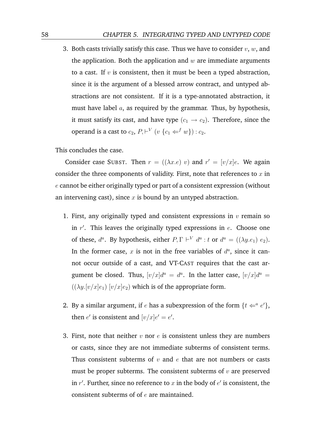3. Both casts trivially satisfy this case. Thus we have to consider  $v, w$ , and the application. Both the application and  $w$  are immediate arguments to a cast. If  $v$  is consistent, then it must be been a typed abstraction, since it is the argument of a blessed arrow contract, and untyped abstractions are not consistent. If it is a type-annotated abstraction, it must have label  $a$ , as required by the grammar. Thus, by hypothesis, it must satisfy its cast, and have type  $(c_1 \rightarrow c_2)$ . Therefore, since the operand is a cast to  $c_2$ ,  $P, \vdash^{V} (v \{c_1 \Leftarrow^{f} w\}) : c_2$ .

This concludes the case.

Consider case SUBST. Then  $r = ((\lambda x.e) v)$  and  $r' = [v/x]e$ . We again consider the three components of validity. First, note that references to  $x$  in  $e$  cannot be either originally typed or part of a consistent expression (without an intervening cast), since  $x$  is bound by an untyped abstraction.

- 1. First, any originally typed and consistent expressions in  $v$  remain so in  $r'$ . This leaves the originally typed expressions in  $e$ . Choose one of these,  $d^a$ . By hypothesis, either  $P, \Gamma \vdash^{V} d^a : t$  or  $d^a = ((\lambda y . e_1) e_2)$ . In the former case,  $x$  is not in the free variables of  $d^a$ , since it cannot occur outside of a cast, and VT-CAST requires that the cast argument be closed. Thus,  $[v/x]d^a = d^a$ . In the latter case,  $[v/x]d^a =$  $((\lambda y.[v/x]e_1)$   $[v/x]e_2)$  which is of the appropriate form.
- 2. By a similar argument, if *e* has a subexpression of the form  $\{t \leftarrow a e'\}$ , then  $e'$  is consistent and  $[v/x]e' = e'$ .
- 3. First, note that neither v nor e is consistent unless they are numbers or casts, since they are not immediate subterms of consistent terms. Thus consistent subterms of  $v$  and  $e$  that are not numbers or casts must be proper subterms. The consistent subterms of  $v$  are preserved in  $r'$ . Further, since no reference to x in the body of  $e'$  is consistent, the consistent subterms of of  $e$  are maintained.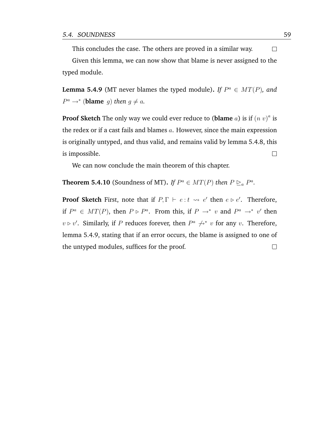This concludes the case. The others are proved in a similar way.  $\Box$ Given this lemma, we can now show that blame is never assigned to the typed module.

<span id="page-72-0"></span>**Lemma 5.4.9** (MT never blames the typed module). If  $P^a \in MT(P)$ , and  $P^a \rightarrow^*$  (**blame** g) then  $g \neq a$ .

**Proof Sketch** The only way we could ever reduce to (**blame**  $a$ ) is if  $(n \ v)^a$  is the redex or if a cast fails and blames  $a$ . However, since the main expression is originally untyped, and thus valid, and remains valid by lemma [5.4.8,](#page-69-0) this is impossible.  $\Box$ 

We can now conclude the main theorem of this chapter.

**Theorem 5.4.10** (Soundness of MT). *If*  $P^a \in MT(P)$  *then*  $P \succeq_a P^a$ .

**Proof Sketch** First, note that if  $P, \Gamma \vdash e : t \leadsto e'$  then  $e \triangleright e'$ . Therefore, if  $P^a \in MT(P)$ , then  $P \triangleright P^a$ . From this, if  $P \rightarrow^* v$  and  $P^a \rightarrow^* v'$  then  $v \triangleright v'$ . Similarly, if P reduces forever, then  $P^a \nightharpoonup^* v$  for any v. Therefore, lemma [5.4.9,](#page-72-0) stating that if an error occurs, the blame is assigned to one of the untyped modules, suffices for the proof. $\Box$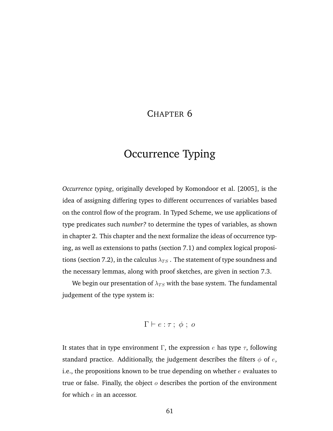## CHAPTER 6

# Occurrence Typing

*Occurrence typing*, originally developed by [Komondoor et al.](#page-176-0) [\[2005\]](#page-176-0), is the idea of assigning differing types to different occurrences of variables based on the control flow of the program. In Typed Scheme, we use applications of type predicates such *number?* to determine the types of variables, as shown in chapter [2.](#page-18-0) This chapter and the next formalize the ideas of occurrence typing, as well as extensions to paths (section [7.1\)](#page-84-0) and complex logical proposi-tions (section [7.2\)](#page-88-0), in the calculus  $\lambda_{TS}$  . The statement of type soundness and the necessary lemmas, along with proof sketches, are given in section [7.3.](#page-91-0)

We begin our presentation of  $\lambda_{TS}$  with the base system. The fundamental judgement of the type system is:

$$
\Gamma \vdash e : \tau \, ; \, \phi \, ; \, o
$$

It states that in type environment  $\Gamma$ , the expression e has type  $\tau$ , following standard practice. Additionally, the judgement describes the filters  $\phi$  of  $e$ , i.e., the propositions known to be true depending on whether  $e$  evaluates to true or false. Finally, the object  $o$  describes the portion of the environment for which  $e$  in an accessor.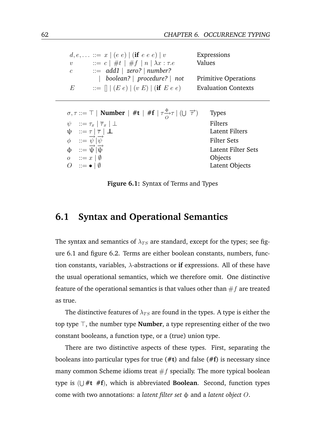<span id="page-75-0"></span>

|                  | $d, e, \ldots ::= x \mid (e \ e) \mid (\textbf{if} \ e \ e \ e) \mid v$ | Expressions                 |
|------------------|-------------------------------------------------------------------------|-----------------------------|
| $\boldsymbol{v}$ | $\therefore = c \mid #t \mid #f \mid n \mid \lambda x : \tau.e$         | Values                      |
| $\mathcal{C}$    | $ ::= add1   zero?   number?$                                           |                             |
|                  | boolean?   procedure?   not                                             | <b>Primitive Operations</b> |
| $\overline{E}$   | $ ::= \Box \cup (E e) \cup (v E) \cup (if E e e)$                       | <b>Evaluation Contexts</b>  |

| $\sigma, \tau ::= \top \mid$ Number $\mid \#t \mid \#f \mid \tau \frac{\phi}{\Omega} \tau \mid (\bigcup \overrightarrow{\tau})$   | <b>Types</b>              |
|-----------------------------------------------------------------------------------------------------------------------------------|---------------------------|
| $\psi$ $:= \tau_x   \overline{\tau}_x   \bot$                                                                                     | Filters                   |
| $\begin{array}{ll} \Psi & ::= \tau \mid \overline{\tau} \mid \bot \\ \phi & ::= \overline{\psi} \mid \overline{\psi} \end{array}$ | <b>Latent Filters</b>     |
|                                                                                                                                   | <b>Filter Sets</b>        |
| $\phi$ ::= $\overrightarrow{\psi} \overrightarrow{\psi}$                                                                          | <b>Latent Filter Sets</b> |
| $o$ : $x \mid \emptyset$                                                                                                          | Objects                   |
| O ::= $\bullet$   Ø                                                                                                               | Latent Objects            |

**Figure 6.1:** Syntax of Terms and Types

## **6.1 Syntax and Operational Semantics**

The syntax and semantics of  $\lambda_{TS}$  are standard, except for the types; see figure [6.1](#page-75-0) and figure [6.2.](#page-76-0) Terms are either boolean constants, numbers, function constants, variables,  $\lambda$ -abstractions or **if** expressions. All of these have the usual operational semantics, which we therefore omit. One distinctive feature of the operational semantics is that values other than  $\#f$  are treated as true.

The distinctive features of  $\lambda_{TS}$  are found in the types. A type is either the top type  $\top$ , the number type **Number**, a type representing either of the two constant booleans, a function type, or a (true) union type.

There are two distinctive aspects of these types. First, separating the booleans into particular types for true (**#t**) and false (**#f**) is necessary since many common Scheme idioms treat  $#f$  specially. The more typical boolean type is ( S **#t #f**), which is abbreviated **Boolean**. Second, function types come with two annotations: a *latent filter set* φ and a *latent object* O.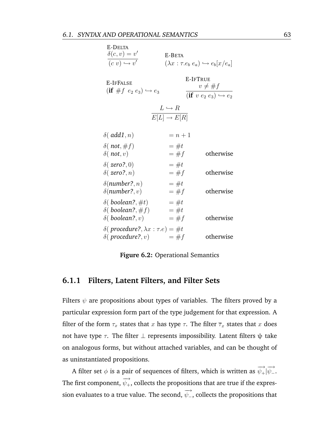<span id="page-76-0"></span>

| E-DELTA<br>$\delta(c,v) = v'$<br>$\overline{(c\ v)\hookrightarrow v'}$            | E-BETA                                           | $(\lambda x : \tau.e_b e_a) \hookrightarrow e_b[x/e_a]$                        |
|-----------------------------------------------------------------------------------|--------------------------------------------------|--------------------------------------------------------------------------------|
| E-IFFALSE<br>$(\text{if} \# f \ e_2 \ e_3) \hookrightarrow e_3$                   |                                                  | E-IFTRUE<br>$v \neq \#f$<br>$(\textbf{if } v \ e_2 \ e_3) \hookrightarrow e_2$ |
|                                                                                   | $L \hookrightarrow R$<br>$E[L] \rightarrow E[R]$ |                                                                                |
| $\delta$ (add1,n)                                                                 | $=n+1$                                           |                                                                                |
| $\delta$ (not, #f)<br>$\delta$ (not, v)                                           | $=$ #t<br>$=$ #f                                 | otherwise                                                                      |
| $\delta(zero?,0)$<br>$\delta(zero?, n)$                                           | $=$ #t<br>$=$ #f                                 | otherwise                                                                      |
| $\delta$ (number?, n)<br>$\delta$ (number?, v)                                    | $=$ #t<br>$=$ #f                                 | otherwise                                                                      |
| $\delta($ boolean?, #t)<br>$\delta($ boolean?, $\#f)$<br>$\delta($ boolean?, $v)$ | $=$ #t<br>$=$ #t<br>$=$ #f                       | otherwise                                                                      |
| $\delta$ (procedure?, $\lambda x : \tau.e$ ) = #t<br>$\delta($ procedure?, $v)$   | $=$ #f                                           | otherwise                                                                      |

**Figure 6.2:** Operational Semantics

#### **6.1.1 Filters, Latent Filters, and Filter Sets**

Filters  $\psi$  are propositions about types of variables. The filters proved by a particular expression form part of the type judgement for that expression. A filter of the form  $\tau_x$  states that x has type  $\tau$ . The filter  $\overline{\tau}_x$  states that x does not have type  $τ$ . The filter  $⊥$  represents impossibility. Latent filters  $ψ$  take on analogous forms, but without attached variables, and can be thought of as uninstantiated propositions.

A filter set  $\phi$  is a pair of sequences of filters, which is written as  $\overrightarrow{ \psi_+} | \overrightarrow{ \psi_-}.$ The first component,  $\overrightarrow{\psi_+}$ , collects the propositions that are true if the expression evaluates to a true value. The second,  $\overrightarrow{\psi_{-}}$ , collects the propositions that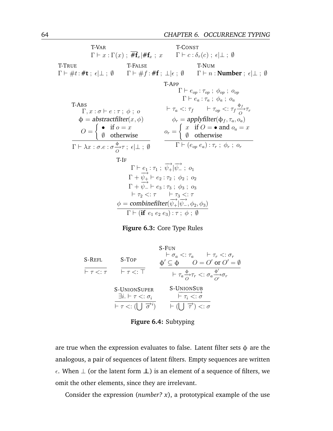<span id="page-77-0"></span>T-VAR  $\Gamma \vdash x : \Gamma(x) ;$   $\# \mathbf{f}_x | \# \mathbf{f}_x ; x$   $\Gamma \vdash c : \delta_\tau(c) ;$   $\epsilon | \bot ; \emptyset$ T-CONST T-TRUE  $\Gamma \vdash \#t : \#t ; \; \epsilon | \bot ; \; \emptyset$ T-FALSE  $\Gamma \vdash \#f : \# \mathbf{f}$ ;  $\bot | \epsilon$ ;  $\emptyset$ T-NUM  $\Gamma \vdash n :$  **Number** ;  $\epsilon \vdash \bot$  ;  $\emptyset$ T-ABS  $\Gamma, x : \sigma \vdash e : \tau \; ; \; \phi \; ; \; o$  $\phi =$  abstractfilter $(x, \phi)$  $O =$  $\int \bullet \text{ if } o = x$ ∅ otherwise  $\Gamma \vdash \lambda x : \sigma.e : \sigma \frac{\Phi}{O} \tau \; ; \; \epsilon | \bot \; ; \; \emptyset$ T-APP  $\Gamma \vdash e_{op} : \tau_{op} ; \phi_{op} ; o_{op}$  $\Gamma \vdash e_a : \tau_a \; ; \; \phi_a \; ; \; o_a$  $\vdash \tau_a \lt: \tau_f \qquad \vdash \tau_{op} \lt: \tau_f \frac{\phi_f}{O} \tau_r$  $\phi_r =$  applyfilter $(\varphi_f, \tau_a, o_a)$  $o_r =$  $\int x$  if  $O = \bullet$  and  $o_a = x$ ∅ otherwise  $\Gamma \vdash (e_{op} \; e_a) : \tau_r \; ; \; \phi_r \; ; \; o_r$ T-IF  $\Gamma \vdash e_1 : \tau_1 ; \overrightarrow{\psi_+} | \overrightarrow{\psi_-} ; o_1$  $\Gamma + \overrightarrow{v_1} + e_2 : \tau_2 ; \ \phi_2 ; \ o_2$  $\Gamma + \overrightarrow{\psi_{+}} + e_3 : \tau_3 ; \phi_3 ; o_3$  $\vdash \tau_2 <: \tau$   $\qquad \vdash \tau_3 <: \tau$  $\phi =$  combinefilter $(\overrightarrow{v_+}|\overrightarrow{v_-}, \phi_2, \phi_3)$  $\Gamma \vdash (\textbf{if} \hspace{0.1cm} e_{1} \hspace{0.1cm} e_{2} \hspace{0.1cm} e_{3}) : \tau \ ; \hspace{0.1cm} \phi \ ; \hspace{0.1cm} \emptyset$ 



<span id="page-77-1"></span>

|                           |                                                                                                                                     | $S$ -Fun                                                                                                              |
|---------------------------|-------------------------------------------------------------------------------------------------------------------------------------|-----------------------------------------------------------------------------------------------------------------------|
| S-REFL                    | S-TOP                                                                                                                               | $\vdash \sigma_a \lt: \tau_a \qquad \vdash \tau_r \lt: \sigma_r$<br>$\phi' \subset \phi$ $Q = Q'$ or $Q' = \emptyset$ |
| $\vdash \tau \lt: : \tau$ | $\vdash \tau \lt: : \top$                                                                                                           | $\vdash \tau_a \frac{\phi}{\Omega} \tau_r \lt: \sigma_a \frac{\phi'}{\Omega'} \sigma_r$                               |
|                           | <b>S-UNIONSUPER</b><br>$\exists i. \vdash \tau \mathrel{<:} \sigma_i$<br>$\vdash \tau \lt: (\bigsqcup \overrightarrow{\sigma}^{i})$ | S-UNIONSUB<br>$\vdash \tau_i \lt: \dot{\sigma}$<br>$\vdash (\mid \mid \overrightarrow{\tau}) <: \sigma$               |

**Figure 6.4:** Subtyping

are true when the expression evaluates to false. Latent filter sets  $\phi$  are the analogous, a pair of sequences of latent filters. Empty sequences are written  $\epsilon$ . When  $\perp$  (or the latent form  $\perp$ ) is an element of a sequence of filters, we omit the other elements, since they are irrelevant.

Consider the expression (*number? x*), a prototypical example of the use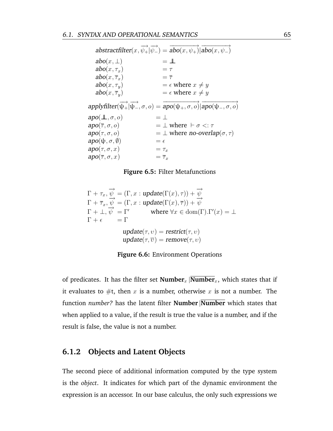<span id="page-78-0"></span> $\overrightarrow{abstractfilter}(x, \overrightarrow{\psi_+} | \overrightarrow{\psi_-}) = \overrightarrow{abo(x, \psi_+)} | \overrightarrow{abo(x, \psi_-)}$  $abo(x, \perp)$  =  $\perp \!\!\!\perp$  $abo(x, \tau_x)$  =  $\tau$  $abo(x, \overline{\tau}_x)$  =  $\overline{\tau}$  $abo(x, \tau_u)$  $= \epsilon$  where  $x \neq y$  $abo(x, \overline{\tau}_y)$  $= \epsilon$  where  $x \neq y$  $applyfilter(\overrightarrow{\psi_+}\vert \overrightarrow{\psi_-}, \sigma, o) = \overrightarrow{apo(\psi_+, \sigma, o)}\overrightarrow{apo(\psi_-, \sigma, o)}$  $apo(\mathcal{L}, \sigma, o)$  =  $\mathcal{\perp}$  $apo(\overline{\tau}, \sigma, o)$  =  $\perp$  where  $\vdash \sigma \lt: \tau$  $apo(\tau, \sigma, o)$  =  $\perp$  where no-overlap( $\sigma, \tau$ )  $apo(\psi, \sigma, \emptyset) = \epsilon$  $apo(\tau, \sigma, x) = \tau_x$  $apo(\overline{\tau}, \sigma, x) = \overline{\tau}_x$ 



<span id="page-78-1"></span>
$$
\Gamma + \tau_x, \overrightarrow{\psi} = (\Gamma, x : update(\Gamma(x), \tau)) + \overrightarrow{\psi}
$$
\n
$$
\Gamma + \overrightarrow{\tau}_x, \overrightarrow{\psi} = (\Gamma, x : update(\Gamma(x), \overline{\tau})) + \overrightarrow{\psi}
$$
\n
$$
\Gamma + \bot, \overrightarrow{\psi} = \Gamma' \qquad \text{where } \forall x \in \text{dom}(\Gamma). \Gamma'(x) = \bot
$$
\n
$$
\Gamma + \epsilon = \Gamma
$$
\n
$$
update(\tau, v) = restrict(\tau, v)
$$
\n
$$
update(\tau, \overline{v}) = remove(\tau, v)
$$

**Figure 6.6:** Environment Operations

of predicates. It has the filter set  $\text{Number}_x$   $\overline{\text{Number}}_x$ , which states that if it evaluates to  $\#$ t, then x is a number, otherwise x is not a number. The function *number?* has the latent filter **Number** |**Number** which states that when applied to a value, if the result is true the value is a number, and if the result is false, the value is not a number.

#### **6.1.2 Objects and Latent Objects**

The second piece of additional information computed by the type system is the *object*. It indicates for which part of the dynamic environment the expression is an accessor. In our base calculus, the only such expressions we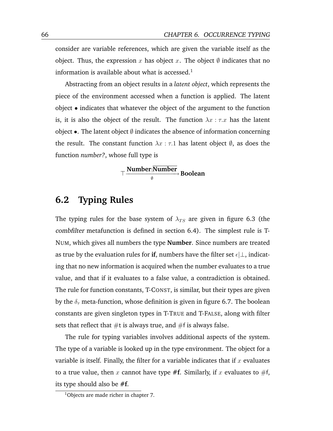consider are variable references, which are given the variable itself as the object. Thus, the expression x has object x. The object  $\emptyset$  indicates that no information is available about what is accessed.<sup>1</sup>

Abstracting from an object results in a *latent object*, which represents the piece of the environment accessed when a function is applied. The latent object • indicates that whatever the object of the argument to the function is, it is also the object of the result. The function  $\lambda x : \tau.x$  has the latent object •. The latent object  $\emptyset$  indicates the absence of information concerning the result. The constant function  $\lambda x : \tau$ . has latent object  $\emptyset$ , as does the function *number?*, whose full type is

 $\top$  <sup>Mumber</sup>∣Number<br> ⊕ Boolean

## **6.2 Typing Rules**

The typing rules for the base system of  $\lambda_{TS}$  are given in figure [6.3](#page-77-0) (the combfilter metafunction is defined in section [6.4\)](#page-81-0). The simplest rule is T-NUM, which gives all numbers the type **Number**. Since numbers are treated as true by the evaluation rules for **if**, numbers have the filter set  $\epsilon|\perp$ , indicating that no new information is acquired when the number evaluates to a true value, and that if it evaluates to a false value, a contradiction is obtained. The rule for function constants, T-CONST, is similar, but their types are given by the  $\delta_{\tau}$  meta-function, whose definition is given in figure [6.7.](#page-83-0) The boolean constants are given singleton types in T-TRUE and T-FALSE, along with filter sets that reflect that  $#t$  is always true, and  $#f$  is always false.

The rule for typing variables involves additional aspects of the system. The type of a variable is looked up in the type environment. The object for a variable is itself. Finally, the filter for a variable indicates that if  $x$  evaluates to a true value, then x cannot have type  $#f$ . Similarly, if x evaluates to  $#f$ , its type should also be **#f**.

<sup>&</sup>lt;sup>1</sup>Objects are made richer in chapter [7.](#page-84-1)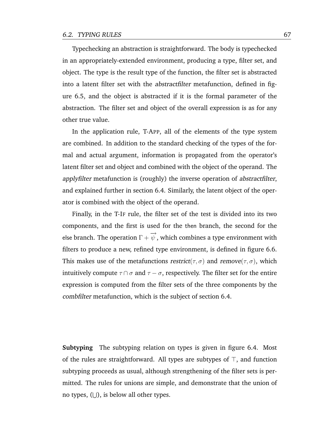Typechecking an abstraction is straightforward. The body is typechecked in an appropriately-extended environment, producing a type, filter set, and object. The type is the result type of the function, the filter set is abstracted into a latent filter set with the abstractfilter metafunction, defined in figure [6.5,](#page-78-0) and the object is abstracted if it is the formal parameter of the abstraction. The filter set and object of the overall expression is as for any other true value.

In the application rule, T-APP, all of the elements of the type system are combined. In addition to the standard checking of the types of the formal and actual argument, information is propagated from the operator's latent filter set and object and combined with the object of the operand. The applyfilter metafunction is (roughly) the inverse operation of abstractfilter, and explained further in section [6.4.](#page-81-0) Similarly, the latent object of the operator is combined with the object of the operand.

Finally, in the T-IF rule, the filter set of the test is divided into its two components, and the first is used for the then branch, the second for the else branch. The operation  $\Gamma + \overrightarrow{\psi}$  , which combines a type environment with filters to produce a new, refined type environment, is defined in figure [6.6.](#page-78-1) This makes use of the metafunctions restrict( $\tau$ ,  $\sigma$ ) and remove( $\tau$ ,  $\sigma$ ), which intuitively compute  $\tau \cap \sigma$  and  $\tau - \sigma$ , respectively. The filter set for the entire expression is computed from the filter sets of the three components by the combfilter metafunction, which is the subject of section [6.4.](#page-81-0)

**Subtyping** The subtyping relation on types is given in figure [6.4.](#page-77-1) Most of the rules are straightforward. All types are subtypes of  $\top$ , and function subtyping proceeds as usual, although strengthening of the filter sets is permitted. The rules for unions are simple, and demonstrate that the union of no types,  $(\cup)$ , is below all other types.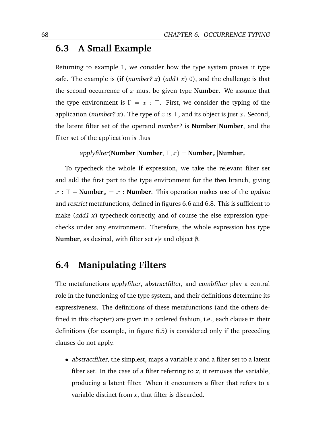## **6.3 A Small Example**

Returning to example 1, we consider how the type system proves it type safe. The example is (**if** (*number? x*) (*add1 x*) 0), and the challenge is that the second occurrence of  $x$  must be given type **Number**. We assume that the type environment is  $\Gamma = x : \top$ . First, we consider the typing of the application (*number? x*). The type of x is  $\top$ , and its object is just x. Second, the latent filter set of the operand *number?* is **Number** |**Number**, and the filter set of the application is thus

applyfilter(**Number** | **Number**,  $\top$ ,  $x$ ) = **Number**<sub>x</sub> | **Number**<sub>x</sub>

To typecheck the whole **if** expression, we take the relevant filter set and add the first part to the type environment for the then branch, giving  $x : \top +$  **Number**<sub>x</sub> = x : **Number**. This operation makes use of the *update* and restrict metafunctions, defined in figures [6.6](#page-78-1) and [6.8.](#page-83-1) This is sufficient to make (*add1 x*) typecheck correctly, and of course the else expression typechecks under any environment. Therefore, the whole expression has type **Number**, as desired, with filter set  $\epsilon | \epsilon$  and object  $\emptyset$ .

## <span id="page-81-0"></span>**6.4 Manipulating Filters**

The metafunctions applyfilter, abstractfilter, and combfilter play a central role in the functioning of the type system, and their definitions determine its expressiveness. The definitions of these metafunctions (and the others defined in this chapter) are given in a ordered fashion, i.e., each clause in their definitions (for example, in figure [6.5\)](#page-78-0) is considered only if the preceding clauses do not apply.

• abstractfilter, the simplest, maps a variable *x* and a filter set to a latent filter set. In the case of a filter referring to  $x$ , it removes the variable, producing a latent filter. When it encounters a filter that refers to a variable distinct from *x*, that filter is discarded.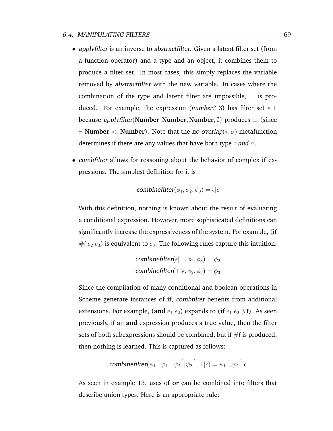- applyfilter is an inverse to abstractfilter. Given a latent filter set (from a function operator) and a type and an object, it combines them to produce a filter set. In most cases, this simply replaces the variable removed by abstractfilter with the new variable. In cases where the combination of the type and latent filter are impossible,  $\perp$  is produced. For example, the expression (*number*? 3) has filter set  $\epsilon\perp$ because applyfilter(**Number** |**Number**, **Number**, ∅) produces ⊥ (since  $\vdash$  **Number**  $\lt$ : **Number**). Note that the no-overlap( $\tau$ ,  $\sigma$ ) metafunction determines if there are any values that have both type  $\tau$  and  $\sigma$ .
- combfilter allows for reasoning about the behavior of complex **if** expressions. The simplest definition for it is

$$
\text{combinefilter}(\phi_1, \phi_2, \phi_3) = \epsilon | \epsilon
$$

With this definition, nothing is known about the result of evaluating a conditional expression. However, more sophisticated definitions can significantly increase the expressiveness of the system. For example, (**if** #f  $e_2 e_3$ ) is equivalent to  $e_3$ . The following rules capture this intuition:

$$
\text{combinefilter}(\epsilon | \perp, \phi_2, \phi_3) = \phi_2
$$
\n
$$
\text{combinefilter}(\perp | \epsilon, \phi_2, \phi_3) = \phi_3
$$

Since the compilation of many conditional and boolean operations in Scheme generate instances of **if**, combfilter benefits from additional extensions. For example, (and  $e_1 e_2$ ) expands to (if  $e_1 e_2 \# f$ ). As seen previously, if an **and** expression produces a true value, then the filter sets of both subexpressions should be combined, but if #f is produced, then nothing is learned. This is captured as follows:

$$
\textit{combinefilter}(\overrightarrow{\psi_{1_{+}}}|\overrightarrow{\psi_{1_{-}}},\overrightarrow{\psi_{2_{+}}}|\overrightarrow{\psi_{2_{-}}},\bot|\epsilon)=\overrightarrow{\psi_{1_{+}}},\overrightarrow{\psi_{2_{+}}}|\epsilon
$$

As seen in example [13,](#page-23-0) uses of **or** can be combined into filters that describe union types. Here is an appropriate rule: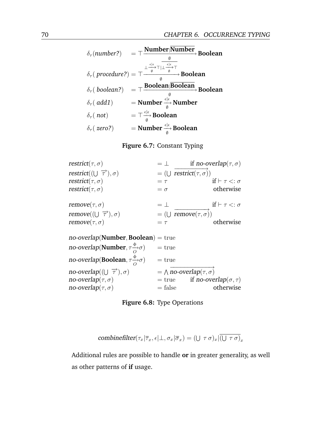<span id="page-83-0"></span>
$$
\delta_{\tau}(number?) = \top \frac{\text{Number}|\text{Number}}{\emptyset} \text{Boolean}
$$
\n
$$
\delta_{\tau}(\text{ procedure?)} = \top \frac{\frac{e^{|\epsilon|}}{\emptyset} \top |\perp \frac{e^{|\epsilon|}}{\emptyset} \top \Gamma \longrightarrow \text{Boolean}}{\emptyset} \text{Boolean}
$$
\n
$$
\delta_{\tau}(\text{ boolean?)} = \top \frac{\text{Boolean}|\text{Boolean}}{\emptyset} \text{Boolean}
$$
\n
$$
\delta_{\tau}(\text{ add1}) = \text{Number} \xrightarrow{\epsilon |\epsilon|}_{\emptyset} \text{Number}
$$
\n
$$
\delta_{\tau}(\text{ not}) = \top \xrightarrow{\epsilon |\epsilon|}_{\emptyset} \text{Boolean}
$$
\n
$$
\delta_{\tau}(\text{ zero?)} = \text{Number} \xrightarrow{\epsilon |\epsilon|}_{\emptyset} \text{Boolean}
$$

**Figure 6.7:** Constant Typing

<span id="page-83-1"></span> $\text{restrict}(\tau,\sigma)$  =  $\perp$  if no-overlap( $\tau,\sigma$ )  $\text{restrict}((\bigcup \overrightarrow{\tau}), \sigma)$  =  $(\bigcup \text{restrict}(\tau, \sigma))$  $\text{restrict}(\tau, \sigma)$  =  $\tau$  if  $\vdash \tau \lt: \sigma$  $\text{restrict}(\tau, \sigma)$  =  $\sigma$  otherwise  $\mathsf{remove}(\tau, \sigma)$  =  $\perp$  if  $\vdash \tau \lt: \sigma$ remove(( $\cup \overrightarrow{\tau}$ ),  $\sigma$ ) = ( $\cup$  remove( $\tau$ ,  $\sigma$ ))  $remove(\tau, \sigma)$  =  $\tau$  otherwise no-overlap(**Number**, **Boolean**) = true  $\textbf{no-overlap}(\textbf{Number}, \tau \frac{\phi}{O} \sigma) = \text{true}$  $\textbf{no-overlap}(\textbf{Boolean}, \tau \frac{\phi}{O} \sigma)$  = true  $no-overlap((\cup \overrightarrow{\tau}), \sigma)$  =  $\wedge \overrightarrow{no-overlap(\tau, \sigma)}$  $\mathsf{no}\text{-}\mathsf{overlap}(\tau,\sigma)$  = true if  $\mathsf{no}\text{-}\mathsf{overlap}(\sigma,\tau)$  $\mathsf{no}\text{-}\mathsf{overlap}(\tau,\sigma)$  = false otherwise

**Figure 6.8:** Type Operations

$$
\text{combinefilter}(\tau_x|\overline{\tau}_x,\epsilon|\bot,\sigma_x|\overline{\sigma}_x) = (\bigcup \tau \sigma)_x |\overline{(\bigcup \tau \sigma)}_x
$$

Additional rules are possible to handle **or** in greater generality, as well as other patterns of **if** usage.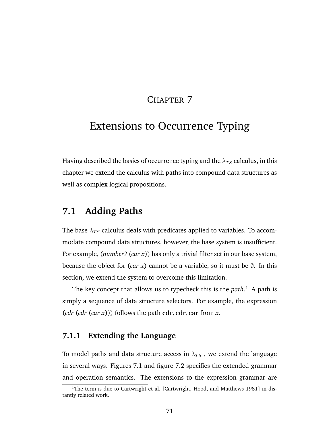## CHAPTER 7

# <span id="page-84-1"></span>Extensions to Occurrence Typing

Having described the basics of occurrence typing and the  $\lambda_{TS}$  calculus, in this chapter we extend the calculus with paths into compound data structures as well as complex logical propositions.

## <span id="page-84-0"></span>**7.1 Adding Paths**

The base  $\lambda_{TS}$  calculus deals with predicates applied to variables. To accommodate compound data structures, however, the base system is insufficient. For example, (*number?* (*car x*)) has only a trivial filter set in our base system, because the object for  $(car x)$  cannot be a variable, so it must be  $\emptyset$ . In this section, we extend the system to overcome this limitation.

The key concept that allows us to typecheck this is the *path*. <sup>1</sup> A path is simply a sequence of data structure selectors. For example, the expression (*cdr* (*cdr* (*car x*))) follows the path cdr, cdr, car from *x*.

#### **7.1.1 Extending the Language**

To model paths and data structure access in  $\lambda_{TS}$ , we extend the language in several ways. Figures [7.1](#page-85-0) and figure [7.2](#page-85-1) specifies the extended grammar and operation semantics. The extensions to the expression grammar are

 $1$ The term is due to Cartwright et al. [\[Cartwright, Hood, and Matthews](#page-171-0) [1981\]](#page-171-0) in distantly related work.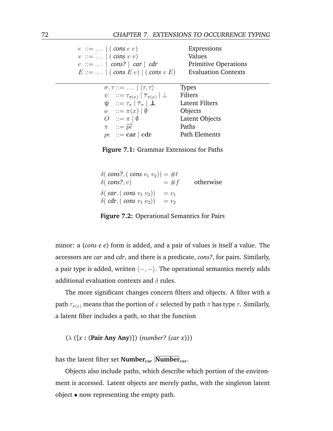<span id="page-85-0"></span> $e ::= ... | (cons e e)$  Expressions  $v ::= ... | (cons v v)$  Values  $c ::= ... | cons? | car | cdr$  Primitive Operations  $E ::= \dots | (cons E e) | (cons v E)$  Evaluation Contexts  $\sigma, \tau ::= \ldots | \langle \tau, \tau \rangle$  Types  $\psi$  :  $\tau_{\pi(x)}$  |  $\overline{\tau}_{\pi(x)}$ | ⊥ Filters  $\psi$  ::=  $\tau_{\pi}$  |  $\overline{\tau}_{\pi}$  |  $\perp$  Latent Filters  $o$  :=  $\pi(x) | \emptyset$  Objects  $O \nightharpoonup = \pi \mid \emptyset$  Latent Objects  $\pi$  :=  $\overrightarrow{pe}$  Paths  $pe$  ::= car | cdr Path Elements

**Figure 7.1:** Grammar Extensions for Paths

<span id="page-85-1"></span> $\delta$ ( *cons*?, ( *cons*  $v_1$   $v_2$ )) = #t  $\delta(\text{cons?}, v) = #f \quad \text{otherwise}$  $\delta$ ( *car*, ( *cons*  $v_1$   $v_2$ )) =  $v_1$  $\delta$ ( *cdr*, ( *cons*  $v_1$   $v_2$ )) =  $v_2$ 

**Figure 7.2:** Operational Semantics for Pairs

minor: a (*cons e e*) form is added, and a pair of values is itself a value. The accessors are *car* and *cdr*, and there is a predicate, *cons?*, for pairs. Similarly, a pair type is added, written  $\langle -, - \rangle$ . The operational semantics merely adds additional evaluation contexts and  $\delta$  rules.

The more significant changes concern filters and objects. A filter with a path  $\tau_{\pi(x)}$  means that the portion of x selected by path  $\pi$  has type  $\tau$ . Similarly, a latent filter includes a path, so that the function

(λ ([*x* **:** (**Pair Any Any**)]) (*number?* (*car x*)))

has the latent filter set **Number**<sub>car</sub> |**Number**<sub>car</sub>.

Objects also include paths, which describe which portion of the environment is accessed. Latent objects are merely paths, with the singleton latent object • now representing the empty path.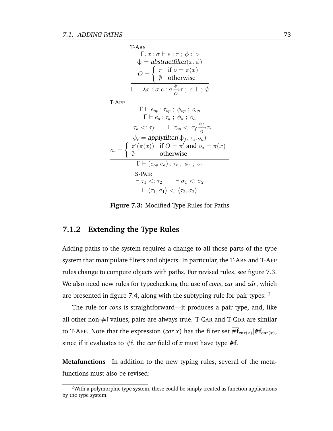<span id="page-86-0"></span>T-ABS  
\n
$$
\Gamma, x : \sigma \vdash e : \tau ; \phi ; o
$$
\n
$$
\phi = abstractfilter(x, \phi)
$$
\n
$$
O = \begin{cases}\n\pi & \text{if } o = \pi(x) \\
\emptyset & \text{otherwise}\n\end{cases}
$$
\nT+Ax : \sigma.e : \sigma \xrightarrow{\phi} \tau ; \epsilon \bot ; \emptyset\nT-APP  
\n
$$
\Gamma \vdash e_{op} : \tau_{op} ; \phi_{op} ; o_{op}
$$
\n
$$
\Gamma \vdash e_a : \tau_a ; \phi_a ; o_a
$$
\n
$$
\vdash \tau_a <: \tau_f \quad \vdash \tau_{op} <: \tau_f \xrightarrow{\phi_f} \tau_r
$$
\n
$$
\phi_r = applyfilter(\phi_f, \tau_a, o_a)
$$
\n
$$
o_r = \begin{cases}\n\pi'(\pi(x)) & \text{if } O = \pi' \text{ and } o_a = \pi(x) \\
\emptyset & \text{otherwise}\n\end{cases}
$$
\nF+ (e\_{op} e\_a) : \tau\_r ; \phi\_r ; o\_r  
\nS-PAIR  
\n
$$
\vdash \tau_1 <: \tau_2 \quad \vdash \sigma_1 <: \sigma_2
$$
\n
$$
\vdash \langle \tau_1, \sigma_1 \rangle <: \langle \tau_2, \sigma_2 \rangle
$$

**Figure 7.3:** Modified Type Rules for Paths

#### **7.1.2 Extending the Type Rules**

Adding paths to the system requires a change to all those parts of the type system that manipulate filters and objects. In particular, the T-ABS and T-APP rules change to compute objects with paths. For revised rules, see figure [7.3.](#page-86-0) We also need new rules for typechecking the use of *cons*, *car* and *cdr*, which are presented in figure [7.4,](#page-87-0) along with the subtyping rule for pair types. <sup>2</sup>

The rule for *cons* is straightforward—it produces a pair type, and, like all other non-#f values, pairs are always true. T-CAR and T-CDR are similar to T-APP. Note that the expression (*car x*) has the filter set  $\#\mathbf{f}_{\mathbf{car}(x)}|\#\mathbf{f}_{\mathbf{car}(x)},$ since if it evaluates to  $#f$ , the *car* field of *x* must have type  $#f$ .

**Metafunctions** In addition to the new typing rules, several of the metafunctions must also be revised:

 $2$ With a polymorphic type system, these could be simply treated as function applications by the type system.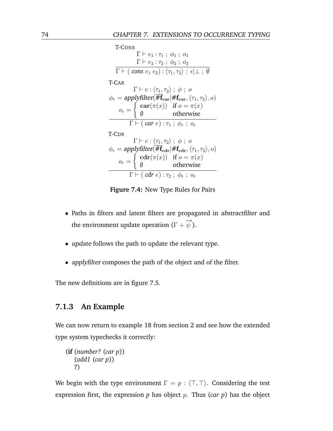<span id="page-87-0"></span>T-Cons  
\n
$$
\Gamma \vdash e_1 : \tau_1 ; \phi_1 ; o_1
$$
\n
$$
\Gamma \vdash e_2 : \tau_2 ; \phi_2 ; o_2
$$
\n
$$
\overline{\Gamma \vdash (\cos e_1 e_2) : \langle \tau_1, \tau_2 \rangle ; \epsilon | \bot ; \emptyset}
$$
\nT-CAR  
\n
$$
\Gamma \vdash e : \langle \tau_1, \tau_2 \rangle ; \phi ; o
$$
\n
$$
\phi_r = \text{applyfilter}(\overline{\#f_{car}} | \#f_{car}, \langle \tau_1, \tau_2 \rangle, o)
$$
\n
$$
o_r = \begin{cases}\n\text{car}(\pi(x)) & \text{if } o = \pi(x) \\
\emptyset & \text{otherwise}\n\end{cases}
$$
\nT-CDR  
\n
$$
\Gamma \vdash e : \langle \tau_1, \tau_2 \rangle ; \phi ; o
$$
\n
$$
\phi_r = \text{applyfilter}(\overline{\#f_{cdr}} | \#f_{cdr}, \langle \tau_1, \tau_2 \rangle, o)
$$
\n
$$
o_r = \begin{cases}\n\text{cdr}(\pi(x)) & \text{if } o = \pi(x) \\
\emptyset & \text{otherwise}\n\end{cases}
$$
\n
$$
\Gamma \vdash (\text{cdr } e) : \tau_2 ; \phi_r ; o_r
$$

**Figure 7.4:** New Type Rules for Pairs

- Paths in filters and latent filters are propagated in abstractfilter and the environment update operation ( $\Gamma+\overrightarrow{\psi}$  ).
- *update* follows the path to update the relevant type.
- applyfilter composes the path of the object and of the filter.

The new definitions are in figure [7.5.](#page-88-1)

#### **7.1.3 An Example**

We can now return to example [18](#page-25-0) from section [2](#page-18-0) and see how the extended type system typechecks it correctly:

(**if** (*number?* (*car p*)) (*add1* (*car p*)) 7)

We begin with the type environment  $\Gamma = p : \langle \top, \top \rangle$ . Considering the test. expression first, the expression  $p$  has object  $p$ . Thus (*car p*) has the object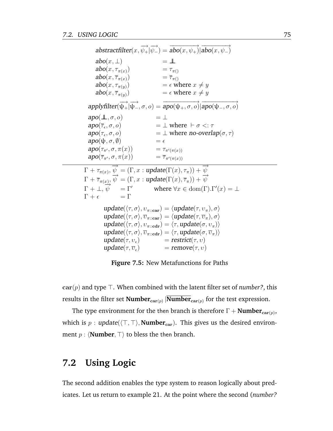<span id="page-88-1"></span> $\overrightarrow{abstractfilter}(x, \overrightarrow{\psi_+} | \overrightarrow{\psi_-}) = \overrightarrow{abo(x, \psi_+)} | \overrightarrow{abo(x, \psi_-)}$  $abo(x, \perp)$  =  $\perp \!\!\!\perp$ abo $(x, \tau_{\pi(x)})$  $=\tau_{\pi}$ ()  $\textit{abo}(x,\overline{\tau}_{\pi(x)})$ )  $= \overline{\tau}_{\pi()}$  $abo(x, \tau_{\pi(y)})$ <br>abo $(x, \overline{\tau}_{\pi(y)})$ )  $= \epsilon$  where  $x \neq y$ abo $(x, \overline{\tau}_{\pi(u)})$ )  $= \epsilon$  where  $x \neq y$  $applyfilter(\overrightarrow{\psi_+}\vert \overrightarrow{\psi_-}, \sigma, o) = \overrightarrow{apo(\psi_+, \sigma, o)}\overrightarrow{apo(\psi_-, \sigma, o)}$  $apo(\mathcal{L}, \sigma, o)$  =  $\mathcal{\perp}$  $apo(\overline{\tau}_{\epsilon},\sigma,o)$  $=$   $\perp$  where  $\vdash \sigma \lt: \tau$  $\textit{apo}(\tau_{\epsilon},\sigma,o)$  $=$   $\perp$  where no-overlap( $\sigma$ ,  $\tau$ )  $\mathbf{apo}(\psi,\sigma,\emptyset)$  =  $\epsilon$  $apo(\tau_{\pi'}, \sigma, \pi(x)) = \tau_{\pi'(\pi(x))}$  $apo(\overline{\tau}_{\pi'}, \sigma, \pi(x)) = \overline{\tau}_{\pi'(\pi(x))}$  $\overrightarrow{\Gamma} + \tau_{\pi(x)}, \overrightarrow{\psi} = (\Gamma, x : \text{update}(\Gamma(x), \tau_{\pi})) + \overrightarrow{\psi}$  $\Gamma + \overline{\tau}_{\pi(x)}, \overline{\psi} = (\Gamma, x : update(\Gamma(x), \overline{\tau}_\pi)) + \overline{\psi}$  $\Gamma + \bot, \overline{\psi} = \Gamma'$  where  $\forall x \in \text{dom}(\Gamma) \cdot \Gamma'(x) = \bot$  $\Gamma + \epsilon = \Gamma$ update( $\langle \tau, \sigma \rangle$ ,  $v_{\pi::car}$ ) =  $\langle$ update( $\tau$ ,  $v_{\pi}$ ),  $\sigma \rangle$  $update(\langle \tau, \sigma \rangle, \overline{v}_{\pi::car}) = \langle update(\tau, \overline{v}_{\pi}), \sigma \rangle$ update( $\langle \tau, \sigma \rangle$ ,  $v_{\pi::\mathbf{cdr}}$ ) =  $\langle \tau, \mathbf{update}(\sigma, v_{\pi}) \rangle$  $update(\langle \tau, \sigma \rangle, \overline{v}_{\pi::\mathbf{cdr}}) = \langle \tau, update(\sigma, \overline{v}_{\pi}) \rangle$  $update(\tau, v_{\epsilon})$  =  $restrict(\tau, v)$ update( $\tau$ ,  $\overline{v}_e$ )  $=$  remove $(\tau, v)$ 

**Figure 7.5:** New Metafunctions for Paths

 $car(p)$  and type  $\top$ . When combined with the latent filter set of *number*?, this results in the filter set  $\mathbf{Number}_{\mathbf{car}(p)}$  | $\mathbf{Number}_{\mathbf{car}(p)}$  for the test expression.

The type environment for the then branch is therefore  $\Gamma + \textbf{Number}_{\textbf{car}(p)},$ which is  $p : update(\langle \top, \top \rangle, \textbf{Number}_{car})$ . This gives us the desired environment  $p : \langle$ **Number**,  $\top \rangle$  to bless the then branch.

## <span id="page-88-0"></span>**7.2 Using Logic**

The second addition enables the type system to reason logically about predicates. Let us return to example [21.](#page-26-0) At the point where the second (*number?*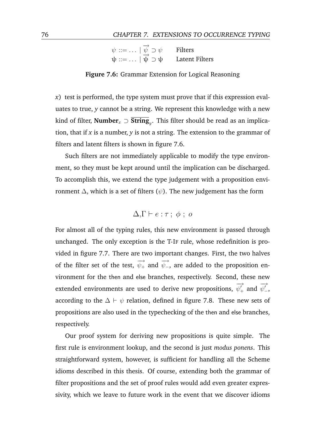#### <span id="page-89-0"></span>76 CHAPTER 7. EXTENSIONS TO OCCURRENCE TYPING

| $\psi ::= \ldots   \overline{\psi} \supset \psi$ | Filters               |
|--------------------------------------------------|-----------------------|
| $\psi ::= \dots   \psi \supset \psi$             | <b>Latent Filters</b> |

**Figure 7.6:** Grammar Extension for Logical Reasoning

*x*) test is performed, the type system must prove that if this expression evaluates to true, *y* cannot be a string. We represent this knowledge with a new kind of filter, **Number**<sup>x</sup> ⊃ **String**<sup>y</sup> . This filter should be read as an implication, that if *x* is a number, *y* is not a string. The extension to the grammar of filters and latent filters is shown in figure [7.6.](#page-89-0)

Such filters are not immediately applicable to modify the type environment, so they must be kept around until the implication can be discharged. To accomplish this, we extend the type judgement with a proposition environment  $\Delta$ , which is a set of filters ( $\psi$ ). The new judgement has the form

 $\Delta, \Gamma \vdash e : \tau \; ; \; \phi \; ; \; o$ 

For almost all of the typing rules, this new environment is passed through unchanged. The only exception is the T-IF rule, whose redefinition is provided in figure [7.7.](#page-90-0) There are two important changes. First, the two halves of the filter set of the test,  $\overrightarrow{\psi_+}$  and  $\overrightarrow{\psi_-}$ , are added to the proposition environment for the then and else branches, respectively. Second, these new extended environments are used to derive new propositions, −→  $\psi_+^{'}$  and −→  $\psi_{-}^{\prime},$ according to the  $\Delta \vdash \psi$  relation, defined in figure [7.8.](#page-90-1) These new sets of propositions are also used in the typechecking of the then and else branches, respectively.

Our proof system for deriving new propositions is quite simple. The first rule is environment lookup, and the second is just *modus ponens*. This straightforward system, however, is sufficient for handling all the Scheme idioms described in this thesis. Of course, extending both the grammar of filter propositions and the set of proof rules would add even greater expressivity, which we leave to future work in the event that we discover idioms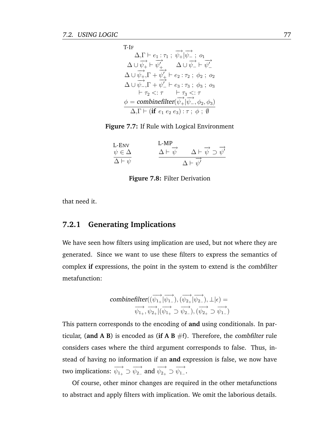<span id="page-90-0"></span>T-IF  
\n
$$
\Delta, \Gamma \vdash e_1 : \tau_1 ; \overrightarrow{\psi_+} | \overrightarrow{\psi_-} ; o_1
$$
\n
$$
\Delta \cup \overrightarrow{\psi_+}, \Gamma \vdash \overrightarrow{\psi_+'} \Delta \cup \overrightarrow{\psi_-} \vdash \overrightarrow{\psi_-'}
$$
\n
$$
\Delta \cup \overrightarrow{\psi_+}, \Gamma \vdash \overrightarrow{\psi_+'} \vdash e_2 : \tau_2 ; \phi_2 ; o_2
$$
\n
$$
\Delta \cup \overrightarrow{\psi_-}, \Gamma \vdash \overrightarrow{\psi_-'} \vdash e_3 : \tau_3 ; \phi_3 ; o_3
$$
\n
$$
\vdash \tau_2 <: \tau \qquad \vdash \tau_3 <: \tau
$$
\n
$$
\phi = \text{combinéilter}(\overrightarrow{\psi_+} | \overrightarrow{\psi_-}, \phi_2, \phi_3)
$$
\n
$$
\Delta, \Gamma \vdash (\text{if } e_1 \ e_2 \ e_3) : \tau ; \phi ; \emptyset
$$

<span id="page-90-1"></span>**Figure 7.7:** If Rule with Logical Environment

| L-ENV                | $L-MP$               | $\Delta \vdash \overrightarrow{\psi} \supset \overrightarrow{\psi'}$ |
|----------------------|----------------------|----------------------------------------------------------------------|
| $\psi \in \Delta$    | $\Delta \vdash \psi$ |                                                                      |
| $\Delta \vdash \psi$ |                      | $\Delta \vdash \psi'$                                                |

**Figure 7.8:** Filter Derivation

that need it.

#### **7.2.1 Generating Implications**

We have seen how filters using implication are used, but not where they are generated. Since we want to use these filters to express the semantics of complex **if** expressions, the point in the system to extend is the combfilter metafunction:

$$
\begin{aligned}\text{combinefilter}((\overrightarrow{\psi_{1_+}}|\overrightarrow{\psi_{1_-}}),(\overrightarrow{\psi_{2_+}}|\overrightarrow{\psi_{2_-}}),\perp|\epsilon) = \\ \overrightarrow{\psi_{1_+}},\overrightarrow{\psi_{2_+}}|(\overrightarrow{\psi_{1_+}} \supset \overrightarrow{\psi_{2_-}}),(\overrightarrow{\psi_{2_+}} \supset \overrightarrow{\psi_{1_-}})\end{aligned}
$$

This pattern corresponds to the encoding of **and** using conditionals. In particular, (and A B) is encoded as (if A B  $#f$ ). Therefore, the combfilter rule considers cases where the third argument corresponds to false. Thus, instead of having no information if an **and** expression is false, we now have two implications:  $\overrightarrow{\psi_{1_+}} \supset \overrightarrow{\psi_{2_-}}$  and  $\overrightarrow{\psi_{2_+}} \supset \overrightarrow{\psi_{1_-}}$ .

Of course, other minor changes are required in the other metafunctions to abstract and apply filters with implication. We omit the laborious details.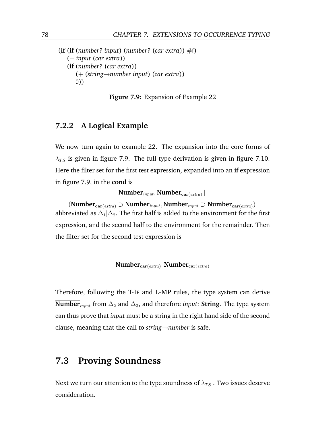<span id="page-91-1"></span> $(i\mathbf{f}$  (*if* (*number? input*) (*number?* (*car extra*))  $\#f$ ) (+ *input* (*car extra*)) (**if** (*number?* (*car extra*)) (+ (*string*→*number input*) (*car extra*)) 0))



#### **7.2.2 A Logical Example**

We now turn again to example [22.](#page-27-0) The expansion into the core forms of  $\lambda_{TS}$  is given in figure [7.9.](#page-91-1) The full type derivation is given in figure [7.10.](#page-92-0) Here the filter set for the first test expression, expanded into an **if** expression in figure [7.9,](#page-91-1) in the **cond** is

 $\textbf{Number}_{input}, \textbf{Number}_{\textbf{car}(\textit{extra})} \left| \right.$ 

 $(\text{Number}_{\text{car}(\text{extra})} \supset \overline{\text{Number}}_{\text{input}}, \overline{\text{Number}}_{\text{input}} \supset \text{Number}_{\text{car}(\text{extra})})$ abbreviated as  $\Delta_1|\Delta_2$ . The first half is added to the environment for the first expression, and the second half to the environment for the remainder. Then the filter set for the second test expression is

$$
\textbf{Number}_{\textbf{car}(\textit{extra})}\,|\textbf{Number}_{\textbf{car}(\textit{extra})}
$$

Therefore, following the T-IF and L-MP rules, the type system can derive **Number**<sub>*input*</sub> from  $\Delta_2$  and  $\Delta_3$ , and therefore *input*: **String**. The type system can thus prove that *input* must be a string in the right hand side of the second clause, meaning that the call to *string*→*number* is safe.

### <span id="page-91-0"></span>**7.3 Proving Soundness**

Next we turn our attention to the type soundness of  $\lambda_{TS}$  . Two issues deserve consideration.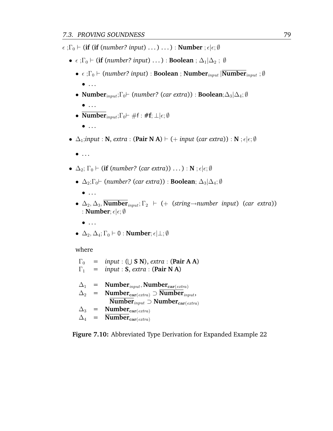<span id="page-92-0"></span> $\epsilon$ ;  $\Gamma_0$   $\vdash$  (**if** (**if** (*number? input*) ...) ...) : **Number** ;  $\epsilon | \epsilon; \emptyset$ 

- $\epsilon$ ;  $\Gamma_0$   $\vdash$  (**if** (*number? input*) ...) : **Boolean** ;  $\Delta_1|\Delta_2$ ;  $\emptyset$ 
	- $\epsilon$ ; Γ<sub>0</sub>  $\vdash$  (*number? input*) : **Boolean** ; **Number**<sub>*input*</sub> | **Number**<sub>*input*</sub> ; Ø  $\bullet$  ...
	- **Number**input;Γ0` (*number?* (*car extra*)) : **Boolean**;∆3|∆4; ∅  $\bullet$  ...
	- **Number**<sub>input</sub>; $\Gamma_0 \vdash \#f : \#f$ ;  $\bot | \epsilon; \emptyset$ 
		- $\bullet$  ...
- $\Delta_1$ *;input* : **N***, extra* : (Pair **N** A)  $\vdash$  (+ *input* (*car extra*)) : **N** ;  $\epsilon|\epsilon;\emptyset$ 
	- $\bullet$  ...
- $\Delta_2$ ;  $\Gamma_0 \vdash$  (**if** (*number?* (*car extra*)) ...) : **N** ;  $\epsilon | \epsilon; \emptyset$ 
	- $\Delta_2$ ;  $\Gamma_0$   $\vdash$  (*number?* (*car extra*)) : **Boolean**;  $\Delta_3|\Delta_4$ ;  $\emptyset$ 
		- $\bullet$  ...
	- $\Delta_2, \Delta_3$ , **Number**<sub>input</sub>;  $\Gamma_2$   $\vdash$  (+ (*string* $\rightarrow$ *number input*) (*car extra*)) : **Number**;  $\epsilon|\epsilon;\emptyset$ 
		- $\bullet$  ...
	- $\Delta_2$ ,  $\Delta_4$ ;  $\Gamma_0 \vdash 0$  : **Number**;  $\epsilon | \bot; \emptyset$

where

 $\Gamma_0$  = *input* : ( $\cup$  **S** N), *extra* : (**Pair A** A)  $\Gamma_1$  = *input* : **S**, *extra* : (**Pair N** A)  $\Delta_1$  = **Number**<sub>input</sub>, **Number**<sub>car(extra)</sub>  $\Delta_2$  = **Number**<sub>car(extra)</sub>  $\supset$  **Number**<sub>input</sub>, **Number**<sub>*input* ⊃ **Number**<sub>car(extra)</sub></sub>  $\Delta_3$  = **Number**<sub>car(extra)</sub>  $\Delta_4$  = **Number**<sub>car(extra)</sub>

<span id="page-92-1"></span>**Figure 7.10:** Abbreviated Type Derivation for Expanded Example [22](#page-27-0)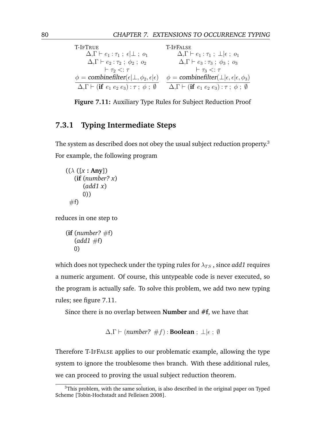<span id="page-93-0"></span>

| T-IFTRUE                                                                                      | T-IFFALSE                                                                                     |
|-----------------------------------------------------------------------------------------------|-----------------------------------------------------------------------------------------------|
| $\Delta, \Gamma \vdash e_1 : \tau_1; \epsilon \vdash \bot; o_1$                               | $\Delta, \Gamma \vdash e_1 : \tau_1$ ; $\perp \vdash \epsilon$ ; $o_1$                        |
| $\Delta, \Gamma \vdash e_2 : \tau_2 ; \phi_2 ; o_2$                                           | $\Delta, \Gamma \vdash e_3 : \tau_3 ; \phi_3 ; o_3$                                           |
| $\vdash \tau_2 \lt: : \tau$                                                                   | $\vdash \tau_3 \lt: : \tau$                                                                   |
| $\phi =$ combinefilter( $\epsilon$   $\perp$ , $\phi_2$ , $\epsilon$   $\epsilon$ )           | $\phi =$ combinefilter( $\perp   \epsilon, \epsilon   \epsilon, \phi_3$ )                     |
| $\Delta, \Gamma \vdash (\textbf{if} \ e_1 \ e_2 \ e_3) : \tau \; ; \; \phi \; ; \; \emptyset$ | $\Delta, \Gamma \vdash (\textbf{if} \ e_1 \ e_2 \ e_3) : \tau \; ; \; \phi \; ; \; \emptyset$ |

**Figure 7.11:** Auxiliary Type Rules for Subject Reduction Proof

### **7.3.1 Typing Intermediate Steps**

The system as described does not obey the usual subject reduction property.<sup>3</sup> For example, the following program

```
((\lambda ([x : Any])(if (number? x)
      (add1 x)
      0))
 #f
```
reduces in one step to

```
(i\mathbf{f} (number? \#f)
    (add1 #f)
    0)
```
which does not typecheck under the typing rules for  $\lambda_{TS}$ , since *add1* requires a numeric argument. Of course, this untypeable code is never executed, so the program is actually safe. To solve this problem, we add two new typing rules; see figure [7.11.](#page-93-0)

Since there is no overlap between **Number** and **#f**, we have that

 $\Delta, \Gamma \vdash$  (*number?* #f) : **Boolean** ;  $\bot | \epsilon$  ; Ø

Therefore T-IFFALSE applies to our problematic example, allowing the type system to ignore the troublesome then branch. With these additional rules, we can proceed to proving the usual subject reduction theorem.

 $3$ This problem, with the same solution, is also described in the original paper on Typed Scheme [\[Tobin-Hochstadt and Felleisen](#page-179-0) [2008\]](#page-179-0).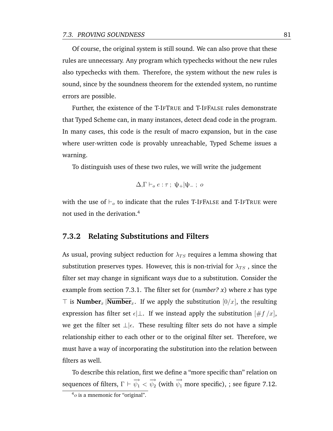Of course, the original system is still sound. We can also prove that these rules are unnecessary. Any program which typechecks without the new rules also typechecks with them. Therefore, the system without the new rules is sound, since by the soundness theorem for the extended system, no runtime errors are possible.

Further, the existence of the T-IFTRUE and T-IFFALSE rules demonstrate that Typed Scheme can, in many instances, detect dead code in the program. In many cases, this code is the result of macro expansion, but in the case where user-written code is provably unreachable, Typed Scheme issues a warning.

To distinguish uses of these two rules, we will write the judgement

$$
\Delta, \Gamma \vdash_o e : \tau \; ; \; \psi_+|\psi_- \; ; \; o
$$

with the use of  $\vdash_o$  to indicate that the rules T-IFFALSE and T-IFTRUE were not used in the derivation.<sup>4</sup>

#### **7.3.2 Relating Substitutions and Filters**

As usual, proving subject reduction for  $\lambda_{TS}$  requires a lemma showing that substitution preserves types. However, this is non-trivial for  $\lambda_{TS}$ , since the filter set may change in significant ways due to a substitution. Consider the example from section [7.3.1.](#page-92-1) The filter set for (*number? x*) where *x* has type  $\top$  is **Number**<sub>x</sub> |**Number**<sub>x</sub>. If we apply the substitution [0/x], the resulting expression has filter set  $\epsilon\perp$ . If we instead apply the substitution  $[\#f/x]$ , we get the filter set  $\perp \mid \epsilon$ . These resulting filter sets do not have a simple relationship either to each other or to the original filter set. Therefore, we must have a way of incorporating the substitution into the relation between filters as well.

To describe this relation, first we define a "more specific than" relation on sequences of filters,  $\Gamma \vdash \overrightarrow{\psi_1} < \overrightarrow{\psi_2}$  (with  $\overrightarrow{\psi_1}$  more specific), ; see figure [7.12.](#page-95-0)

 $4<sub>o</sub>$  is a mnemonic for "original".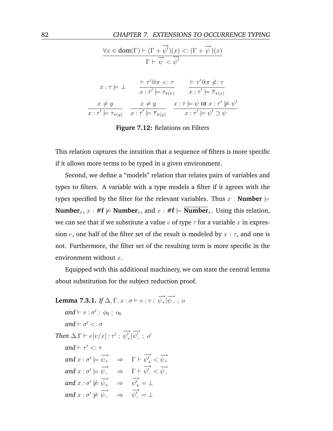<span id="page-95-0"></span>

|                                  | $\forall x \in \text{dom}(\Gamma) \vdash (\Gamma + \overline{\psi'})(x) < : (\Gamma + \overrightarrow{\psi})(x)$ |                                                                                       |  |
|----------------------------------|------------------------------------------------------------------------------------------------------------------|---------------------------------------------------------------------------------------|--|
|                                  | $\Gamma \vdash \overrightarrow{\psi} < \overrightarrow{\psi'}$                                                   |                                                                                       |  |
| $x: \tau \models \bot$           | $\vdash \tau' @ \pi <: \tau$<br>$x: \tau' \models \tau_{\pi(x)}$                                                 | $\vdash \tau' @ \pi \nless t$ : $\tau$<br>$x: \tau' \models \overline{\tau}_{\pi(x)}$ |  |
| $x \neq y$                       | $x \neq y$                                                                                                       | $x: \tau \models \psi \text{ or } x: \tau' \not\models \psi'$                         |  |
| $x: \tau' \models \tau_{\pi(y)}$ | $x: \tau' \models \overline{\tau}_{\pi(y)}$                                                                      | $x : \tau' \models \psi' \supset \psi$                                                |  |

**Figure 7.12:** Relations on Filters

This relation captures the intuition that a sequence of filters is more specific if it allows more terms to be typed in a given environment.

Second, we define a "models" relation that relates pairs of variables and types to filters. A variable with a type models a filter if it agrees with the types specified by the filter for the relevant variables. Thus  $x :$  **Number**  $\models$ **Number**<sub>x</sub>,  $x : #f \not\models$  **Number**<sub>x</sub>, and  $x : #f \models$  **Number**<sub>x</sub>. Using this relation, we can see that if we substitute a value v of type  $\tau$  for a variable x in expression e, one half of the filter set of the result is modeled by  $x : \tau$ , and one is not. Furthermore, the filter set of the resulting term is more specific in the environment without  $x$ .

Equipped with this additional machinery, we can state the central lemma about substitution for the subject reduction proof.

```
Lemma 7.3.1. If \Delta, \Gamma, x : \sigma \vdash e : \tau \, ; \, \overrightarrow{\psi_+} | \overrightarrow{\psi_-} : \, oand \vdash v : \sigma' \; ; \; \phi_0 \; ; \; o_0and \vdash \sigma' <: \sigmaThen \Delta, \Gamma \vdash e[v/x] : \tau';
                                                                      −→
                                                                      \psi'_+|−→
                                                                                \psi_{-}^{'} \ ; \ o'and \vdash \tau' <: \tauand x : \sigma' \models \overrightarrow{\psi_+} \Rightarrow \Gamma \vdash \overrightarrow{\psi'_+}\overrightarrow{\psi_+'} < \overrightarrow{\psi_+}and x : \sigma' \models \overrightarrow{\psi_{-}} \Rightarrow \Gamma \vdash \overrightarrow{\psi'_{-}}\overrightarrow{\psi_{-}} < \overrightarrow{\psi_{-}}and x : \sigma' \not\models \overrightarrow{\psi_+} \Rightarrow \overrightarrow{\psi'_+}\psi_+^{'}=\botand x : \sigma' \not\models \overrightarrow{\psi_{-}} \Rightarrow \overrightarrow{\psi'_{-}}\psi_{-}' = \bot
```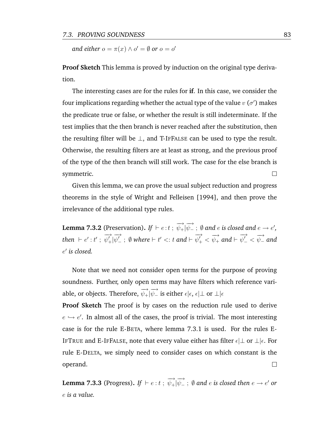*and either*  $o = \pi(x) \wedge o' = \emptyset$  *or*  $o = o'$ 

**Proof Sketch** This lemma is proved by induction on the original type derivation.

The interesting cases are for the rules for **if**. In this case, we consider the four implications regarding whether the actual type of the value  $v$  ( $\sigma'$ ) makes the predicate true or false, or whether the result is still indeterminate. If the test implies that the then branch is never reached after the substitution, then the resulting filter will be  $\perp$ , and T-IFFALSE can be used to type the result. Otherwise, the resulting filters are at least as strong, and the previous proof of the type of the then branch will still work. The case for the else branch is symmetric.  $\Box$ 

Given this lemma, we can prove the usual subject reduction and progress theorems in the style of [Wright and Felleisen](#page-180-0) [\[1994\]](#page-180-0), and then prove the irrelevance of the additional type rules.

Lemma 7.3.2 (Preservation). If  $\vdash e:t~;~\overrightarrow{\psi_+|\psi_-}~;~\emptyset$  and  $e$  is closed and  $e\to e',$ then  $\vdash e' : t'$ ; −→  $\psi'_+|$ −→  $\psi_{-}'$  ;  $\emptyset$  where  $\vdash t' <: t$  and  $\vdash$ −→  $\overrightarrow{\psi_+'} < \overrightarrow{\psi_+}$  and  $\vdash \overrightarrow{\psi_-'}$  $\overrightarrow{\psi_{-}} < \overrightarrow{\psi_{-}}$  and e 0 *is closed.*

Note that we need not consider open terms for the purpose of proving soundness. Further, only open terms may have filters which reference variable, or objects. Therefore,  $\overrightarrow{\psi_+}\vert\overrightarrow{\psi_-}$  is either  $\epsilon\vert\epsilon,\,\epsilon\vert\bot$  or  $\bot\vert\epsilon$ 

**Proof Sketch** The proof is by cases on the reduction rule used to derive  $e \hookrightarrow e'$ . In almost all of the cases, the proof is trivial. The most interesting case is for the rule E-BETA, where lemma [7.3.1](#page-95-1) is used. For the rules E-IFTRUE and E-IFFALSE, note that every value either has filter  $\epsilon\perp$  or  $\perp\mid\epsilon$ . For rule E-DELTA, we simply need to consider cases on which constant is the operand.  $\Box$ 

Lemma 7.3.3 (Progress). If  $\vdash e:t~;~\overrightarrow{\psi_+|\psi_-}~;~\emptyset$  and  $e$  is closed then  $e\to e'$  or e *is a value.*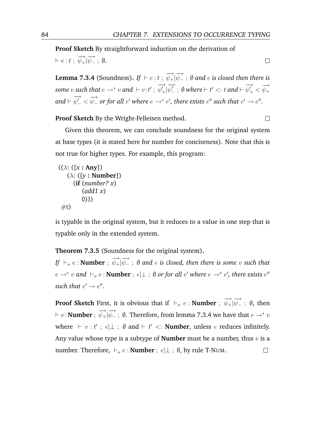$\Box$ 

 $\Box$ 

**Proof Sketch** By straightforward induction on the derivation of  $\vdash e:t \; ; \; \overrightarrow{\psi_+}|\overrightarrow{\psi_-} \; ; \; \emptyset.$ 

<span id="page-97-0"></span>**Lemma 7.3.4** (Soundness). If  $\vdash e:t$  ;  $\overrightarrow{\psi_+}\vert \overrightarrow{\psi_-}$  ;  $\emptyset$  and  $e$  is closed then there is some v such that  $e \rightarrow^* v$  and  $\vdash v:t'$ ; −→  $\psi'_+|$ −→  $\psi_{-}'$  ;  $\emptyset$  where  $\vdash t' <: t$  and  $\vdash$ −→  $\overrightarrow{\psi_+'} < \overrightarrow{\psi_+}$ and  $\vdash$ −→  $\overrightarrow{\psi_{-}} < \overrightarrow{\psi_{-}}$  or for all  $e'$  where  $e \rightarrow^* e'$ , there exists  $e''$  such that  $e' \rightarrow e''$ .

**Proof Sketch** By the Wright-Felleisen method.

Given this theorem, we can conclude soundness for the original system at base types (it is stated here for number for conciseness). Note that this is not true for higher types. For example, this program:

```
((\lambda: ([x : Any])(λ: ([y : Number])
     (if (number? x)
         (add1 x)
         0)))
 #t)
```
is typable in the original system, but it reduces to a value in one step that is typable only in the extended system.

**Theorem 7.3.5** (Soundness for the original system)**.**

 $\mathit{Lif} \ \vdash_o e : \textbf{Number} \ ; \ \overrightarrow{\psi_+} | \overrightarrow{\psi_-} \ ; \ \emptyset \ \textit{and}\ e \ \textit{is closed, then there is some}\ v \ \textit{such that}$  $e \to^* v$  and  $\vdash_o v$  : **Number** ;  $\epsilon | \bot$  ;  $\emptyset$  *or for all*  $e'$  *where*  $e \to^* e'$ *, there exists*  $e''$ such that  $e' \rightarrow e''$ .

**Proof Sketch** First, it is obvious that if  $\vdash_o e :$  **Number** ;  $\overrightarrow{\psi_+}|\overrightarrow{\psi_-}$  ;  $\emptyset$ , then  $\vdash e\!:\mathbf{Number}\,;\;\overrightarrow{\psi_+|\psi_-}\,;\;\emptyset.$  Therefore, from lemma [7.3.4](#page-97-0) we have that  $e\to^* v$ where  $\vdash v : t'$ ;  $\epsilon | \bot$ ;  $\emptyset$  and  $\vdash t' < i$ : **Number**, unless *e* reduces infinitely. Any value whose type is a subtype of **Number** must be a number, thus  $v$  is a number. Therefore,  $\vdash_o v :$  **Number** ;  $\epsilon \downarrow \bot$  ;  $\emptyset$ , by rule T-NUM.  $\Box$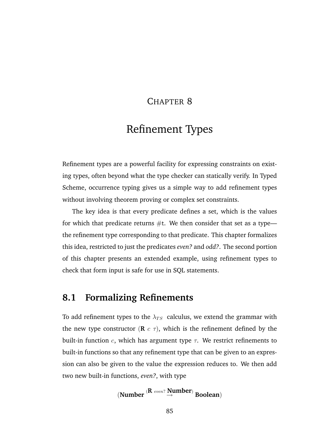### CHAPTER 8

# Refinement Types

Refinement types are a powerful facility for expressing constraints on existing types, often beyond what the type checker can statically verify. In Typed Scheme, occurrence typing gives us a simple way to add refinement types without involving theorem proving or complex set constraints.

The key idea is that every predicate defines a set, which is the values for which that predicate returns  $\#$ t. We then consider that set as a type the refinement type corresponding to that predicate. This chapter formalizes this idea, restricted to just the predicates *even?* and *odd?*. The second portion of this chapter presents an extended example, using refinement types to check that form input is safe for use in SQL statements.

## **8.1 Formalizing Refinements**

To add refinement types to the  $\lambda_{TS}$  calculus, we extend the grammar with the new type constructor  $(\mathbf{R} \ c \ \tau)$ , which is the refinement defined by the built-in function c, which has argument type  $\tau$ . We restrict refinements to built-in functions so that any refinement type that can be given to an expression can also be given to the value the expression reduces to. We then add two new built-in functions, *even?*, with type

$$
(Number\stackrel{(R\text{ even? Number})}{\rightarrow} Boolean)
$$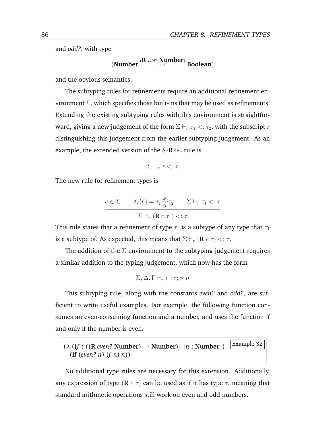and *odd?*, with type

$$
(\text{Number }^{(R \text{ odd?}} \overset{\text{Number}}{\rightarrow} \text{Boolean})
$$

and the obvious semantics.

The subtyping rules for refinements require an additional refinement environment Σ, which specifies those built-ins that may be used as refinements. Extending the existing subtyping rules with this environment is straightforward, giving a new judgement of the form  $\Sigma \vdash_r \tau_1 < r_2$ , with the subscript  $r$ distinguishing this judgement from the earlier subtyping judgement. As an example, the extended version of the S-REFL rule is

 $\Sigma \vdash_r \tau \lt: : \tau$ 

The new rule for refinement types is

$$
c \in \Sigma \qquad \delta_{\tau}(c) = \tau_1 \frac{\phi}{\sigma} \tau_2 \qquad \Sigma \vdash_r \tau_1 <: \tau
$$

$$
\Sigma \vdash_r (\mathbf{R} \ c \ \tau_1) <: \tau
$$

This rule states that a refinement of type  $\tau_1$  is a subtype of any type that  $\tau_1$ is a subtype of. As expected, this means that  $\Sigma \vdash_r (\mathbf{R} \cdot \tau) \prec \tau$ .

The addition of the  $\Sigma$  environment to the subtyping judgement requires a similar addition to the typing judgement, which now has the form

$$
\Sigma, \Delta, \Gamma \vdash_r e : \tau; \phi; o
$$

This subtyping rule, along with the constants *even?* and *odd?*, are sufficient to write useful examples. For example, the following function consumes an even-consuming function and a number, and uses the function if and only if the number is even.

 $(\lambda \left( \frac{f}{f} : ((R \text{ even? Number}) \rightarrow \text{Number}) \right] [n : \text{Number}])$  [Example 32] (**if** (*even? n*) (*f n*) *n*))

No additional type rules are necessary for this extension. Additionally, any expression of type ( $\bf{R}$  c  $\tau$ ) can be used as if it has type  $\tau$ , meaning that standard arithmetic operations still work on even and odd numbers.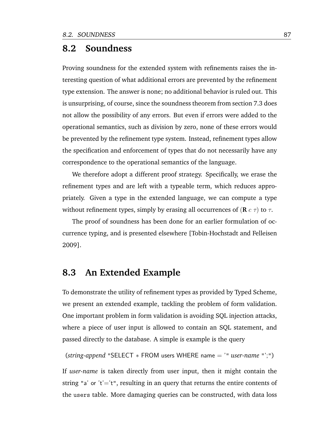### **8.2 Soundness**

Proving soundness for the extended system with refinements raises the interesting question of what additional errors are prevented by the refinement type extension. The answer is none; no additional behavior is ruled out. This is unsurprising, of course, since the soundness theorem from section [7.3](#page-91-0) does not allow the possibility of any errors. But even if errors were added to the operational semantics, such as division by zero, none of these errors would be prevented by the refinement type system. Instead, refinement types allow the specification and enforcement of types that do not necessarily have any correspondence to the operational semantics of the language.

We therefore adopt a different proof strategy. Specifically, we erase the refinement types and are left with a typeable term, which reduces appropriately. Given a type in the extended language, we can compute a type without refinement types, simply by erasing all occurrences of  $(\mathbf{R} c \tau)$  to  $\tau$ .

The proof of soundness has been done for an earlier formulation of occurrence typing, and is presented elsewhere [\[Tobin-Hochstadt and Felleisen](#page-179-1) [2009\]](#page-179-1).

## **8.3 An Extended Example**

To demonstrate the utility of refinement types as provided by Typed Scheme, we present an extended example, tackling the problem of form validation. One important problem in form validation is avoiding SQL injection attacks, where a piece of user input is allowed to contain an SQL statement, and passed directly to the database. A simple is example is the query

(*string-append* "SELECT ∗ FROM users WHERE name = '" *user-name* "';")

If *user-name* is taken directly from user input, then it might contain the string "a' or 't'='t", resulting in an query that returns the entire contents of the users table. More damaging queries can be constructed, with data loss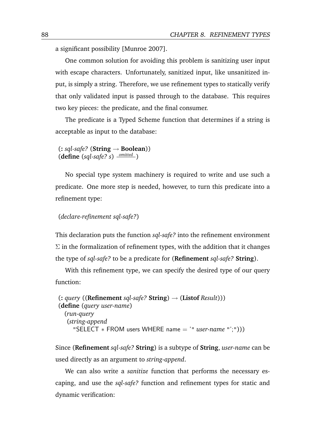a significant possibility [\[Munroe](#page-177-0) [2007\]](#page-177-0).

One common solution for avoiding this problem is sanitizing user input with escape characters. Unfortunately, sanitized input, like unsanitized input, is simply a string. Therefore, we use refinement types to statically verify that only validated input is passed through to the database. This requires two key pieces: the predicate, and the final consumer.

The predicate is a Typed Scheme function that determines if a string is acceptable as input to the database:

(**:** *sql-safe?* (**String** → **Boolean**)) (**define** (*sql-safe? s*) *omitted* )

No special type system machinery is required to write and use such a predicate. One more step is needed, however, to turn this predicate into a refinement type:

#### (*declare-refinement sql-safe?*)

This declaration puts the function *sql-safe?* into the refinement environment  $\Sigma$  in the formalization of refinement types, with the addition that it changes the type of *sql-safe?* to be a predicate for (**Refinement** *sql-safe?* **String**).

With this refinement type, we can specify the desired type of our query function:

```
(: query ((Refinement sql-safe? String) → (Listof Result)))
(define (query user-name)
  (run-query
   (string-append
     "SELECT ∗ FROM users WHERE name = '" user-name "';")))
```
Since (**Refinement** *sql-safe?* **String**) is a subtype of **String**, *user-name* can be used directly as an argument to *string-append*.

We can also write a *sanitize* function that performs the necessary escaping, and use the *sql-safe?* function and refinement types for static and dynamic verification: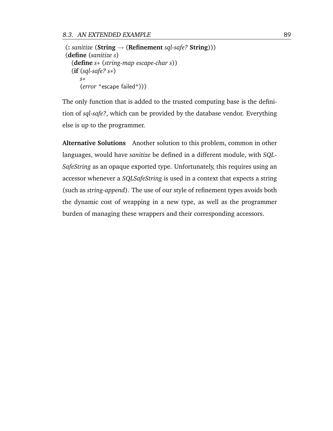(**:** *sanitize* (**String** → (**Refinement** *sql-safe?* **String**))) (**define** (*sanitize s*) (**define** *s*∗ (*string-map escape-char s*)) (**if** (*sql-safe? s*∗) *s*∗ (*error* "escape failed")))

The only function that is added to the trusted computing base is the definition of *sql-safe?*, which can be provided by the database vendor. Everything else is up to the programmer.

**Alternative Solutions** Another solution to this problem, common in other languages, would have *sanitize* be defined in a different module, with *SQL-SafeString* as an opaque exported type. Unfortunately, this requires using an accessor whenever a *SQLSafeString* is used in a context that expects a string (such as *string-append*). The use of our style of refinement types avoids both the dynamic cost of wrapping in a new type, as well as the programmer burden of managing these wrappers and their corresponding accessors.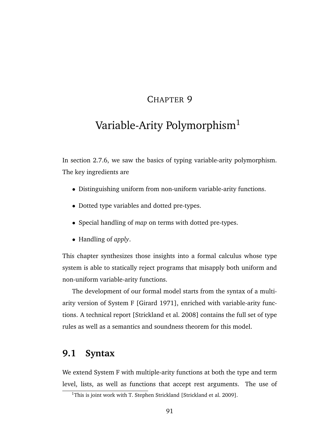## CHAPTER 9

# Variable-Arity Polymorphism<sup>1</sup>

In section [2.7.6,](#page-36-0) we saw the basics of typing variable-arity polymorphism. The key ingredients are

- Distinguishing uniform from non-uniform variable-arity functions.
- Dotted type variables and dotted pre-types.
- Special handling of *map* on terms with dotted pre-types.
- Handling of *apply*.

This chapter synthesizes those insights into a formal calculus whose type system is able to statically reject programs that misapply both uniform and non-uniform variable-arity functions.

The development of our formal model starts from the syntax of a multiarity version of System F [\[Girard](#page-174-0) [1971\]](#page-174-0), enriched with variable-arity functions. A technical report [\[Strickland et al.](#page-179-2) [2008\]](#page-179-2) contains the full set of type rules as well as a semantics and soundness theorem for this model.

## **9.1 Syntax**

We extend System F with multiple-arity functions at both the type and term level, lists, as well as functions that accept rest arguments. The use of

<sup>&</sup>lt;sup>1</sup>This is joint work with T. Stephen Strickland [\[Strickland et al.](#page-179-3) [2009\]](#page-179-3).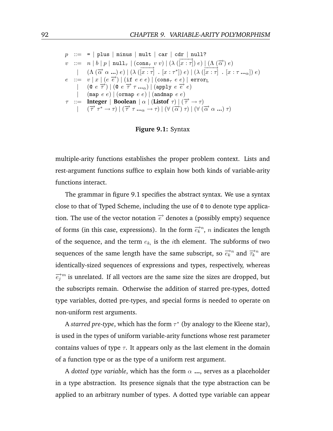<span id="page-105-0"></span>
$$
p ::= = | \text{ plus } | \text{ minus } | \text{ mult } | \text{ car } | \text{ cdr } | \text{ null?}
$$
\n
$$
v ::= n | b | p | \text{ null}_{\tau} | (\cos_{\tau} v v) | (\lambda (x : \tau)) e) | (\Lambda (\overline{\alpha}) e)
$$
\n
$$
| (\Lambda (\overrightarrow{\alpha} \alpha \dots) e) | (\lambda (x : \tau) \cdot [x : \tau^{*}]) e) | (\lambda (x : \tau) \cdot [x : \tau \dots) e)
$$
\n
$$
e ::= v | x | (e \overrightarrow{e}) | (\text{if } e e e) | (\cos_{\tau} e e) | \text{ errorL}
$$
\n
$$
| (\text{if } e e \overrightarrow{e}) | (\text{if } e e e) | (\cos_{\tau} e e) | \text{ errorL}
$$
\n
$$
| (\text{if } e e e) | (\text{or } e e) | (\text{and } e e)
$$
\n
$$
r ::= \text{Integer} | \text{Boolean} | \alpha | (\text{Listof } \tau) | (\overrightarrow{\tau} \rightarrow \tau)
$$
\n
$$
| (\overrightarrow{\tau} \tau^{*} \rightarrow \tau) | (\overrightarrow{\tau} \tau \dots \alpha \rightarrow \tau) | (\forall (\overrightarrow{\alpha}) \tau) | (\forall (\overrightarrow{\alpha} \alpha \dots) \tau)
$$

**Figure 9.1:** Syntax

multiple-arity functions establishes the proper problem context. Lists and rest-argument functions suffice to explain how both kinds of variable-arity functions interact.

The grammar in figure [9.1](#page-105-0) specifies the abstract syntax. We use a syntax close to that of Typed Scheme, including the use of @ to denote type application. The use of the vector notation  $\vec{e}$  denotes a (possibly empty) sequence of forms (in this case, expressions). In the form  $\overrightarrow{e_k}^n$ , *n* indicates the length of the sequence, and the term  $e_{k_i}$  is the *i*th element. The subforms of two sequences of the same length have the same subscript, so  $\overrightarrow{e_k}^n$  and  $\overrightarrow{\tau_k}^n$  are identically-sized sequences of expressions and types, respectively, whereas  $\overrightarrow{e_j}^m$  is unrelated. If all vectors are the same size the sizes are dropped, but the subscripts remain. Otherwise the addition of starred pre-types, dotted type variables, dotted pre-types, and special forms is needed to operate on non-uniform rest arguments.

A *starred pre-type*, which has the form  $\tau^*$  (by analogy to the Kleene star), is used in the types of uniform variable-arity functions whose rest parameter contains values of type  $\tau$ . It appears only as the last element in the domain of a function type or as the type of a uniform rest argument.

A *dotted type variable*, which has the form  $\alpha$  ..., serves as a placeholder in a type abstraction. Its presence signals that the type abstraction can be applied to an arbitrary number of types. A dotted type variable can appear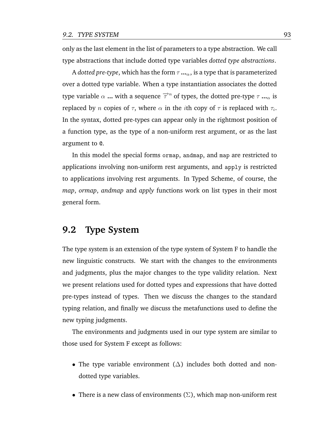only as the last element in the list of parameters to a type abstraction. We call type abstractions that include dotted type variables *dotted type abstractions*.

A *dotted pre-type*, which has the form  $\tau \cdot \cdot \cdot \cdot \cdot$ , is a type that is parameterized over a dotted type variable. When a type instantiation associates the dotted type variable  $\alpha$  ... with a sequence  $\overrightarrow{\tau}^n$  of types, the dotted pre-type  $\tau$  ... $_{\alpha}$  is replaced by  $n$  copies of  $\tau,$  where  $\alpha$  in the  $i$ th copy of  $\tau$  is replaced with  $\tau_i.$ In the syntax, dotted pre-types can appear only in the rightmost position of a function type, as the type of a non-uniform rest argument, or as the last argument to @.

In this model the special forms ormap, andmap, and map are restricted to applications involving non-uniform rest arguments, and apply is restricted to applications involving rest arguments. In Typed Scheme, of course, the *map*, *ormap*, *andmap* and *apply* functions work on list types in their most general form.

## **9.2 Type System**

The type system is an extension of the type system of System F to handle the new linguistic constructs. We start with the changes to the environments and judgments, plus the major changes to the type validity relation. Next we present relations used for dotted types and expressions that have dotted pre-types instead of types. Then we discuss the changes to the standard typing relation, and finally we discuss the metafunctions used to define the new typing judgments.

The environments and judgments used in our type system are similar to those used for System F except as follows:

- The type variable environment  $(\Delta)$  includes both dotted and nondotted type variables.
- There is a new class of environments  $(\Sigma)$ , which map non-uniform rest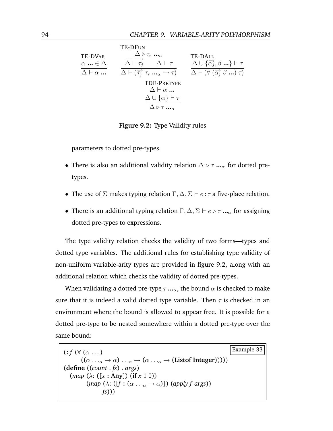<span id="page-107-0"></span>

|                                                                       | TE-DFUN                                                                                                                                                                         |                                                                                                                                                                  |
|-----------------------------------------------------------------------|---------------------------------------------------------------------------------------------------------------------------------------------------------------------------------|------------------------------------------------------------------------------------------------------------------------------------------------------------------|
| <b>TE-DVAR</b><br>$\alpha \dots \in \Delta$<br>$\Delta \vdash \alpha$ | $\Delta \triangleright \tau_r \dots$<br>$\Delta \vdash \tau_i$<br>$\Delta \vdash \tau$<br>$\Delta \vdash (\overrightarrow{\tau_i} \ \tau_r \ \ldots \ \alpha \rightarrow \tau)$ | <b>TE-DALL</b><br>$\Delta \cup {\overrightarrow{\alpha_i}}, \beta  \} \vdash \tau$<br>$\Delta \vdash (\forall (\overrightarrow{\alpha_i} \ \beta \dots) \ \tau)$ |
|                                                                       | <b>TDE-PRETYPE</b><br>$\Delta \vdash \alpha$<br>$\Delta \cup \{\alpha\} \vdash \tau$<br>$\Delta \triangleright \tau$                                                            |                                                                                                                                                                  |

**Figure 9.2:** Type Validity rules

parameters to dotted pre-types.

- There is also an additional validity relation  $\Delta \triangleright \tau \dots$ <sub>α</sub> for dotted pretypes.
- The use of  $\Sigma$  makes typing relation  $\Gamma, \Delta, \Sigma \vdash e : \tau$  a five-place relation.
- There is an additional typing relation  $\Gamma, \Delta, \Sigma \vdash e \triangleright \tau \dots \widehat{P}$  for assigning dotted pre-types to expressions.

The type validity relation checks the validity of two forms—types and dotted type variables. The additional rules for establishing type validity of non-uniform variable-arity types are provided in figure [9.2,](#page-107-0) along with an additional relation which checks the validity of dotted pre-types.

When validating a dotted pre-type  $\tau \cdot \cdot \cdot \cdot$ , the bound  $\alpha$  is checked to make sure that it is indeed a valid dotted type variable. Then  $\tau$  is checked in an environment where the bound is allowed to appear free. It is possible for a dotted pre-type to be nested somewhere within a dotted pre-type over the same bound:

 $\mathbf{f} \in \mathcal{F} \left( \forall (\alpha \dots) \right)$  Example 33  $((\alpha \dots_{\alpha} \rightarrow \alpha) \dots_{\alpha} \rightarrow (\alpha \dots_{\alpha} \rightarrow (Listof Integer))))$ (**define** ((*count* . *fs*) . *args*) (*map* (λ: ([*x* **: Any**]) (**if** *x* 1 0))  $(\text{map } (\lambda: ([f : (\alpha \dots_{\alpha} \rightarrow \alpha)]) (\text{apply } f \text{ args}))$ *fs*)))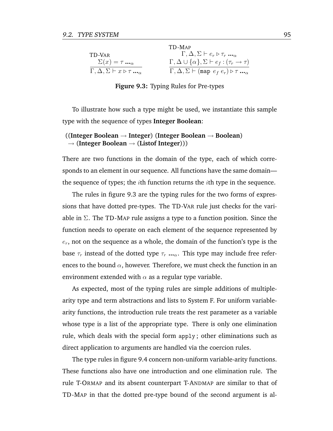<span id="page-108-0"></span>

|                                                              | TD-MAP                                                                          |
|--------------------------------------------------------------|---------------------------------------------------------------------------------|
| TD-VAR                                                       | $\Gamma, \Delta, \Sigma \vdash e_r \triangleright \tau_r \ldots$                |
| $\Sigma(x) = \tau \ldots_{\alpha}$                           | $\Gamma, \Delta \cup \{\alpha\}, \Sigma \vdash e_f : (\tau_r \rightarrow \tau)$ |
| $\Gamma, \Delta, \Sigma \vdash x \triangleright \tau \ldots$ | $\Gamma, \Delta, \Sigma \vdash (map \ e_f \ e_r) \triangleright \tau \ldots$    |

**Figure 9.3:** Typing Rules for Pre-types

To illustrate how such a type might be used, we instantiate this sample type with the sequence of types **Integer Boolean**:

#### ((**Integer Boolean** → **Integer**) (**Integer Boolean** → **Boolean**) → (**Integer Boolean** → (**Listof Integer**)))

There are two functions in the domain of the type, each of which corresponds to an element in our sequence. All functions have the same domain the sequence of types; the *i*th function returns the *i*th type in the sequence.

The rules in figure [9.3](#page-108-0) are the typing rules for the two forms of expressions that have dotted pre-types. The TD -VAR rule just checks for the variable in  $\Sigma$ . The TD-MAP rule assigns a type to a function position. Since the function needs to operate on each element of the sequence represented by  $e_r$ , not on the sequence as a whole, the domain of the function's type is the base  $\tau_r$  instead of the dotted type  $\tau_r$  **...**<sub> $\alpha$ </sub>. This type may include free references to the bound  $\alpha$ , however. Therefore, we must check the function in an environment extended with  $\alpha$  as a regular type variable.

As expected, most of the typing rules are simple additions of multiplearity type and term abstractions and lists to System F. For uniform variablearity functions, the introduction rule treats the rest parameter as a variable whose type is a list of the appropriate type. There is only one elimination rule, which deals with the special form apply ; other eliminations such as direct application to arguments are handled via the coercion rules.

The type rules in figure [9.4](#page-109-0) concern non-uniform variable-arity functions. These functions also have one introduction and one elimination rule. The rule T-ORMAP and its absent counterpart T-ANDMAP are similar to that of TD -MAP in that the dotted pre-type bound of the second argument is al-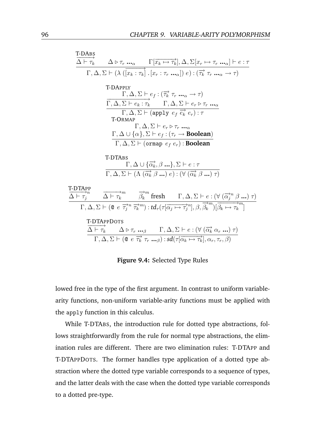<span id="page-109-0"></span>
$$
\frac{\overline{\Delta \vdash \tau_k}}{\Delta \vdash \tau_k} \quad \Delta \triangleright \tau_r \dots_{\alpha} \quad \Gamma[\overline{x_k \mapsto \tau_k}], \Delta, \Sigma[x_r \mapsto \tau_r \dots_{\alpha}] \vdash e : \tau
$$
\n
$$
\Gamma, \Delta, \Sigma \vdash (\lambda (\overline{x_k : \tau_k}) \cdot [x_r : \tau_r \dots_{\alpha}]) e) : (\overrightarrow{\tau_k} \tau_r \dots_{\alpha} \rightarrow \tau)
$$
\n
$$
\frac{\Gamma, \Delta, \Sigma \vdash e_t : (\overrightarrow{\tau_k} \tau_r \dots_{\alpha} \rightarrow \tau)}{\Gamma, \Delta, \Sigma \vdash e_k : \tau_k} \quad \Gamma, \Delta, \Sigma \vdash e_r \triangleright \tau_r \dots_{\alpha}
$$
\n
$$
\frac{\Gamma, \Delta, \Sigma \vdash e_k : \tau_k \quad \Gamma, \Delta, \Sigma \vdash e_r \triangleright \tau_r \dots_{\alpha}}{\Gamma, \Delta, \Sigma \vdash e_r \triangleright \tau_r \dots_{\alpha}}
$$
\n
$$
\frac{\Gamma, \Delta \cup \{\alpha\}, \Sigma \vdash e_f : (\tau_r \rightarrow \text{Boolean})}{\Gamma, \Delta, \Sigma \vdash (\text{orange } e_f e_r) : \text{Boolean})}
$$
\n
$$
\frac{\Gamma \cdot \text{DTABs}}{\Gamma, \Delta, \Sigma \vdash (\Delta (\overrightarrow{\alpha_k}, \beta \dots), \Sigma \vdash e : \tau)} \frac{\Gamma \cdot \text{DTABp}}{\Gamma, \Delta, \Sigma \vdash (\Delta (\overrightarrow{\alpha_k}, \beta \dots) e) : (\forall (\overrightarrow{\alpha_k}, \beta \dots) \tau)} \frac{\Gamma \cdot \text{DTAPp}}{\Gamma, \Delta, \Sigma \vdash (\alpha e \overrightarrow{\tau_j}^n \overrightarrow{\tau_k}^m) : t d_{\tau}(\tau(\overrightarrow{\alpha_j} \mapsto \tau_j^n), \beta, \overrightarrow{\beta_k}^m)[\overrightarrow{\beta_k} \mapsto \tau_k^m]} \frac{\Gamma \cdot \text{DTAPpDors}}{\Delta \vdash \tau_k} \quad \Delta \vdash \tau_r \dots_{\beta} \quad \Gamma, \Delta, \Sigma \vdash e : (\forall (\overrightarrow{\alpha_k} \alpha_r \dots) \tau) \frac{\Gamma \cdot \text{DTAPpDors}}{\Gamma, \Delta, \Sigma \vdash (\mathcal{Q} \in \overrightarrow{\tau_k} \tau_r \dots_{\beta}) : s d(\tau(\overrightarrow{\alpha_k} \mapsto \tau_k^n), \alpha_r, \tau_r, \
$$

**Figure 9.4:** Selected Type Rules

lowed free in the type of the first argument. In contrast to uniform variablearity functions, non-uniform variable-arity functions must be applied with the apply function in this calculus.

While T-DTABS, the introduction rule for dotted type abstractions, follows straightforwardly from the rule for normal type abstractions, the elimination rules are different. There are two elimination rules: T-DTAPP and T-DTAPPDOTS. The former handles type application of a dotted type abstraction where the dotted type variable corresponds to a sequence of types, and the latter deals with the case when the dotted type variable corresponds to a dotted pre-type.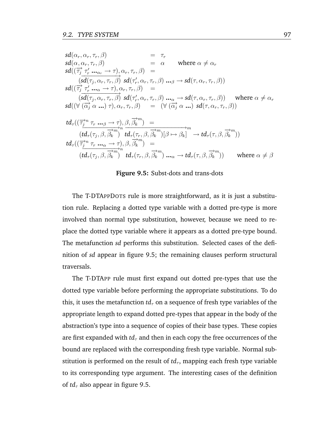<span id="page-110-0"></span>
$$
sd(\alpha_r, \alpha_r, \tau_r, \beta) = \tau_r
$$
  
\n
$$
sd(\alpha_r, \alpha_r, \tau_r, \beta) = \alpha \quad \text{where } \alpha \neq \alpha_r
$$
  
\n
$$
sd(\overrightarrow{\tau_j} \tau_r' ... \tau_r, \beta) = \frac{sd(\tau_j, \alpha_r, \tau_r, \beta) sd(\tau_r', \alpha_r, \tau_r, \beta) ... \beta \rightarrow sd(\tau, \alpha_r, \tau_r, \beta))
$$
  
\n
$$
sd(\overrightarrow{\tau_j} \tau_r' ... \tau_r, \beta) sd(\tau_r', \alpha_r, \tau_r, \beta) ... \beta \rightarrow sd(\tau, \alpha_r, \tau_r, \beta))
$$
  
\n
$$
sd(\overrightarrow{\tau_j} \tau_r' ... \tau_r, \beta) sd(\tau_r', \alpha_r, \tau_r, \beta) ... \gamma \rightarrow sd(\tau, \alpha_r, \tau_r, \beta)) \quad \text{where } \alpha \neq \alpha_r
$$
  
\n
$$
sd(\forall (\overrightarrow{\alpha_j} \alpha ...) \tau), \alpha_r, \tau_r, \beta) = (\forall (\overrightarrow{\alpha_j} \alpha ...) sd(\tau, \alpha_r, \tau_r, \beta))
$$
  
\n
$$
td_{\tau}((\overrightarrow{\tau_j} \tau_r' ... \tau_r, \beta \rightarrow \overrightarrow{\tau_j}) \beta, \overrightarrow{\beta_k}) = \frac{d}{d_{\tau}(\tau_r, \beta, \overrightarrow{\beta_k})} \frac{d}{d_{\tau}(\tau_r, \beta, \overrightarrow{\beta_k})} [\beta \mapsto \beta_k] \rightarrow td_{\tau}(\tau, \beta, \overrightarrow{\beta_k})
$$
  
\n
$$
td_{\tau}((\overrightarrow{\tau_j} \tau_r' ... \tau_r, \neg \tau_r, \beta \rightarrow \overrightarrow{\gamma_k}) \tau_r' ... \gamma \rightarrow sd(\tau_r, \beta \rightarrow \overrightarrow{\gamma_k})
$$
  
\n
$$
(td_{\tau}(\tau_j, \beta, \overrightarrow{\beta_k}) \tau_d' \tau_r' ... \beta \rightarrow sd(\tau_r, \beta, \overrightarrow{\beta_k}) ... \gamma \rightarrow td_{\tau}(\tau, \beta, \overrightarrow{\beta_k})
$$

#### **Figure 9.5:** Subst-dots and trans-dots

The T-DTAPPDOTS rule is more straightforward, as it is just a substitution rule. Replacing a dotted type variable with a dotted pre-type is more involved than normal type substitution, however, because we need to replace the dotted type variable where it appears as a dotted pre-type bound. The metafunction *sd* performs this substitution. Selected cases of the definition of *sd* appear in figure [9.5;](#page-110-0) the remaining clauses perform structural traversals.

The T-DTAPP rule must first expand out dotted pre-types that use the dotted type variable before performing the appropriate substitutions. To do this, it uses the metafunction  $td_{\tau}$  on a sequence of fresh type variables of the appropriate length to expand dotted pre-types that appear in the body of the abstraction's type into a sequence of copies of their base types. These copies are first expanded with  $td_{\tau}$  and then in each copy the free occurrences of the bound are replaced with the corresponding fresh type variable. Normal substitution is performed on the result of  $td_{\tau}$ , mapping each fresh type variable to its corresponding type argument. The interesting cases of the definition of  $td_{\tau}$  also appear in figure [9.5.](#page-110-0)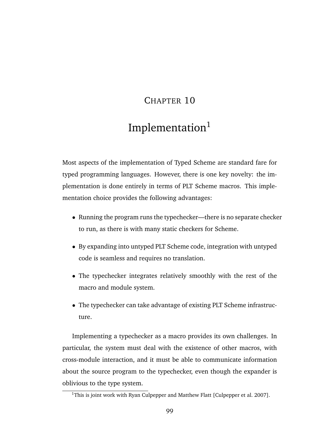# CHAPTER 10

# Implementation<sup>1</sup>

Most aspects of the implementation of Typed Scheme are standard fare for typed programming languages. However, there is one key novelty: the implementation is done entirely in terms of PLT Scheme macros. This implementation choice provides the following advantages:

- Running the program runs the typechecker—there is no separate checker to run, as there is with many static checkers for Scheme.
- By expanding into untyped PLT Scheme code, integration with untyped code is seamless and requires no translation.
- The typechecker integrates relatively smoothly with the rest of the macro and module system.
- The typechecker can take advantage of existing PLT Scheme infrastructure.

Implementing a typechecker as a macro provides its own challenges. In particular, the system must deal with the existence of other macros, with cross-module interaction, and it must be able to communicate information about the source program to the typechecker, even though the expander is oblivious to the type system.

<sup>&</sup>lt;sup>1</sup>This is joint work with Ryan Culpepper and Matthew Flatt [\[Culpepper et al.](#page-172-0) [2007\]](#page-172-0).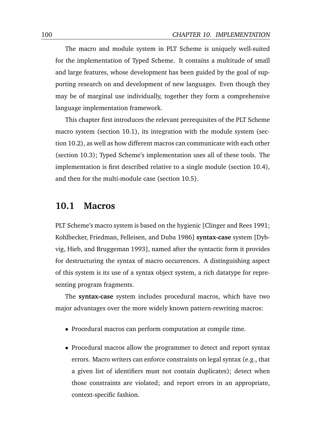The macro and module system in PLT Scheme is uniquely well-suited for the implementation of Typed Scheme. It contains a multitude of small and large features, whose development has been guided by the goal of supporting research on and development of new languages. Even though they may be of marginal use individually, together they form a comprehensive language implementation framework.

This chapter first introduces the relevant prerequisites of the PLT Scheme macro system (section [10.1\)](#page-113-0), its integration with the module system (section [10.2\)](#page-115-0), as well as how different macros can communicate with each other (section [10.3\)](#page-124-0); Typed Scheme's implementation uses all of these tools. The implementation is first described relative to a single module (section [10.4\)](#page-126-0), and then for the multi-module case (section [10.5\)](#page-131-0).

### <span id="page-113-0"></span>**10.1 Macros**

PLT Scheme's macro system is based on the hygienic [\[Clinger and Rees](#page-171-0) [1991;](#page-171-0) [Kohlbecker, Friedman, Felleisen, and Duba](#page-176-0) [1986\]](#page-176-0) **syntax-case** system [\[Dyb](#page-172-1)[vig, Hieb, and Bruggeman](#page-172-1) [1993\]](#page-172-1), named after the syntactic form it provides for destructuring the syntax of macro occurrences. A distinguishing aspect of this system is its use of a syntax object system, a rich datatype for representing program fragments.

The **syntax-case** system includes procedural macros, which have two major advantages over the more widely known pattern-rewriting macros:

- Procedural macros can perform computation at compile time.
- Procedural macros allow the programmer to detect and report syntax errors. Macro writers can enforce constraints on legal syntax (e.g., that a given list of identifiers must not contain duplicates); detect when those constraints are violated; and report errors in an appropriate, context-specific fashion.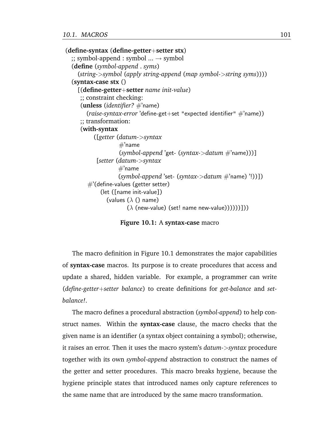```
(define-syntax (define-getter+setter stx)
  \gamma; symbol-append : symbol \ldots \rightarrow symbol
  (define (symbol-append . syms)
    (string->symbol (apply string-append (map symbol->string syms))))
  (syntax-case stx ()
    [(define-getter+setter name init-value)
     ;; constraint checking:
     (unless (identifier? #'name)
       (raise-syntax-error 'define-get+set "expected identifier" #'name))
     ;; transformation:
     (with-syntax
          ([getter (datum->syntax
                   #'name
                   (symbol-append 'get- (syntax->datum #'name)))]
           [setter (datum->syntax
                   #'name
                   (symbol-append 'set- (syntax->datum #'name) '!))])
        \#'(define-values (getter setter)
            (let ([name init-value])
               (values (\lambda) name)
                      (\lambda (new-value) (set! name new-value))))))))))
```
**Figure 10.1:** A **syntax-case** macro

The macro definition in Figure [10.1](#page-114-0) demonstrates the major capabilities of **syntax-case** macros. Its purpose is to create procedures that access and update a shared, hidden variable. For example, a programmer can write (*define-getter*+*setter balance*) to create definitions for *get-balance* and *setbalance!*.

The macro defines a procedural abstraction (*symbol-append*) to help construct names. Within the **syntax-case** clause, the macro checks that the given name is an identifier (a syntax object containing a symbol); otherwise, it raises an error. Then it uses the macro system's *datum-*>*syntax* procedure together with its own *symbol-append* abstraction to construct the names of the getter and setter procedures. This macro breaks hygiene, because the hygiene principle states that introduced names only capture references to the same name that are introduced by the same macro transformation.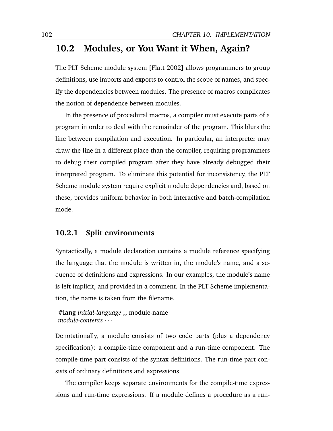# <span id="page-115-0"></span>**10.2 Modules, or You Want it When, Again?**

The PLT Scheme module system [\[Flatt](#page-173-0) [2002\]](#page-173-0) allows programmers to group definitions, use imports and exports to control the scope of names, and specify the dependencies between modules. The presence of macros complicates the notion of dependence between modules.

In the presence of procedural macros, a compiler must execute parts of a program in order to deal with the remainder of the program. This blurs the line between compilation and execution. In particular, an interpreter may draw the line in a different place than the compiler, requiring programmers to debug their compiled program after they have already debugged their interpreted program. To eliminate this potential for inconsistency, the PLT Scheme module system require explicit module dependencies and, based on these, provides uniform behavior in both interactive and batch-compilation mode.

#### **10.2.1 Split environments**

Syntactically, a module declaration contains a module reference specifying the language that the module is written in, the module's name, and a sequence of definitions and expressions. In our examples, the module's name is left implicit, and provided in a comment. In the PLT Scheme implementation, the name is taken from the filename.

**#lang** *initial-language* ;; module-name *module-contents* · · ·

Denotationally, a module consists of two code parts (plus a dependency specification): a compile-time component and a run-time component. The compile-time part consists of the syntax definitions. The run-time part consists of ordinary definitions and expressions.

The compiler keeps separate environments for the compile-time expressions and run-time expressions. If a module defines a procedure as a run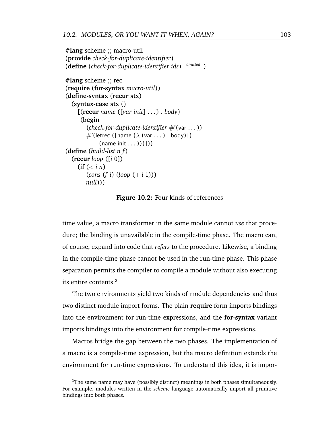<span id="page-116-0"></span>**#lang** scheme ;; macro-util (**provide** *check-for-duplicate-identifier*) (**define** (*check-for-duplicate-identifier ids*) *omitted* ) **#lang** scheme ;; rec (**require** (**for-syntax** *macro-util*)) (**define-syntax** (**recur stx**) (**syntax-case stx** () [(**recur** *name* ([*var init*] . . . ) . *body*)

```
(begin
         (check-for-duplicate-identifier #'(var . . . ))
        \#'(letrec ([name (\lambda (var ...) . body)])
              (name init ...)))]))
(define (build-list n f )
  (recur loop ([i 0])
     (f \in (n \times i \ n))(cons (f i) (loop (+ i 1)))null)))
```
**Figure 10.2:** Four kinds of references

time value, a macro transformer in the same module cannot *use* that procedure; the binding is unavailable in the compile-time phase. The macro can, of course, expand into code that *refers* to the procedure. Likewise, a binding in the compile-time phase cannot be used in the run-time phase. This phase separation permits the compiler to compile a module without also executing its entire contents.<sup>2</sup>

The two environments yield two kinds of module dependencies and thus two distinct module import forms. The plain **require** form imports bindings into the environment for run-time expressions, and the **for-syntax** variant imports bindings into the environment for compile-time expressions.

Macros bridge the gap between the two phases. The implementation of a macro is a compile-time expression, but the macro definition extends the environment for run-time expressions. To understand this idea, it is impor-

 ${}^{2}$ The same name may have (possibly distinct) meanings in both phases simultaneously. For example, modules written in the *scheme* language automatically import all primitive bindings into both phases.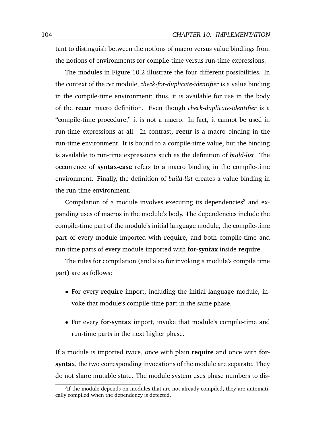tant to distinguish between the notions of macro versus value bindings from the notions of environments for compile-time versus run-time expressions.

The modules in Figure [10.2](#page-116-0) illustrate the four different possibilities. In the context of the *rec* module, *check-for-duplicate-identifier* is a value binding in the compile-time environment; thus, it is available for use in the body of the **recur** macro definition. Even though *check-duplicate-identifier* is a "compile-time procedure," it is not a macro. In fact, it cannot be used in run-time expressions at all. In contrast, **recur** is a macro binding in the run-time environment. It is bound to a compile-time value, but the binding is available to run-time expressions such as the definition of *build-list*. The occurrence of **syntax-case** refers to a macro binding in the compile-time environment. Finally, the definition of *build-list* creates a value binding in the run-time environment.

Compilation of a module involves executing its dependencies<sup>3</sup> and expanding uses of macros in the module's body. The dependencies include the compile-time part of the module's initial language module, the compile-time part of every module imported with **require**, and both compile-time and run-time parts of every module imported with **for-syntax** inside **require**.

The rules for compilation (and also for invoking a module's compile time part) are as follows:

- For every **require** import, including the initial language module, invoke that module's compile-time part in the same phase.
- For every **for-syntax** import, invoke that module's compile-time and run-time parts in the next higher phase.

If a module is imported twice, once with plain **require** and once with **forsyntax**, the two corresponding invocations of the module are separate. They do not share mutable state. The module system uses phase numbers to dis-

 $3$ If the module depends on modules that are not already compiled, they are automatically compiled when the dependency is detected.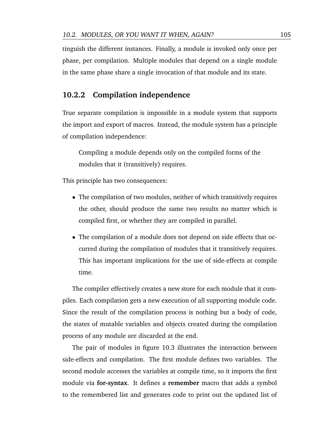tinguish the different instances. Finally, a module is invoked only once per phase, per compilation. Multiple modules that depend on a single module in the same phase share a single invocation of that module and its state.

#### **10.2.2 Compilation independence**

True separate compilation is impossible in a module system that supports the import and export of macros. Instead, the module system has a principle of compilation independence:

Compiling a module depends only on the compiled forms of the modules that it (transitively) requires.

This principle has two consequences:

- The compilation of two modules, neither of which transitively requires the other, should produce the same two results no matter which is compiled first, or whether they are compiled in parallel.
- The compilation of a module does not depend on side effects that occurred during the compilation of modules that it transitively requires. This has important implications for the use of side-effects at compile time.

The compiler effectively creates a new store for each module that it compiles. Each compilation gets a new execution of all supporting module code. Since the result of the compilation process is nothing but a body of code, the states of mutable variables and objects created during the compilation process of any module are discarded at the end.

The pair of modules in figure [10.3](#page-119-0) illustrates the interaction between side-effects and compilation. The first module defines two variables. The second module accesses the variables at compile time, so it imports the first module via **for-syntax**. It defines a **remember** macro that adds a symbol to the remembered list and generates code to print out the updated list of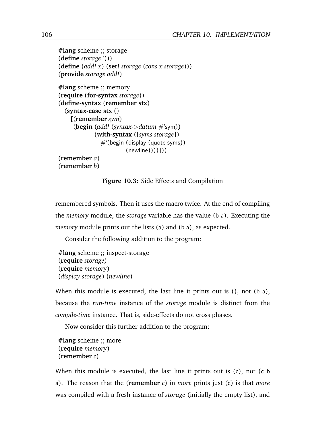<span id="page-119-0"></span>**#lang** scheme ;; storage (**define** *storage* '()) (**define** (*add! x*) (**set!** *storage* (*cons x storage*))) (**provide** *storage add!*)

```
#lang scheme ;; memory
(require (for-syntax storage))
(define-syntax (remember stx)
  (syntax-case stx ()
   [(remember sym)
    (begin (add! (syntax->datum #'sym))
            (with-syntax ([syms storage])
              #'(begin (display (quote syms))
                      (newline))))])
(remember a)
(remember b)
```
**Figure 10.3:** Side Effects and Compilation

remembered symbols. Then it uses the macro twice. At the end of compiling the *memory* module, the *storage* variable has the value (b a). Executing the *memory* module prints out the lists (a) and (b a), as expected.

Consider the following addition to the program:

```
#lang scheme ;; inspect-storage
(require storage)
(require memory)
(display storage) (newline)
```
When this module is executed, the last line it prints out is  $($ ), not  $($ b a $)$ , because the *run-time* instance of the *storage* module is distinct from the *compile-time* instance. That is, side-effects do not cross phases.

Now consider this further addition to the program:

```
#lang scheme ;; more
(require memory)
(remember c)
```
When this module is executed, the last line it prints out is (c), not (c b a). The reason that the (**remember** *c*) in *more* prints just (c) is that *more* was compiled with a fresh instance of *storage* (initially the empty list), and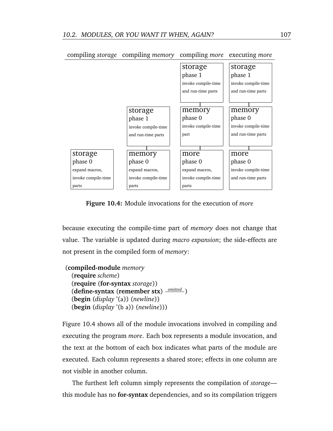<span id="page-120-0"></span>

**Figure 10.4:** Module invocations for the execution of *more*

because executing the compile-time part of *memory* does not change that value. The variable is updated during *macro expansion*; the side-effects are not present in the compiled form of *memory*:

```
(compiled-module memory
  (require scheme)
  (require (for-syntax storage))
  (define-syntax (remember stx)
omitted )
  (begin (display '(a)) (newline))
  (begin (display '(b a)) (newline)))
```
Figure [10.4](#page-120-0) shows all of the module invocations involved in compiling and executing the program *more*. Each box represents a module invocation, and the text at the bottom of each box indicates what parts of the module are executed. Each column represents a shared store; effects in one column are not visible in another column.

The furthest left column simply represents the compilation of *storage* this module has no **for-syntax** dependencies, and so its compilation triggers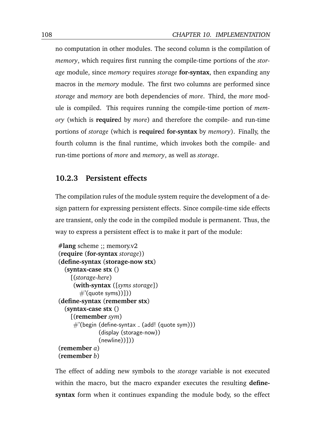no computation in other modules. The second column is the compilation of *memory*, which requires first running the compile-time portions of the *storage* module, since *memory* requires *storage* **for-syntax**, then expanding any macros in the *memory* module. The first two columns are performed since *storage* and *memory* are both dependencies of *more*. Third, the *more* module is compiled. This requires running the compile-time portion of *memory* (which is **require**d by *more*) and therefore the compile- and run-time portions of *storage* (which is **require**d **for-syntax** by *memory*). Finally, the fourth column is the final runtime, which invokes both the compile- and run-time portions of *more* and *memory*, as well as *storage*.

#### <span id="page-121-0"></span>**10.2.3 Persistent effects**

The compilation rules of the module system require the development of a design pattern for expressing persistent effects. Since compile-time side effects are transient, only the code in the compiled module is permanent. Thus, the way to express a persistent effect is to make it part of the module:

```
#lang scheme ;; memory.v2
(require (for-syntax storage))
(define-syntax (storage-now stx)
  (syntax-case stx ()
    [(storage-here)
     (with-syntax ([syms storage])
       \#'(quote syms))]))
(define-syntax (remember stx)
  (syntax-case stx ()
    [(remember sym)
     \#'(begin (define-syntax \angle (add! (quote sym)))
              (display (storage-now))
              (newline))]))
(remember a)
(remember b)
```
The effect of adding new symbols to the *storage* variable is not executed within the macro, but the macro expander executes the resulting **definesyntax** form when it continues expanding the module body, so the effect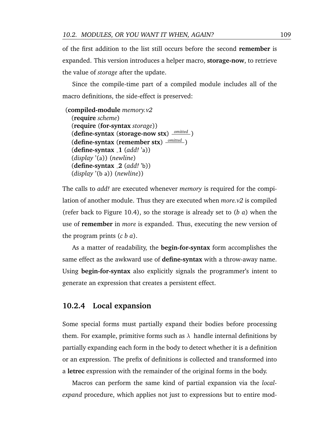of the first addition to the list still occurs before the second **remember** is expanded. This version introduces a helper macro, **storage-now**, to retrieve the value of *storage* after the update.

Since the compile-time part of a compiled module includes all of the macro definitions, the side-effect is preserved:

```
(compiled-module memory.v2
  (require scheme)
  (require (for-syntax storage))
  (define-syntax (storage-now stx)
omitted )
  (define-syntax (remember stx)
omitted )
  (define-syntax 1 (add! 'a))
  (display '(a)) (newline)
  (define-syntax 2 (add! 'b))
  (display '(b a)) (newline))
```
The calls to *add!* are executed whenever *memory* is required for the compilation of another module. Thus they are executed when *more.v2* is compiled (refer back to Figure [10.4\)](#page-120-0), so the storage is already set to (*b a*) when the use of **remember** in *more* is expanded. Thus, executing the new version of the program prints (*c b a*).

As a matter of readability, the **begin-for-syntax** form accomplishes the same effect as the awkward use of **define-syntax** with a throw-away name. Using **begin-for-syntax** also explicitly signals the programmer's intent to generate an expression that creates a persistent effect.

### **10.2.4 Local expansion**

Some special forms must partially expand their bodies before processing them. For example, primitive forms such as  $\lambda$  handle internal definitions by partially expanding each form in the body to detect whether it is a definition or an expression. The prefix of definitions is collected and transformed into a **letrec** expression with the remainder of the original forms in the body.

Macros can perform the same kind of partial expansion via the *localexpand* procedure, which applies not just to expressions but to entire mod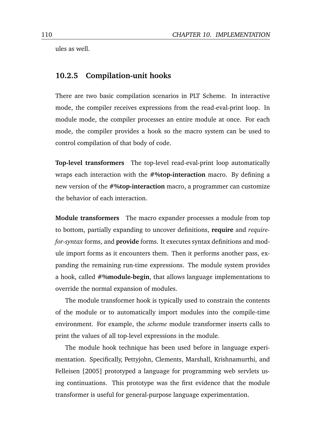ules as well.

#### <span id="page-123-0"></span>**10.2.5 Compilation-unit hooks**

There are two basic compilation scenarios in PLT Scheme. In interactive mode, the compiler receives expressions from the read-eval-print loop. In module mode, the compiler processes an entire module at once. For each mode, the compiler provides a hook so the macro system can be used to control compilation of that body of code.

**Top-level transformers** The top-level read-eval-print loop automatically wraps each interaction with the **#%top-interaction** macro. By defining a new version of the **#%top-interaction** macro, a programmer can customize the behavior of each interaction.

**Module transformers** The macro expander processes a module from top to bottom, partially expanding to uncover definitions, **require** and *requirefor-syntax* forms, and **provide** forms. It executes syntax definitions and module import forms as it encounters them. Then it performs another pass, expanding the remaining run-time expressions. The module system provides a hook, called **#%module-begin**, that allows language implementations to override the normal expansion of modules.

The module transformer hook is typically used to constrain the contents of the module or to automatically import modules into the compile-time environment. For example, the *scheme* module transformer inserts calls to print the values of all top-level expressions in the module.

The module hook technique has been used before in language experimentation. Specifically, [Pettyjohn, Clements, Marshall, Krishnamurthi, and](#page-177-0) [Felleisen](#page-177-0) [\[2005\]](#page-177-0) prototyped a language for programming web servlets using continuations. This prototype was the first evidence that the module transformer is useful for general-purpose language experimentation.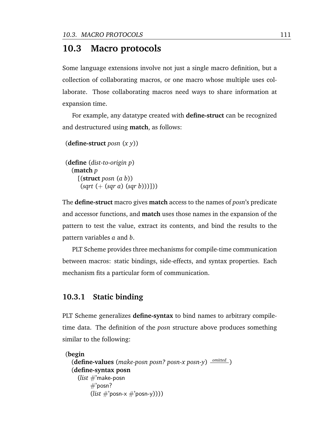# <span id="page-124-0"></span>**10.3 Macro protocols**

Some language extensions involve not just a single macro definition, but a collection of collaborating macros, or one macro whose multiple uses collaborate. Those collaborating macros need ways to share information at expansion time.

For example, any datatype created with **define-struct** can be recognized and destructured using **match**, as follows:

```
(define-struct posn (x y))
```

```
(define (dist-to-origin p)
  (match p
    [(struct posn (a b))
     (sqrt (+ (sqr a) (sqr b)))]))
```
The **define-struct** macro gives **match** access to the names of *posn*'s predicate and accessor functions, and **match** uses those names in the expansion of the pattern to test the value, extract its contents, and bind the results to the pattern variables *a* and *b*.

PLT Scheme provides three mechanisms for compile-time communication between macros: static bindings, side-effects, and syntax properties. Each mechanism fits a particular form of communication.

### **10.3.1 Static binding**

PLT Scheme generalizes **define-syntax** to bind names to arbitrary compiletime data. The definition of the *posn* structure above produces something similar to the following:

```
(begin
  (define-values (make-posn posn? posn-x posn-y)
omitted )
  (define-syntax posn
    (list #'make-posn
        \#'posn?
        (list #'posn-x #'posn-y)))
```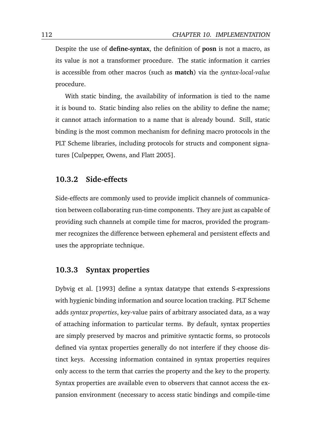Despite the use of **define-syntax**, the definition of **posn** is not a macro, as its value is not a transformer procedure. The static information it carries is accessible from other macros (such as **match**) via the *syntax-local-value* procedure.

With static binding, the availability of information is tied to the name it is bound to. Static binding also relies on the ability to define the name; it cannot attach information to a name that is already bound. Still, static binding is the most common mechanism for defining macro protocols in the PLT Scheme libraries, including protocols for structs and component signatures [\[Culpepper, Owens, and Flatt](#page-171-1) [2005\]](#page-171-1).

#### **10.3.2 Side-effects**

Side-effects are commonly used to provide implicit channels of communication between collaborating run-time components. They are just as capable of providing such channels at compile time for macros, provided the programmer recognizes the difference between ephemeral and persistent effects and uses the appropriate technique.

### **10.3.3 Syntax properties**

[Dybvig et al.](#page-172-1) [\[1993\]](#page-172-1) define a syntax datatype that extends S-expressions with hygienic binding information and source location tracking. PLT Scheme adds *syntax properties*, key-value pairs of arbitrary associated data, as a way of attaching information to particular terms. By default, syntax properties are simply preserved by macros and primitive syntactic forms, so protocols defined via syntax properties generally do not interfere if they choose distinct keys. Accessing information contained in syntax properties requires only access to the term that carries the property and the key to the property. Syntax properties are available even to observers that cannot access the expansion environment (necessary to access static bindings and compile-time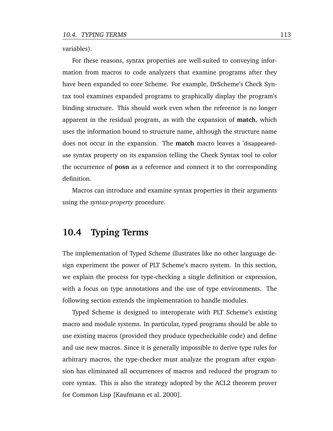variables).

For these reasons, syntax properties are well-suited to conveying information from macros to code analyzers that examine programs after they have been expanded to core Scheme. For example, DrScheme's Check Syntax tool examines expanded programs to graphically display the program's binding structure. This should work even when the reference is no longer apparent in the residual program, as with the expansion of **match**, which uses the information bound to structure name, although the structure name does not occur in the expansion. The **match** macro leaves a 'disappeareduse syntax property on its expansion telling the Check Syntax tool to color the occurrence of **posn** as a reference and connect it to the corresponding definition.

Macros can introduce and examine syntax properties in their arguments using the *syntax-property* procedure.

## <span id="page-126-0"></span>**10.4 Typing Terms**

The implementation of Typed Scheme illustrates like no other language design experiment the power of PLT Scheme's macro system. In this section, we explain the process for type-checking a single definition or expression, with a focus on type annotations and the use of type environments. The following section extends the implementation to handle modules.

Typed Scheme is designed to interoperate with PLT Scheme's existing macro and module systems. In particular, typed programs should be able to use existing macros (provided they produce typecheckable code) and define and use new macros. Since it is generally impossible to derive type rules for arbitrary macros, the type-checker must analyze the program after expansion has eliminated all occurrences of macros and reduced the program to core syntax. This is also the strategy adopted by the ACL2 theorem prover for Common Lisp [\[Kaufmann et al.](#page-176-1) [2000\]](#page-176-1).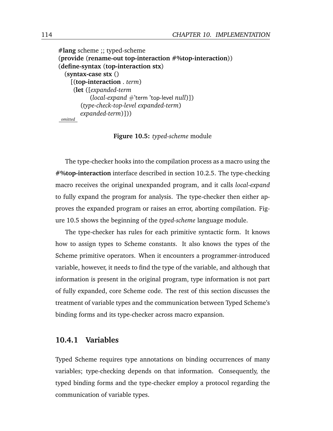```
#lang scheme ;; typed-scheme
(provide (rename-out top-interaction #%top-interaction))
(define-syntax (top-interaction stx)
  (syntax-case stx ()
    [(top-interaction . term)
     (let ([expanded-term
           (local-expand #'term 'top-level null)])
        (type-check-top-level expanded-term)
       expanded-term)]))
omitted
```
**Figure 10.5:** *typed-scheme* module

The type-checker hooks into the compilation process as a macro using the **#%top-interaction** interface described in section [10.2.5.](#page-123-0) The type-checking macro receives the original unexpanded program, and it calls *local-expand* to fully expand the program for analysis. The type-checker then either approves the expanded program or raises an error, aborting compilation. Figure [10.5](#page-127-0) shows the beginning of the *typed-scheme* language module.

The type-checker has rules for each primitive syntactic form. It knows how to assign types to Scheme constants. It also knows the types of the Scheme primitive operators. When it encounters a programmer-introduced variable, however, it needs to find the type of the variable, and although that information is present in the original program, type information is not part of fully expanded, core Scheme code. The rest of this section discusses the treatment of variable types and the communication between Typed Scheme's binding forms and its type-checker across macro expansion.

#### **10.4.1 Variables**

Typed Scheme requires type annotations on binding occurrences of many variables; type-checking depends on that information. Consequently, the typed binding forms and the type-checker employ a protocol regarding the communication of variable types.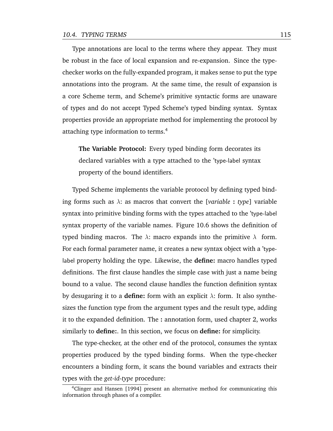Type annotations are local to the terms where they appear. They must be robust in the face of local expansion and re-expansion. Since the typechecker works on the fully-expanded program, it makes sense to put the type annotations into the program. At the same time, the result of expansion is a core Scheme term, and Scheme's primitive syntactic forms are unaware of types and do not accept Typed Scheme's typed binding syntax. Syntax properties provide an appropriate method for implementing the protocol by attaching type information to terms.<sup>4</sup>

**The Variable Protocol:** Every typed binding form decorates its declared variables with a type attached to the 'type-label syntax property of the bound identifiers.

Typed Scheme implements the variable protocol by defining typed binding forms such as λ: as macros that convert the [*variable* **:** *type*] variable syntax into primitive binding forms with the types attached to the 'type-label syntax property of the variable names. Figure [10.6](#page-129-0) shows the definition of typed binding macros. The  $\lambda$ : macro expands into the primitive  $\lambda$  form. For each formal parameter name, it creates a new syntax object with a 'typelabel property holding the type. Likewise, the **define:** macro handles typed definitions. The first clause handles the simple case with just a name being bound to a value. The second clause handles the function definition syntax by desugaring it to a **define:** form with an explicit  $\lambda$ : form. It also synthesizes the function type from the argument types and the result type, adding it to the expanded definition. The **:** annotation form, used chapter [2,](#page-18-0) works similarly to **define:**. In this section, we focus on **define:** for simplicity.

The type-checker, at the other end of the protocol, consumes the syntax properties produced by the typed binding forms. When the type-checker encounters a binding form, it scans the bound variables and extracts their types with the *get-id-type* procedure:

<sup>&</sup>lt;sup>4</sup>[Clinger and Hansen](#page-171-2) [\[1994\]](#page-171-2) present an alternative method for communicating this information through phases of a compiler.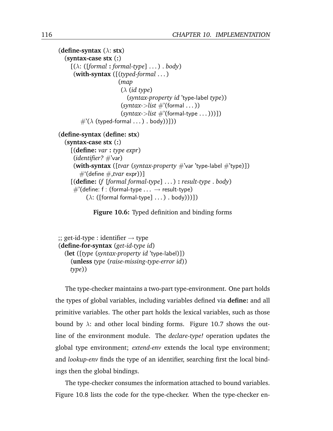```
(define-syntax (λ: stx)
  (syntax-case stx (:)
    [(\lambda: ([formal: formal-type] \dots) \cdot body)](with-syntax ([(typed-formal . . . )
                         (map
                          (λ (id type)
                            (syntax-property id 'type-label type))
                          (syntax->list \#'(formal ...))(syntax->list \#'(formal-type...)))\#^{\prime}(\lambda \text{ (typed-formal }... \text{).} \text{body})])
(define-syntax (define: stx)
  (syntax-case stx (:)
     [(define: var : type expr)
      (identifier? #'var)
      (with-syntax ([tvar (syntax-property #'var 'type-label #'type)])
        \#'(define \#,tvar expr))]
     [(define: (f [formal formal-type] . . . ) : result-type . body)
      #'(define: f : (formal-type \ldots \rightarrow result-type)
           (\lambda: ([formal formal-type] \dots) \cdot body)))])
```
**Figure 10.6:** Typed definition and binding forms

```
\gamma; get-id-type : identifier \rightarrow type
(define-for-syntax (get-id-type id)
  (let ([type (syntax-property id 'type-label)])
     (unless type (raise-missing-type-error id))
    type))
```
The type-checker maintains a two-part type-environment. One part holds the types of global variables, including variables defined via **define:** and all primitive variables. The other part holds the lexical variables, such as those bound by  $\lambda$ : and other local binding forms. Figure [10.7](#page-130-0) shows the outline of the environment module. The *declare-type!* operation updates the global type environment; *extend-env* extends the local type environment; and *lookup-env* finds the type of an identifier, searching first the local bindings then the global bindings.

The type-checker consumes the information attached to bound variables. Figure [10.8](#page-140-0) lists the code for the type-checker. When the type-checker en-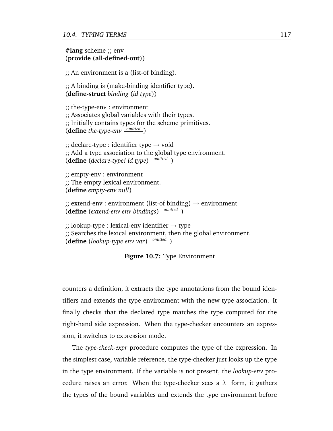#### <span id="page-130-0"></span>**#lang** scheme ;; env (**provide** (**all-defined-out**))

;; An environment is a (list-of binding).

;; A binding is (make-binding identifier type). (**define-struct** *binding* (*id type*))

;; the-type-env : environment ;; Associates global variables with their types. ;; Initially contains types for the scheme primitives. (**define** *the-type-env omitted* )

 $\gamma$ ; declare-type : identifier type  $\rightarrow$  void ;; Add a type association to the global type environment. (**define** (*declare-type! id type*) *omitted* )

;; empty-env : environment ;; The empty lexical environment. (**define** *empty-env null*)

 $\gamma$ ; extend-env : environment (list-of binding)  $\rightarrow$  environment (**define** (*extend-env env bindings*) *omitted* )

 $\gamma$ ; lookup-type : lexical-env identifier  $\rightarrow$  type ;; Searches the lexical environment, then the global environment. (**define** (*lookup-type env var*) *omitted* )

**Figure 10.7:** Type Environment

counters a definition, it extracts the type annotations from the bound identifiers and extends the type environment with the new type association. It finally checks that the declared type matches the type computed for the right-hand side expression. When the type-checker encounters an expression, it switches to expression mode.

The *type-check-expr* procedure computes the type of the expression. In the simplest case, variable reference, the type-checker just looks up the type in the type environment. If the variable is not present, the *lookup-env* procedure raises an error. When the type-checker sees a  $\lambda$  form, it gathers the types of the bound variables and extends the type environment before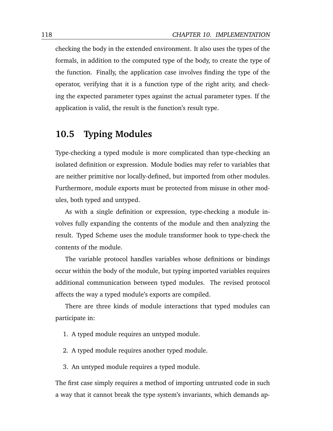checking the body in the extended environment. It also uses the types of the formals, in addition to the computed type of the body, to create the type of the function. Finally, the application case involves finding the type of the operator, verifying that it is a function type of the right arity, and checking the expected parameter types against the actual parameter types. If the application is valid, the result is the function's result type.

# <span id="page-131-0"></span>**10.5 Typing Modules**

Type-checking a typed module is more complicated than type-checking an isolated definition or expression. Module bodies may refer to variables that are neither primitive nor locally-defined, but imported from other modules. Furthermore, module exports must be protected from misuse in other modules, both typed and untyped.

As with a single definition or expression, type-checking a module involves fully expanding the contents of the module and then analyzing the result. Typed Scheme uses the module transformer hook to type-check the contents of the module.

The variable protocol handles variables whose definitions or bindings occur within the body of the module, but typing imported variables requires additional communication between typed modules. The revised protocol affects the way a typed module's exports are compiled.

There are three kinds of module interactions that typed modules can participate in:

- 1. A typed module requires an untyped module.
- 2. A typed module requires another typed module.
- 3. An untyped module requires a typed module.

The first case simply requires a method of importing untrusted code in such a way that it cannot break the type system's invariants, which demands ap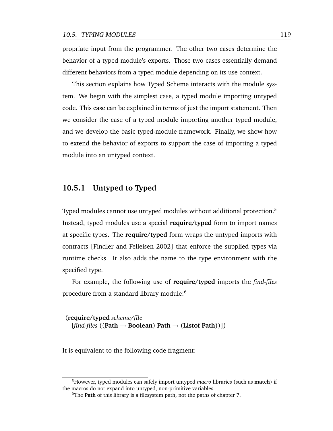propriate input from the programmer. The other two cases determine the behavior of a typed module's exports. Those two cases essentially demand different behaviors from a typed module depending on its use context.

This section explains how Typed Scheme interacts with the module system. We begin with the simplest case, a typed module importing untyped code. This case can be explained in terms of just the import statement. Then we consider the case of a typed module importing another typed module, and we develop the basic typed-module framework. Finally, we show how to extend the behavior of exports to support the case of importing a typed module into an untyped context.

### **10.5.1 Untyped to Typed**

Typed modules cannot use untyped modules without additional protection.<sup>5</sup> Instead, typed modules use a special **require/typed** form to import names at specific types. The **require/typed** form wraps the untyped imports with contracts [\[Findler and Felleisen](#page-172-2) [2002\]](#page-172-2) that enforce the supplied types via runtime checks. It also adds the name to the type environment with the specified type.

For example, the following use of **require/typed** imports the *find-files* procedure from a standard library module:<sup>6</sup>

(**require/typed** *scheme/file* [*find-files* ((**Path** → **Boolean**) **Path** → (**Listof Path**))])

It is equivalent to the following code fragment:

<sup>5</sup>However, typed modules can safely import untyped *macro* libraries (such as **match**) if the macros do not expand into untyped, non-primitive variables.

<sup>6</sup>The **Path** of this library is a filesystem path, not the paths of chapter [7.](#page-84-0)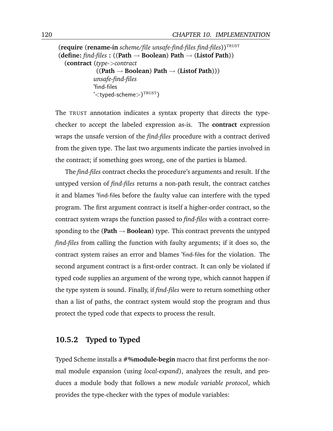```
(require (rename-in scheme/file unsafe-find-files find-files))TRUST
(define: find-files : ((Path → Boolean) Path → (Listof Path))
  (contract (type->contract
              ((Path → Boolean) Path → (Listof Path)))
             unsafe-find-files
             'find-files
              \mathcal{C}'<typed-scheme>)^{\text{TRUST}})
```
The TRUST annotation indicates a syntax property that directs the typechecker to accept the labeled expression as-is. The **contract** expression wraps the unsafe version of the *find-files* procedure with a contract derived from the given type. The last two arguments indicate the parties involved in the contract; if something goes wrong, one of the parties is blamed.

The *find-files* contract checks the procedure's arguments and result. If the untyped version of *find-files* returns a non-path result, the contract catches it and blames 'find-files before the faulty value can interfere with the typed program. The first argument contract is itself a higher-order contract, so the contract system wraps the function passed to *find-files* with a contract corresponding to the (Path  $\rightarrow$  Boolean) type. This contract prevents the untyped *find-files* from calling the function with faulty arguments; if it does so, the contract system raises an error and blames 'find-files for the violation. The second argument contract is a first-order contract. It can only be violated if typed code supplies an argument of the wrong type, which cannot happen if the type system is sound. Finally, if *find-files* were to return something other than a list of paths, the contract system would stop the program and thus protect the typed code that expects to process the result.

### **10.5.2 Typed to Typed**

Typed Scheme installs a **#%module-begin** macro that first performs the normal module expansion (using *local-expand*), analyzes the result, and produces a module body that follows a new *module variable protocol*, which provides the type-checker with the types of module variables: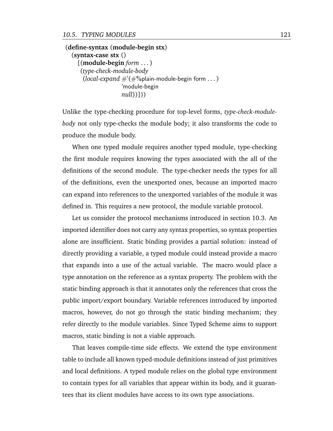(**define-syntax** (**module-begin stx**) (**syntax-case stx** () [(**module-begin** *form* . . . ) (*type-check-module-body* (*local-expand*  $\#$ '( $\#$ %plain-module-begin form ...) 'module-begin *null*))]))

Unlike the type-checking procedure for top-level forms, *type-check-modulebody* not only type-checks the module body; it also transforms the code to produce the module body.

When one typed module requires another typed module, type-checking the first module requires knowing the types associated with the all of the definitions of the second module. The type-checker needs the types for all of the definitions, even the unexported ones, because an imported macro can expand into references to the unexported variables of the module it was defined in. This requires a new protocol, the module variable protocol.

Let us consider the protocol mechanisms introduced in section [10.3.](#page-124-0) An imported identifier does not carry any syntax properties, so syntax properties alone are insufficient. Static binding provides a partial solution: instead of directly providing a variable, a typed module could instead provide a macro that expands into a use of the actual variable. The macro would place a type annotation on the reference as a syntax property. The problem with the static binding approach is that it annotates only the references that cross the public import/export boundary. Variable references introduced by imported macros, however, do not go through the static binding mechanism; they refer directly to the module variables. Since Typed Scheme aims to support macros, static binding is not a viable approach.

That leaves compile-time side effects. We extend the type environment table to include all known typed-module definitions instead of just primitives and local definitions. A typed module relies on the global type environment to contain types for all variables that appear within its body, and it guarantees that its client modules have access to its own type associations.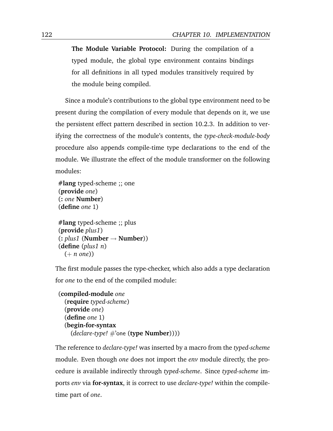**The Module Variable Protocol:** During the compilation of a typed module, the global type environment contains bindings for all definitions in all typed modules transitively required by the module being compiled.

Since a module's contributions to the global type environment need to be present during the compilation of every module that depends on it, we use the persistent effect pattern described in section [10.2.3.](#page-121-0) In addition to verifying the correctness of the module's contents, the *type-check-module-body* procedure also appends compile-time type declarations to the end of the module. We illustrate the effect of the module transformer on the following modules:

```
#lang typed-scheme ;; one
(provide one)
(: one Number)
(define one 1)
```

```
#lang typed-scheme ;; plus
(provide plus1)
(: plus1 (Number → Number))
(define (plus1 n)
  (+ n one))
```
The first module passes the type-checker, which also adds a type declaration for *one* to the end of the compiled module:

```
(compiled-module one
  (require typed-scheme)
  (provide one)
  (define one 1)
  (begin-for-syntax
    (declare-type! #'one (type Number))))
```
The reference to *declare-type!* was inserted by a macro from the *typed-scheme* module. Even though *one* does not import the *env* module directly, the procedure is available indirectly through *typed-scheme*. Since *typed-scheme* imports *env* via **for-syntax**, it is correct to use *declare-type!* within the compiletime part of *one*.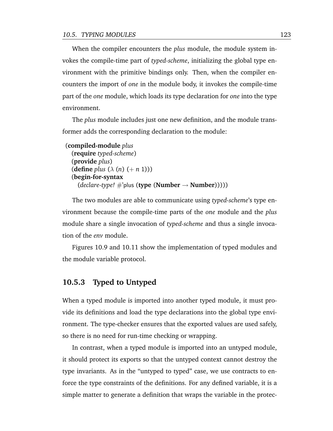When the compiler encounters the *plus* module, the module system invokes the compile-time part of *typed-scheme*, initializing the global type environment with the primitive bindings only. Then, when the compiler encounters the import of *one* in the module body, it invokes the compile-time part of the *one* module, which loads its type declaration for *one* into the type environment.

The *plus* module includes just one new definition, and the module transformer adds the corresponding declaration to the module:

```
(compiled-module plus
  (require typed-scheme)
  (provide plus)
  (define plus (\lambda(n) (+ n 1)))(begin-for-syntax
    (decare-type! \#'plus (type (Number \rightarrow Number)))))
```
The two modules are able to communicate using *typed-scheme*'s type environment because the compile-time parts of the *one* module and the *plus* module share a single invocation of *typed-scheme* and thus a single invocation of the *env* module.

Figures [10.9](#page-141-0) and [10.11](#page-142-0) show the implementation of typed modules and the module variable protocol.

### **10.5.3 Typed to Untyped**

When a typed module is imported into another typed module, it must provide its definitions and load the type declarations into the global type environment. The type-checker ensures that the exported values are used safely, so there is no need for run-time checking or wrapping.

In contrast, when a typed module is imported into an untyped module, it should protect its exports so that the untyped context cannot destroy the type invariants. As in the "untyped to typed" case, we use contracts to enforce the type constraints of the definitions. For any defined variable, it is a simple matter to generate a definition that wraps the variable in the protec-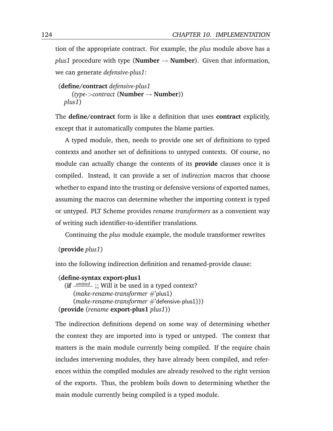tion of the appropriate contract. For example, the *plus* module above has a *plus1* procedure with type (**Number**  $\rightarrow$  **Number**). Given that information, we can generate *defensive-plus1*:

```
(define/contract defensive-plus1
    (type->contract (Number → Number))
 plus1)
```
The **define/contract** form is like a definition that uses **contract** explicitly, except that it automatically computes the blame parties.

A typed module, then, needs to provide one set of definitions to typed contexts and another set of definitions to untyped contexts. Of course, no module can actually change the contents of its **provide** clauses once it is compiled. Instead, it can provide a set of *indirection* macros that choose whether to expand into the trusting or defensive versions of exported names, assuming the macros can determine whether the importing context is typed or untyped. PLT Scheme provides *rename transformers* as a convenient way of writing such identifier-to-identifier translations.

Continuing the *plus* module example, the module transformer rewrites

(**provide** *plus1*)

into the following indirection definition and renamed-provide clause:

```
(define-syntax export-plus1
  (if omitted ;; Will it be used in a typed context?
     (make-rename-transformer #'plus1)
     (make-rename-transformer #'defensive-plus1)))
(provide (rename export-plus1 plus1))
```
The indirection definitions depend on some way of determining whether the context they are imported into is typed or untyped. The context that matters is the main module currently being compiled. If the require chain includes intervening modules, they have already been compiled, and references within the compiled modules are already resolved to the right version of the exports. Thus, the problem boils down to determining whether the main module currently being compiled is a typed module.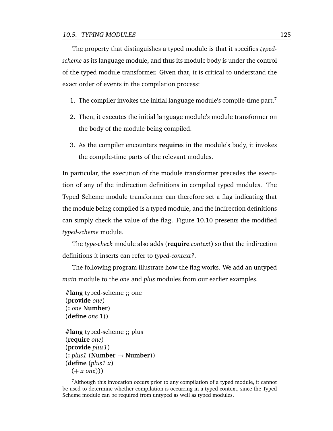The property that distinguishes a typed module is that it specifies *typedscheme* as its language module, and thus its module body is under the control of the typed module transformer. Given that, it is critical to understand the exact order of events in the compilation process:

- 1. The compiler invokes the initial language module's compile-time part.<sup>7</sup>
- 2. Then, it executes the initial language module's module transformer on the body of the module being compiled.
- 3. As the compiler encounters **require**s in the module's body, it invokes the compile-time parts of the relevant modules.

In particular, the execution of the module transformer precedes the execution of any of the indirection definitions in compiled typed modules. The Typed Scheme module transformer can therefore set a flag indicating that the module being compiled is a typed module, and the indirection definitions can simply check the value of the flag. Figure [10.10](#page-141-1) presents the modified *typed-scheme* module.

The *type-check* module also adds (**require** *context*) so that the indirection definitions it inserts can refer to *typed-context?*.

The following program illustrate how the flag works. We add an untyped *main* module to the *one* and *plus* modules from our earlier examples.

```
#lang typed-scheme ;; one
(provide one)
(: one Number)
(define one 1))
```

```
#lang typed-scheme ;; plus
(require one)
(provide plus1)
(: plus1 (Number → Number))
(define (plus1 x)
 (+ x one)))
```
 $<sup>7</sup>$ Although this invocation occurs prior to any compilation of a typed module, it cannot</sup> be used to determine whether compilation is occurring in a typed context, since the Typed Scheme module can be required from untyped as well as typed modules.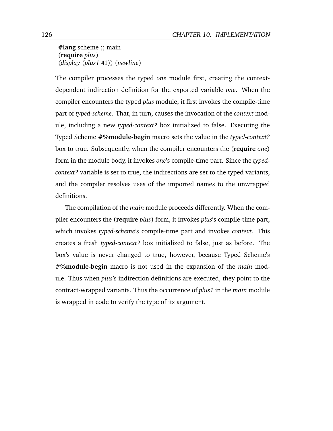**#lang** scheme ;; main (**require** *plus*) (*display* (*plus1* 41)) (*newline*)

The compiler processes the typed *one* module first, creating the contextdependent indirection definition for the exported variable *one*. When the compiler encounters the typed *plus* module, it first invokes the compile-time part of *typed-scheme*. That, in turn, causes the invocation of the *context* module, including a new *typed-context?* box initialized to false. Executing the Typed Scheme **#%module-begin** macro sets the value in the *typed-context?* box to true. Subsequently, when the compiler encounters the (**require** *one*) form in the module body, it invokes *one*'s compile-time part. Since the *typedcontext?* variable is set to true, the indirections are set to the typed variants, and the compiler resolves uses of the imported names to the unwrapped definitions.

The compilation of the *main* module proceeds differently. When the compiler encounters the (**require** *plus*) form, it invokes *plus*'s compile-time part, which invokes *typed-scheme*'s compile-time part and invokes *context*. This creates a fresh *typed-context?* box initialized to false, just as before. The box's value is never changed to true, however, because Typed Scheme's **#%module-begin** macro is not used in the expansion of the *main* module. Thus when *plus*'s indirection definitions are executed, they point to the contract-wrapped variants. Thus the occurrence of *plus1* in the *main* module is wrapped in code to verify the type of its argument.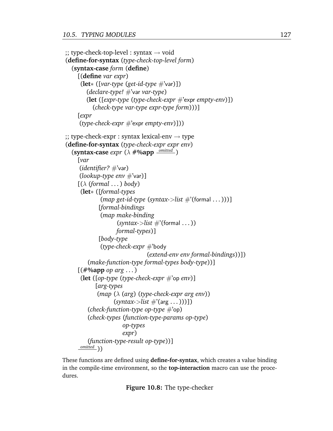```
\gamma; type-check-top-level : syntax \rightarrow void
(define-for-syntax (type-check-top-level form)
  (syntax-case form (define)
    [(define var expr)
     (let∗ ([var-type (get-id-type #'var)])
        (declare-type! #'var var-type)
        (let ([expr-type (type-check-expr #'expr empty-env)])
          (check-type var-type expr-type form)))]
    [expr
     (type-check-expr #'expr empty-env)]))
\gamma; type-check-expr : syntax lexical-env \rightarrow type
(define-for-syntax (type-check-expr expr env)
  (syntax-case expr (λ #%app omitted )
    [var
     (identifier? #'var)
     (lookup-type env #'var)]
    [(λ (formal . . . ) body)
     (let∗ ([formal-types
             (map get-id-type (syntax->list #'(formal . . . )))]
            [formal-bindings
             (map make-binding
                   (syntax->list \#'(formal ...))formal-types)]
            [body-type
             (type-check-expr #'body
                               (extend-env env formal-bindings))])
        (make-function-type formal-types body-type))]
    [(#%app op arg . . . )
     (let ([op-type (type-check-expr #'op env)]
           [arg-types
           (map (λ (arg) (type-check-expr arg env))
                  (syntax->list #'(arg . . . )))])
        (check-function-type op-type #'op)
        (check-types (function-type-params op-type)
                     op-types
                     expr)
        (function-type-result op-type))]
    <u>omitted</u> ))
```
These functions are defined using **define-for-syntax**, which creates a value binding in the compile-time environment, so the **top-interaction** macro can use the procedures.

**Figure 10.8:** The type-checker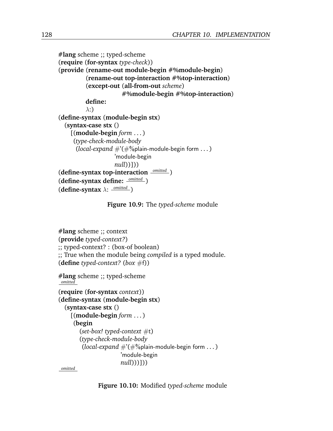```
#lang scheme ;; typed-scheme
(require (for-syntax type-check))
(provide (rename-out module-begin #%module-begin)
         (rename-out top-interaction #%top-interaction)
         (except-out (all-from-out scheme)
                     #%module-begin #%top-interaction)
         define:
         \lambda:)
(define-syntax (module-begin stx)
  (syntax-case stx ()
    [(module-begin form . . . )
     (type-check-module-body
      (local-expand \#'(\#%plain-module-begin form ...)
                   'module-begin
                   null))]))
(define-syntax top-interaction omitted )
(define-syntax define: omitted )
(define-syntax λ:
omitted )
```
**Figure 10.9:** The *typed-scheme* module

<span id="page-141-1"></span>**#lang** scheme ;; context (**provide** *typed-context?*) ;; typed-context? : (box-of boolean) ;; True when the module being *compiled* is a typed module. (**define** *typed-context?* (*box* #f)) **#lang** scheme ;; typed-scheme *omitted* (**require** (**for-syntax** *context*)) (**define-syntax** (**module-begin stx**)

```
(syntax-case stx ()
  [(module-begin form . . . )
   (begin
     (set-box! typed-context #t)
     (type-check-module-body
      (local-expand \#'(\#%plain-module-begin form ...)
                    'module-begin
                    null)))]))
```
*omitted*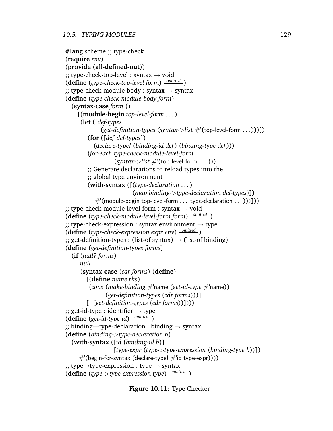```
#lang scheme ;; type-check
(require env)
(provide (all-defined-out))
\gamma; type-check-top-level : syntax \rightarrow void
(define (type-check-top-level form)
omitted )
\gamma; type-check-module-body : syntax \rightarrow syntax
(define (type-check-module-body form)
  (syntax-case form ()
    [(module-begin top-level-form . . . )
     (let ([def-types
             (get-definition-types (syntax->list #'(top-level-form . . . )))])
        (for ([def def-types])
           (declare-type! (binding-id def ) (binding-type def )))
        (for-each type-check-module-level-form
                  (syntax->list #'(top-level-form ...)));; Generate declarations to reload types into the
        ;; global type environment
        (with-syntax ([(type-declaration . . . )
                         (map binding->type-declaration def-types)])
           \#'(module-begin top-level-form ... type-declaration ...)))]))
\gamma; type-check-module-level-form : syntax \rightarrow void
(define (type-check-module-level-form form)
omitted )
\gamma; type-check-expression : syntax environment \rightarrow type
(define (type-check-expression expr env)
omitted )
\gamma; get-definition-types : (list-of syntax) \rightarrow (list-of binding)
(define (get-definition-types forms)
  (if (null? forms)
     null
     (syntax-case (car forms) (define)
        [(define name rhs)
         (cons (make-binding #'name (get-id-type #'name))
               (get-definition-types (cdr forms)))]
        [ (get-definition-types (cdr forms))])))
\gamma; get-id-type : identifier \rightarrow type
(define (get-id-type id)
omitted )
;; binding→type-declaration : binding → syntax
(define (binding->type-declaration b)
  (with-syntax ([id (binding-id b)]
                  [type-expr (type->type-expression (binding-type b))])
     \#'(begin-for-syntax (declare-type! \#'id type-expr))))
;; type→type-expression : type → syntax
(define (type->type-expression type)
omitted )
```
**Figure 10.11:** Type Checker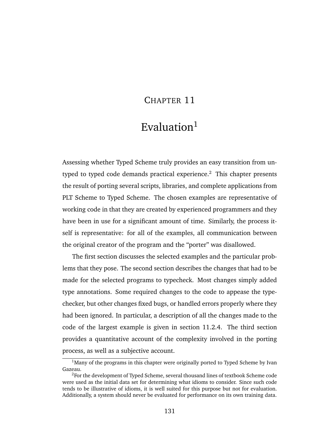### CHAPTER 11

# Evaluation $1$

Assessing whether Typed Scheme truly provides an easy transition from untyped to typed code demands practical experience.<sup>2</sup> This chapter presents the result of porting several scripts, libraries, and complete applications from PLT Scheme to Typed Scheme. The chosen examples are representative of working code in that they are created by experienced programmers and they have been in use for a significant amount of time. Similarly, the process itself is representative: for all of the examples, all communication between the original creator of the program and the "porter" was disallowed.

The first section discusses the selected examples and the particular problems that they pose. The second section describes the changes that had to be made for the selected programs to typecheck. Most changes simply added type annotations. Some required changes to the code to appease the typechecker, but other changes fixed bugs, or handled errors properly where they had been ignored. In particular, a description of all the changes made to the code of the largest example is given in section [11.2.4.](#page-152-0) The third section provides a quantitative account of the complexity involved in the porting process, as well as a subjective account.

 $<sup>1</sup>$ Many of the programs in this chapter were originally ported to Typed Scheme by Ivan</sup> Gazeau.

<sup>2</sup>For the development of Typed Scheme, several thousand lines of textbook Scheme code were used as the initial data set for determining what idioms to consider. Since such code tends to be illustrative of idioms, it is well suited for this purpose but not for evaluation. Additionally, a system should never be evaluated for performance on its own training data.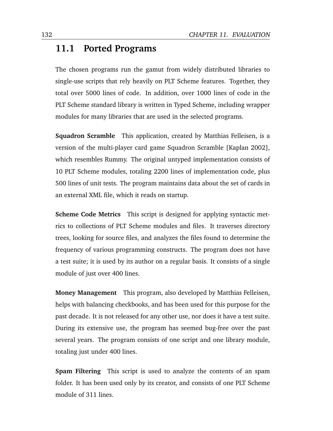## <span id="page-145-0"></span>**11.1 Ported Programs**

The chosen programs run the gamut from widely distributed libraries to single-use scripts that rely heavily on PLT Scheme features. Together, they total over 5000 lines of code. In addition, over 1000 lines of code in the PLT Scheme standard library is written in Typed Scheme, including wrapper modules for many libraries that are used in the selected programs.

**Squadron Scramble** This application, created by Matthias Felleisen, is a version of the multi-player card game Squadron Scramble [\[Kaplan](#page-175-0) [2002\]](#page-175-0), which resembles Rummy. The original untyped implementation consists of 10 PLT Scheme modules, totaling 2200 lines of implementation code, plus 500 lines of unit tests. The program maintains data about the set of cards in an external XML file, which it reads on startup.

**Scheme Code Metrics** This script is designed for applying syntactic metrics to collections of PLT Scheme modules and files. It traverses directory trees, looking for source files, and analyzes the files found to determine the frequency of various programming constructs. The program does not have a test suite; it is used by its author on a regular basis. It consists of a single module of just over 400 lines.

**Money Management** This program, also developed by Matthias Felleisen, helps with balancing checkbooks, and has been used for this purpose for the past decade. It is not released for any other use, nor does it have a test suite. During its extensive use, the program has seemed bug-free over the past several years. The program consists of one script and one library module, totaling just under 400 lines.

**Spam Filtering** This script is used to analyze the contents of an spam folder. It has been used only by its creator, and consists of one PLT Scheme module of 311 lines.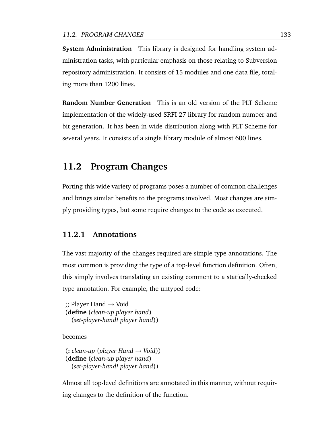**System Administration** This library is designed for handling system administration tasks, with particular emphasis on those relating to Subversion repository administration. It consists of 15 modules and one data file, totaling more than 1200 lines.

**Random Number Generation** This is an old version of the PLT Scheme implementation of the widely-used SRFI 27 library for random number and bit generation. It has been in wide distribution along with PLT Scheme for several years. It consists of a single library module of almost 600 lines.

## **11.2 Program Changes**

Porting this wide variety of programs poses a number of common challenges and brings similar benefits to the programs involved. Most changes are simply providing types, but some require changes to the code as executed.

#### **11.2.1 Annotations**

The vast majority of the changes required are simple type annotations. The most common is providing the type of a top-level function definition. Often, this simply involves translating an existing comment to a statically-checked type annotation. For example, the untyped code:

 $\gamma$ ; Player Hand  $\rightarrow$  Void (**define** (*clean-up player hand*) (*set-player-hand! player hand*))

becomes

(**:** *clean-up* (*player Hand* → *Void*)) (**define** (*clean-up player hand*) (*set-player-hand! player hand*))

Almost all top-level definitions are annotated in this manner, without requiring changes to the definition of the function.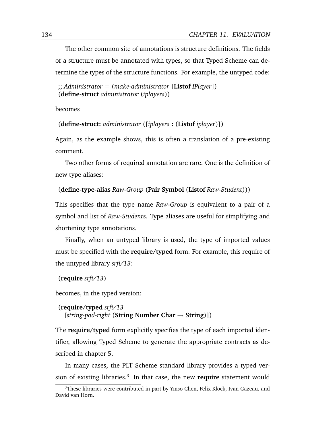The other common site of annotations is structure definitions. The fields of a structure must be annotated with types, so that Typed Scheme can determine the types of the structure functions. For example, the untyped code:

;; *Administrator* = (*make-administrator* [**Listof** *IPlayer*]) (**define-struct** *administrator* (*iplayers*))

becomes

(**define-struct:** *administrator* ([*iplayers* **:** (**Listof** *iplayer*)])

Again, as the example shows, this is often a translation of a pre-existing comment.

Two other forms of required annotation are rare. One is the definition of new type aliases:

```
(define-type-alias Raw-Group (Pair Symbol (Listof Raw-Student)))
```
This specifies that the type name *Raw-Group* is equivalent to a pair of a symbol and list of *Raw-Student*s. Type aliases are useful for simplifying and shortening type annotations.

Finally, when an untyped library is used, the type of imported values must be specified with the **require/typed** form. For example, this require of the untyped library *srfi/13*:

```
(require srfi/13)
```
becomes, in the typed version:

```
(require/typed srfi/13
[string-pad-right (String Number Char → String)])
```
The **require/typed** form explicitly specifies the type of each imported identifier, allowing Typed Scheme to generate the appropriate contracts as described in chapter [5.](#page-52-0)

In many cases, the PLT Scheme standard library provides a typed version of existing libraries.<sup>3</sup> In that case, the new **require** statement would

<sup>&</sup>lt;sup>3</sup>These libraries were contributed in part by Yinso Chen, Felix Klock, Ivan Gazeau, and David van Horn.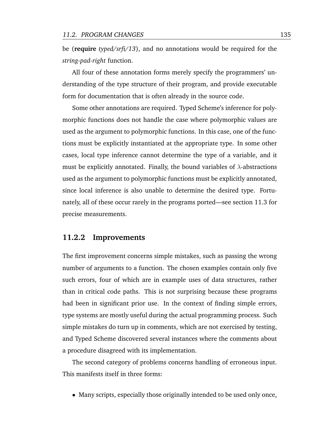be (**require** *typed/srfi/13*), and no annotations would be required for the *string-pad-right* function.

All four of these annotation forms merely specify the programmers' understanding of the type structure of their program, and provide executable form for documentation that is often already in the source code.

Some other annotations are required. Typed Scheme's inference for polymorphic functions does not handle the case where polymorphic values are used as the argument to polymorphic functions. In this case, one of the functions must be explicitly instantiated at the appropriate type. In some other cases, local type inference cannot determine the type of a variable, and it must be explicitly annotated. Finally, the bound variables of  $\lambda$ -abstractions used as the argument to polymorphic functions must be explicitly annotated, since local inference is also unable to determine the desired type. Fortunately, all of these occur rarely in the programs ported—see section [11.3](#page-153-0) for precise measurements.

#### **11.2.2 Improvements**

The first improvement concerns simple mistakes, such as passing the wrong number of arguments to a function. The chosen examples contain only five such errors, four of which are in example uses of data structures, rather than in critical code paths. This is not surprising because these programs had been in significant prior use. In the context of finding simple errors, type systems are mostly useful during the actual programming process. Such simple mistakes do turn up in comments, which are not exercised by testing, and Typed Scheme discovered several instances where the comments about a procedure disagreed with its implementation.

The second category of problems concerns handling of erroneous input. This manifests itself in three forms:

• Many scripts, especially those originally intended to be used only once,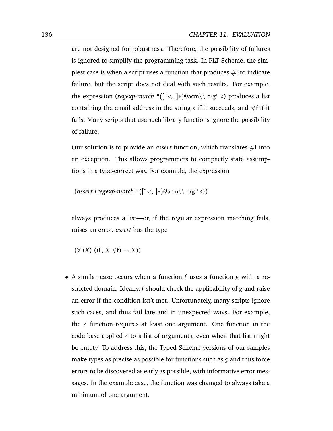are not designed for robustness. Therefore, the possibility of failures is ignored to simplify the programming task. In PLT Scheme, the simplest case is when a script uses a function that produces  $#f$  to indicate failure, but the script does not deal with such results. For example, the expression (*regexp-match* "([ˆ<, ]∗)@acm\\.org" *s*) produces a list containing the email address in the string  $s$  if it succeeds, and  $#f$  if it fails. Many scripts that use such library functions ignore the possibility of failure.

Our solution is to provide an *assert* function, which translates #f into an exception. This allows programmers to compactly state assumptions in a type-correct way. For example, the expression

```
(assert (regexp-match "([ˆ<, ]∗)@acm\\.org" s))
```
always produces a list—or, if the regular expression matching fails, raises an error. *assert* has the type

 $(\forall (X) ((\bigcup X \# f) \rightarrow X))$ 

• A similar case occurs when a function *f* uses a function *g* with a restricted domain. Ideally, *f* should check the applicability of *g* and raise an error if the condition isn't met. Unfortunately, many scripts ignore such cases, and thus fail late and in unexpected ways. For example, the */* function requires at least one argument. One function in the code base applied */* to a list of arguments, even when that list might be empty. To address this, the Typed Scheme versions of our samples make types as precise as possible for functions such as *g* and thus force errors to be discovered as early as possible, with informative error messages. In the example case, the function was changed to always take a minimum of one argument.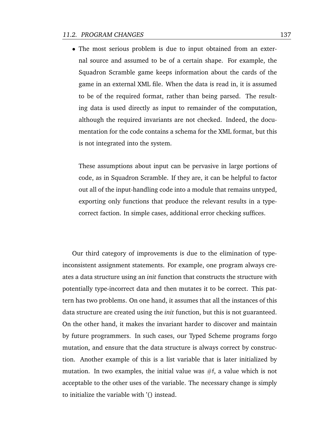• The most serious problem is due to input obtained from an external source and assumed to be of a certain shape. For example, the Squadron Scramble game keeps information about the cards of the game in an external XML file. When the data is read in, it is assumed to be of the required format, rather than being parsed. The resulting data is used directly as input to remainder of the computation, although the required invariants are not checked. Indeed, the documentation for the code contains a schema for the XML format, but this is not integrated into the system.

These assumptions about input can be pervasive in large portions of code, as in Squadron Scramble. If they are, it can be helpful to factor out all of the input-handling code into a module that remains untyped, exporting only functions that produce the relevant results in a typecorrect faction. In simple cases, additional error checking suffices.

Our third category of improvements is due to the elimination of typeinconsistent assignment statements. For example, one program always creates a data structure using an *init* function that constructs the structure with potentially type-incorrect data and then mutates it to be correct. This pattern has two problems. On one hand, it assumes that all the instances of this data structure are created using the *init* function, but this is not guaranteed. On the other hand, it makes the invariant harder to discover and maintain by future programmers. In such cases, our Typed Scheme programs forgo mutation, and ensure that the data structure is always correct by construction. Another example of this is a list variable that is later initialized by mutation. In two examples, the initial value was  $#f$ , a value which is not acceptable to the other uses of the variable. The necessary change is simply to initialize the variable with '() instead.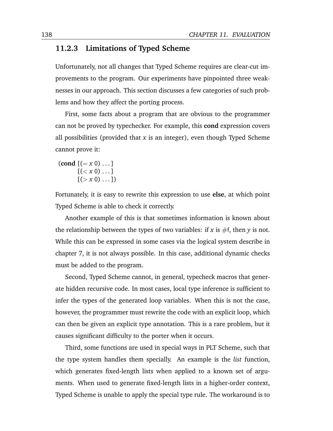#### **11.2.3 Limitations of Typed Scheme**

Unfortunately, not all changes that Typed Scheme requires are clear-cut improvements to the program. Our experiments have pinpointed three weaknesses in our approach. This section discusses a few categories of such problems and how they affect the porting process.

First, some facts about a program that are obvious to the programmer can not be proved by typechecker. For example, this **cond** expression covers all possibilities (provided that *x* is an integer), even though Typed Scheme cannot prove it:

 $\left(\text{cond } [(-x 0) \dots] \right)$  $[(*x* 0) ...]$  $[(>x 0)...]$ 

Fortunately, it is easy to rewrite this expression to use **else**, at which point Typed Scheme is able to check it correctly.

Another example of this is that sometimes information is known about the relationship between the types of two variables: if  $x$  is  $\#$ f, then  $y$  is not. While this can be expressed in some cases via the logical system describe in chapter [7,](#page-84-0) it is not always possible. In this case, additional dynamic checks must be added to the program.

Second, Typed Scheme cannot, in general, typecheck macros that generate hidden recursive code. In most cases, local type inference is sufficient to infer the types of the generated loop variables. When this is not the case, however, the programmer must rewrite the code with an explicit loop, which can then be given an explicit type annotation. This is a rare problem, but it causes significant difficulty to the porter when it occurs.

Third, some functions are used in special ways in PLT Scheme, such that the type system handles them specially. An example is the *list* function, which generates fixed-length lists when applied to a known set of arguments. When used to generate fixed-length lists in a higher-order context, Typed Scheme is unable to apply the special type rule. The workaround is to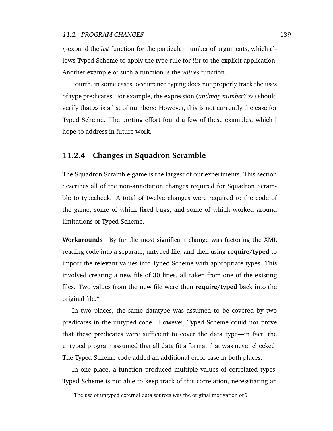η-expand the *list* function for the particular number of arguments, which allows Typed Scheme to apply the type rule for *list* to the explicit application. Another example of such a function is the *values* function.

Fourth, in some cases, occurrence typing does not properly track the uses of type predicates. For example, the expression (*andmap number? xs*) should verify that *xs* is a list of numbers: However, this is not currently the case for Typed Scheme. The porting effort found a few of these examples, which I hope to address in future work.

#### <span id="page-152-0"></span>**11.2.4 Changes in Squadron Scramble**

The Squadron Scramble game is the largest of our experiments. This section describes all of the non-annotation changes required for Squadron Scramble to typecheck. A total of twelve changes were required to the code of the game, some of which fixed bugs, and some of which worked around limitations of Typed Scheme.

**Workarounds** By far the most significant change was factoring the XML reading code into a separate, untyped file, and then using **require/typed** to import the relevant values into Typed Scheme with appropriate types. This involved creating a new file of 30 lines, all taken from one of the existing files. Two values from the new file were then **require/typed** back into the original file.<sup>4</sup>

In two places, the same datatype was assumed to be covered by two predicates in the untyped code. However, Typed Scheme could not prove that these predicates were sufficient to cover the data type—in fact, the untyped program assumed that all data fit a format that was never checked. The Typed Scheme code added an additional error case in both places.

In one place, a function produced multiple values of correlated types. Typed Scheme is not able to keep track of this correlation, necessitating an

<sup>4</sup>The use of untyped external data sources was the original motivation of **?**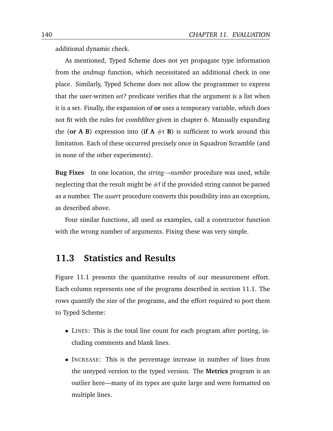additional dynamic check.

As mentioned, Typed Scheme does not yet propagate type information from the *andmap* function, which necessitated an additional check in one place. Similarly, Typed Scheme does not allow the programmer to express that the user-written *set?* predicate verifies that the argument is a list when it is a set. Finally, the expansion of **or** uses a temporary variable, which does not fit with the rules for combfilter given in chapter [6.](#page-74-0) Manually expanding the (or A B) expression into (if  $A \# t$  B) is sufficient to work around this limitation. Each of these occurred precisely once in Squadron Scramble (and in none of the other experiments).

**Bug Fixes** In one location, the *string*→*number* procedure was used, while neglecting that the result might be  $#f$  if the provided string cannot be parsed as a number. The *assert* procedure converts this possibility into an exception, as described above.

Four similar functions, all used as examples, call a constructor function with the wrong number of arguments. Fixing these was very simple.

## <span id="page-153-0"></span>**11.3 Statistics and Results**

Figure [11.1](#page-154-0) presents the quantitative results of our measurement effort. Each column represents one of the programs described in section [11.1.](#page-145-0) The rows quantify the size of the programs, and the effort required to port them to Typed Scheme:

- LINES: This is the total line count for each program after porting, including comments and blank lines.
- INCREASE: This is the percentage increase in number of lines from the untyped version to the typed version. The **Metrics** program is an outlier here—many of its types are quite large and were formatted on multiple lines.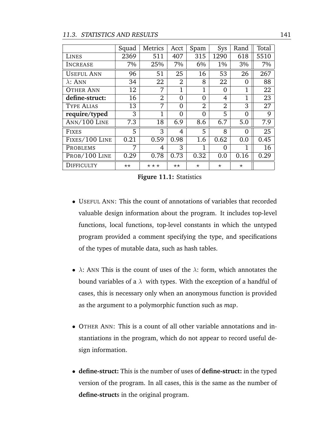#### 11.3. STATISTICS AND RESULTS 141

<span id="page-154-0"></span>

|                   | Squad        | Metrics           | Acct           | Spam           | Sys            | Rand     | Total           |
|-------------------|--------------|-------------------|----------------|----------------|----------------|----------|-----------------|
| LINES             | 2369         | 511               | 407            | 315            | 1290           | 618      | 5510            |
| INCREASE          | 7%           | 25%               | 7%             | 6%             | $1\%$          | 3%       | 7%              |
| <b>USEFUL ANN</b> | 96           | 51                | 25             | 16             | 53             | 26       | 267             |
| $\lambda$ : ANN   | 34           | 22                | $\overline{2}$ | 8              | 22             | 0        | 88              |
| <b>OTHER ANN</b>  | 12           | 7                 | $\mathbf{1}$   | 1              | 0              | 1        | 22              |
| define-struct:    | 16           | 2                 | $\Omega$       | $\Omega$       | 4              | 1        | 23              |
| <b>TYPE ALIAS</b> | 13           | 7                 | 0              | $\overline{2}$ | $\overline{2}$ | 3        | 27              |
| require/typed     | 3            | $\mathbf{1}$      | 0              | $\Omega$       | 5              | $\Omega$ | 9               |
| ANN/100 LINE      | 7.3          | 18                | 6.9            | 8.6            | 6.7            | 5.0      | 7.9             |
| <b>FIXES</b>      | 5            | 3                 | 4              | 5              | 8              | $\Omega$ | $\overline{25}$ |
| FIXES/100 LINE    | 0.21         | 0.59              | 0.98           | 1.6            | 0.62           | 0.0      | 0.45            |
| <b>PROBLEMS</b>   | 7            | 4                 | 3              | 1              | 0              |          | 16              |
| PROB/100 LINE     | 0.29         | 0.78              | 0.73           | 0.32           | 0.0            | 0.16     | 0.29            |
| DIFFICULTY        | $\star\star$ | $\star\star\star$ | $\star\star$   | $^\star$       | $\star$        | $\star$  |                 |

**Figure 11.1:** Statistics

- USEFUL ANN: This the count of annotations of variables that recorded valuable design information about the program. It includes top-level functions, local functions, top-level constants in which the untyped program provided a comment specifying the type, and specifications of the types of mutable data, such as hash tables.
- $\lambda$ : ANN This is the count of uses of the  $\lambda$ : form, which annotates the bound variables of a  $\lambda$  with types. With the exception of a handful of cases, this is necessary only when an anonymous function is provided as the argument to a polymorphic function such as *map*.
- OTHER ANN: This is a count of all other variable annotations and instantiations in the program, which do not appear to record useful design information.
- **define-struct:** This is the number of uses of **define-struct:** in the typed version of the program. In all cases, this is the same as the number of **define-struct**s in the original program.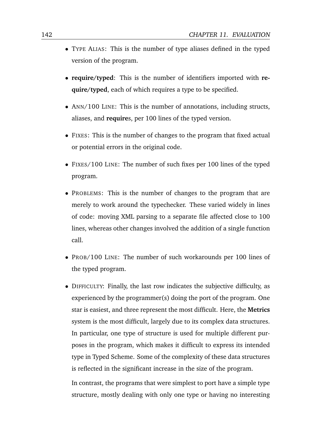- TYPE ALIAS: This is the number of type aliases defined in the typed version of the program.
- **require/typed**: This is the number of identifiers imported with **require/typed**, each of which requires a type to be specified.
- ANN/100 LINE: This is the number of annotations, including structs, aliases, and **require**s, per 100 lines of the typed version.
- FIXES: This is the number of changes to the program that fixed actual or potential errors in the original code.
- FIXES/100 LINE: The number of such fixes per 100 lines of the typed program.
- PROBLEMS: This is the number of changes to the program that are merely to work around the typechecker. These varied widely in lines of code: moving XML parsing to a separate file affected close to 100 lines, whereas other changes involved the addition of a single function call.
- PROB/100 LINE: The number of such workarounds per 100 lines of the typed program.
- DIFFICULTY: Finally, the last row indicates the subjective difficulty, as experienced by the programmer(s) doing the port of the program. One star is easiest, and three represent the most difficult. Here, the **Metrics** system is the most difficult, largely due to its complex data structures. In particular, one type of structure is used for multiple different purposes in the program, which makes it difficult to express its intended type in Typed Scheme. Some of the complexity of these data structures is reflected in the significant increase in the size of the program.

In contrast, the programs that were simplest to port have a simple type structure, mostly dealing with only one type or having no interesting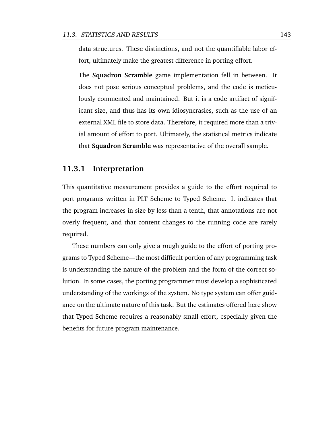data structures. These distinctions, and not the quantifiable labor effort, ultimately make the greatest difference in porting effort.

The **Squadron Scramble** game implementation fell in between. It does not pose serious conceptual problems, and the code is meticulously commented and maintained. But it is a code artifact of significant size, and thus has its own idiosyncrasies, such as the use of an external XML file to store data. Therefore, it required more than a trivial amount of effort to port. Ultimately, the statistical metrics indicate that **Squadron Scramble** was representative of the overall sample.

#### **11.3.1 Interpretation**

This quantitative measurement provides a guide to the effort required to port programs written in PLT Scheme to Typed Scheme. It indicates that the program increases in size by less than a tenth, that annotations are not overly frequent, and that content changes to the running code are rarely required.

These numbers can only give a rough guide to the effort of porting programs to Typed Scheme—the most difficult portion of any programming task is understanding the nature of the problem and the form of the correct solution. In some cases, the porting programmer must develop a sophisticated understanding of the workings of the system. No type system can offer guidance on the ultimate nature of this task. But the estimates offered here show that Typed Scheme requires a reasonably small effort, especially given the benefits for future program maintenance.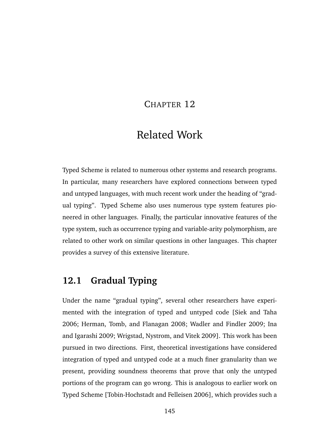### CHAPTER 12

# Related Work

Typed Scheme is related to numerous other systems and research programs. In particular, many researchers have explored connections between typed and untyped languages, with much recent work under the heading of "gradual typing". Typed Scheme also uses numerous type system features pioneered in other languages. Finally, the particular innovative features of the type system, such as occurrence typing and variable-arity polymorphism, are related to other work on similar questions in other languages. This chapter provides a survey of this extensive literature.

## **12.1 Gradual Typing**

Under the name "gradual typing", several other researchers have experimented with the integration of typed and untyped code [\[Siek and Taha](#page-178-0) [2006;](#page-178-0) [Herman, Tomb, and Flanagan](#page-175-1) [2008;](#page-175-1) [Wadler and Findler](#page-180-0) [2009;](#page-180-0) [Ina](#page-175-2) [and Igarashi](#page-175-2) [2009;](#page-175-2) [Wrigstad, Nystrom, and Vitek](#page-180-1) [2009\]](#page-180-1). This work has been pursued in two directions. First, theoretical investigations have considered integration of typed and untyped code at a much finer granularity than we present, providing soundness theorems that prove that only the untyped portions of the program can go wrong. This is analogous to earlier work on Typed Scheme [\[Tobin-Hochstadt and Felleisen](#page-179-0) [2006\]](#page-179-0), which provides such a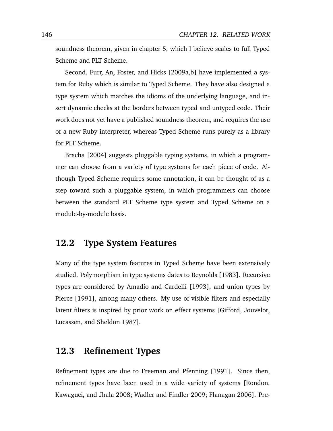soundness theorem, given in chapter [5,](#page-52-0) which I believe scales to full Typed Scheme and PLT Scheme.

Second, [Furr, An, Foster, and Hicks](#page-174-0) [\[2009a](#page-174-0)[,b\]](#page-174-1) have implemented a system for Ruby which is similar to Typed Scheme. They have also designed a type system which matches the idioms of the underlying language, and insert dynamic checks at the borders between typed and untyped code. Their work does not yet have a published soundness theorem, and requires the use of a new Ruby interpreter, whereas Typed Scheme runs purely as a library for PLT Scheme.

[Bracha](#page-170-0) [\[2004\]](#page-170-0) suggests pluggable typing systems, in which a programmer can choose from a variety of type systems for each piece of code. Although Typed Scheme requires some annotation, it can be thought of as a step toward such a pluggable system, in which programmers can choose between the standard PLT Scheme type system and Typed Scheme on a module-by-module basis.

### **12.2 Type System Features**

Many of the type system features in Typed Scheme have been extensively studied. Polymorphism in type systems dates to [Reynolds](#page-178-1) [\[1983\]](#page-178-1). Recursive types are considered by [Amadio and Cardelli](#page-170-1) [\[1993\]](#page-170-1), and union types by [Pierce](#page-177-0) [\[1991\]](#page-177-0), among many others. My use of visible filters and especially latent filters is inspired by prior work on effect systems [\[Gifford, Jouvelot,](#page-174-2) [Lucassen, and Sheldon](#page-174-2) [1987\]](#page-174-2).

### **12.3 Refinement Types**

Refinement types are due to [Freeman and Pfenning](#page-173-0) [\[1991\]](#page-173-0). Since then, refinement types have been used in a wide variety of systems [\[Rondon,](#page-178-2) [Kawaguci, and Jhala](#page-178-2) [2008;](#page-178-2) [Wadler and Findler](#page-180-0) [2009;](#page-180-0) [Flanagan](#page-172-0) [2006\]](#page-172-0). Pre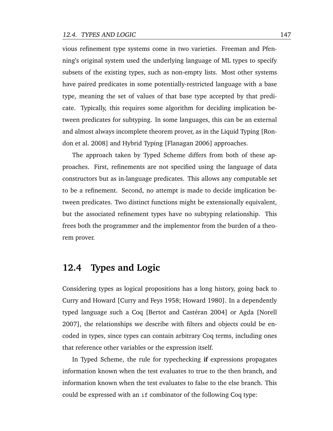vious refinement type systems come in two varieties. Freeman and Pfenning's original system used the underlying language of ML types to specify subsets of the existing types, such as non-empty lists. Most other systems have paired predicates in some potentially-restricted language with a base type, meaning the set of values of that base type accepted by that predicate. Typically, this requires some algorithm for deciding implication between predicates for subtyping. In some languages, this can be an external and almost always incomplete theorem prover, as in the Liquid Typing [\[Ron](#page-178-2)[don et al.](#page-178-2) [2008\]](#page-178-2) and Hybrid Typing [\[Flanagan](#page-172-0) [2006\]](#page-172-0) approaches.

The approach taken by Typed Scheme differs from both of these approaches. First, refinements are not specified using the language of data constructors but as in-language predicates. This allows any computable set to be a refinement. Second, no attempt is made to decide implication between predicates. Two distinct functions might be extensionally equivalent, but the associated refinement types have no subtyping relationship. This frees both the programmer and the implementor from the burden of a theorem prover.

### **12.4 Types and Logic**

Considering types as logical propositions has a long history, going back to Curry and Howard [\[Curry and Feys](#page-172-1) [1958;](#page-172-1) [Howard](#page-175-3) [1980\]](#page-175-3). In a dependently typed language such a Coq [Bertot and Castéran [2004\]](#page-170-2) or Agda [\[Norell](#page-177-1)] [2007\]](#page-177-1), the relationships we describe with filters and objects could be encoded in types, since types can contain arbitrary Coq terms, including ones that reference other variables or the expression itself.

In Typed Scheme, the rule for typechecking **if** expressions propagates information known when the test evaluates to true to the then branch, and information known when the test evaluates to false to the else branch. This could be expressed with an if combinator of the following Coq type: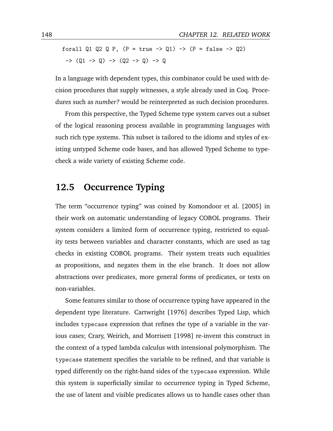forall Q1 Q2 Q P,  $(P = true \rightarrow Q1) \rightarrow (P = false \rightarrow Q2)$  $\rightarrow$  (Q1 -> Q) -> (Q2 -> Q) -> Q

In a language with dependent types, this combinator could be used with decision procedures that supply witnesses, a style already used in Coq. Procedures such as *number?* would be reinterpreted as such decision procedures.

From this perspective, the Typed Scheme type system carves out a subset of the logical reasoning process available in programming languages with such rich type systems. This subset is tailored to the idioms and styles of existing untyped Scheme code bases, and has allowed Typed Scheme to typecheck a wide variety of existing Scheme code.

### **12.5 Occurrence Typing**

The term "occurrence typing" was coined by [Komondoor et al.](#page-176-0) [\[2005\]](#page-176-0) in their work on automatic understanding of legacy COBOL programs. Their system considers a limited form of occurrence typing, restricted to equality tests between variables and character constants, which are used as tag checks in existing COBOL programs. Their system treats such equalities as propositions, and negates them in the else branch. It does not allow abstractions over predicates, more general forms of predicates, or tests on non-variables.

Some features similar to those of occurrence typing have appeared in the dependent type literature. [Cartwright](#page-171-0) [\[1976\]](#page-171-0) describes Typed Lisp, which includes typecase expression that refines the type of a variable in the various cases; [Crary, Weirich, and Morrisett](#page-171-1) [\[1998\]](#page-171-1) re-invent this construct in the context of a typed lambda calculus with intensional polymorphism. The typecase statement specifies the variable to be refined, and that variable is typed differently on the right-hand sides of the typecase expression. While this system is superficially similar to occurrence typing in Typed Scheme, the use of latent and visible predicates allows us to handle cases other than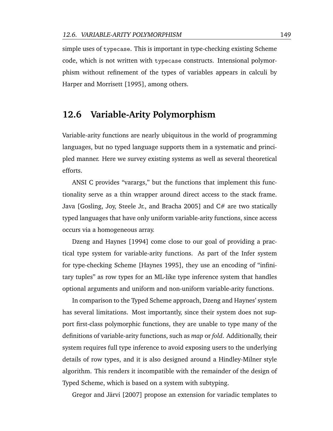simple uses of typecase. This is important in type-checking existing Scheme code, which is not written with typecase constructs. Intensional polymorphism without refinement of the types of variables appears in calculi by [Harper and Morrisett](#page-174-3) [\[1995\]](#page-174-3), among others.

### **12.6 Variable-Arity Polymorphism**

Variable-arity functions are nearly ubiquitous in the world of programming languages, but no typed language supports them in a systematic and principled manner. Here we survey existing systems as well as several theoretical efforts.

ANSI C provides "varargs," but the functions that implement this functionality serve as a thin wrapper around direct access to the stack frame. Java [\[Gosling, Joy, Steele Jr., and Bracha](#page-174-4) [2005\]](#page-174-4) and C# are two statically typed languages that have only uniform variable-arity functions, since access occurs via a homogeneous array.

[Dzeng and Haynes](#page-172-2) [\[1994\]](#page-172-2) come close to our goal of providing a practical type system for variable-arity functions. As part of the Infer system for type-checking Scheme [\[Haynes](#page-175-4) [1995\]](#page-175-4), they use an encoding of "infinitary tuples" as row types for an ML-like type inference system that handles optional arguments and uniform and non-uniform variable-arity functions.

In comparison to the Typed Scheme approach, Dzeng and Haynes' system has several limitations. Most importantly, since their system does not support first-class polymorphic functions, they are unable to type many of the definitions of variable-arity functions, such as *map* or *fold*. Additionally, their system requires full type inference to avoid exposing users to the underlying details of row types, and it is also designed around a Hindley-Milner style algorithm. This renders it incompatible with the remainder of the design of Typed Scheme, which is based on a system with subtyping.

Gregor and Järvi [\[2007\]](#page-174-5) propose an extension for variadic templates to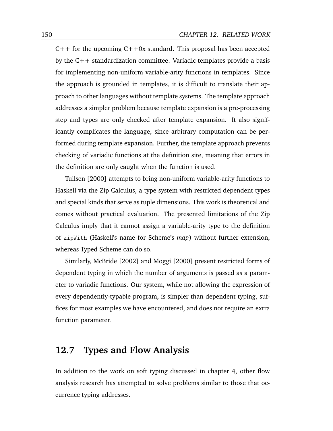$C++$  for the upcoming  $C++0x$  standard. This proposal has been accepted by the C++ standardization committee. Variadic templates provide a basis for implementing non-uniform variable-arity functions in templates. Since the approach is grounded in templates, it is difficult to translate their approach to other languages without template systems. The template approach addresses a simpler problem because template expansion is a pre-processing step and types are only checked after template expansion. It also significantly complicates the language, since arbitrary computation can be performed during template expansion. Further, the template approach prevents checking of variadic functions at the definition site, meaning that errors in the definition are only caught when the function is used.

[Tullsen](#page-180-2) [\[2000\]](#page-180-2) attempts to bring non-uniform variable-arity functions to Haskell via the Zip Calculus, a type system with restricted dependent types and special kinds that serve as tuple dimensions. This work is theoretical and comes without practical evaluation. The presented limitations of the Zip Calculus imply that it cannot assign a variable-arity type to the definition of zipWith (Haskell's name for Scheme's *map*) without further extension, whereas Typed Scheme can do so.

Similarly, [McBride](#page-176-1) [\[2002\]](#page-176-1) and [Moggi](#page-177-2) [\[2000\]](#page-177-2) present restricted forms of dependent typing in which the number of arguments is passed as a parameter to variadic functions. Our system, while not allowing the expression of every dependently-typable program, is simpler than dependent typing, suffices for most examples we have encountered, and does not require an extra function parameter.

### **12.7 Types and Flow Analysis**

In addition to the work on soft typing discussed in chapter [4,](#page-44-0) other flow analysis research has attempted to solve problems similar to those that occurrence typing addresses.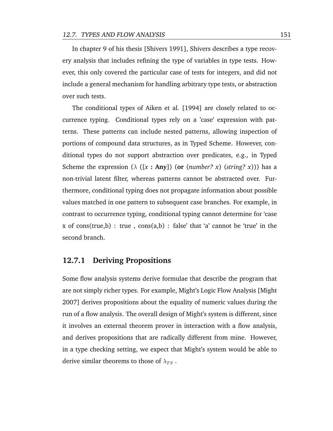In chapter 9 of his thesis [\[Shivers](#page-178-3) [1991\]](#page-178-3), Shivers describes a type recovery analysis that includes refining the type of variables in type tests. However, this only covered the particular case of tests for integers, and did not include a general mechanism for handling arbitrary type tests, or abstraction over such tests.

The conditional types of [Aiken et al.](#page-170-3) [\[1994\]](#page-170-3) are closely related to occurrence typing. Conditional types rely on a 'case' expression with patterns. These patterns can include nested patterns, allowing inspection of portions of compound data structures, as in Typed Scheme. However, conditional types do not support abstraction over predicates, e.g., in Typed Scheme the expression ( $\lambda$  ([x : Any]) (or (*number? x*) (*string? x*))) has a non-trivial latent filter, whereas patterns cannot be abstracted over. Furthermore, conditional typing does not propagate information about possible values matched in one pattern to subsequent case branches. For example, in contrast to occurrence typing, conditional typing cannot determine for 'case x of cons(true,b) : true,  $cons(a,b)$ : false' that 'a' cannot be 'true' in the second branch.

#### **12.7.1 Deriving Propositions**

Some flow analysis systems derive formulae that describe the program that are not simply richer types. For example, Might's Logic Flow Analysis [\[Might](#page-177-3) [2007\]](#page-177-3) derives propositions about the equality of numeric values during the run of a flow analysis. The overall design of Might's system is different, since it involves an external theorem prover in interaction with a flow analysis, and derives propositions that are radically different from mine. However, in a type checking setting, we expect that Might's system would be able to derive similar theorems to those of  $\lambda_{TS}$ .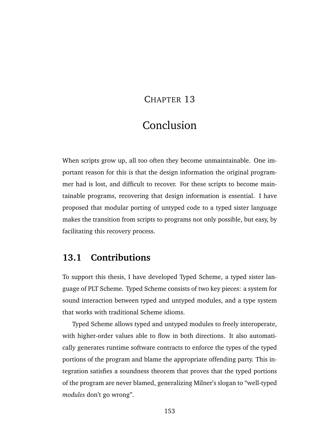### CHAPTER 13

# Conclusion

When scripts grow up, all too often they become unmaintainable. One important reason for this is that the design information the original programmer had is lost, and difficult to recover. For these scripts to become maintainable programs, recovering that design information is essential. I have proposed that modular porting of untyped code to a typed sister language makes the transition from scripts to programs not only possible, but easy, by facilitating this recovery process.

### **13.1 Contributions**

To support this thesis, I have developed Typed Scheme, a typed sister language of PLT Scheme. Typed Scheme consists of two key pieces: a system for sound interaction between typed and untyped modules, and a type system that works with traditional Scheme idioms.

Typed Scheme allows typed and untyped modules to freely interoperate, with higher-order values able to flow in both directions. It also automatically generates runtime software contracts to enforce the types of the typed portions of the program and blame the appropriate offending party. This integration satisfies a soundness theorem that proves that the typed portions of the program are never blamed, generalizing Milner's slogan to "well-typed *modules* don't go wrong".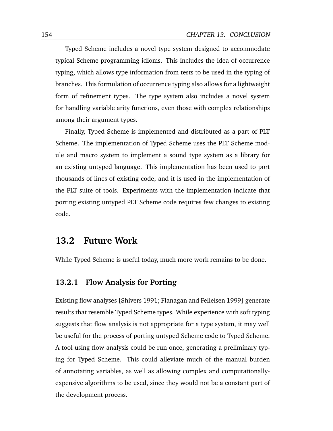Typed Scheme includes a novel type system designed to accommodate typical Scheme programming idioms. This includes the idea of occurrence typing, which allows type information from tests to be used in the typing of branches. This formulation of occurrence typing also allows for a lightweight form of refinement types. The type system also includes a novel system for handling variable arity functions, even those with complex relationships among their argument types.

Finally, Typed Scheme is implemented and distributed as a part of PLT Scheme. The implementation of Typed Scheme uses the PLT Scheme module and macro system to implement a sound type system as a library for an existing untyped language. This implementation has been used to port thousands of lines of existing code, and it is used in the implementation of the PLT suite of tools. Experiments with the implementation indicate that porting existing untyped PLT Scheme code requires few changes to existing code.

### **13.2 Future Work**

While Typed Scheme is useful today, much more work remains to be done.

#### **13.2.1 Flow Analysis for Porting**

Existing flow analyses [\[Shivers](#page-178-3) [1991;](#page-178-3) [Flanagan and Felleisen](#page-173-1) [1999\]](#page-173-1) generate results that resemble Typed Scheme types. While experience with soft typing suggests that flow analysis is not appropriate for a type system, it may well be useful for the process of porting untyped Scheme code to Typed Scheme. A tool using flow analysis could be run once, generating a preliminary typing for Typed Scheme. This could alleviate much of the manual burden of annotating variables, as well as allowing complex and computationallyexpensive algorithms to be used, since they would not be a constant part of the development process.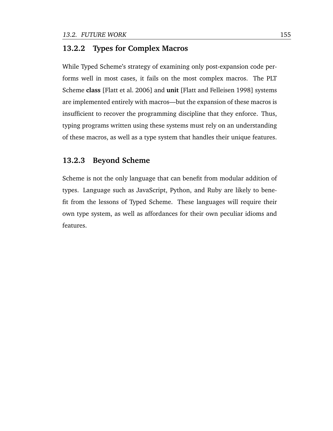#### **13.2.2 Types for Complex Macros**

While Typed Scheme's strategy of examining only post-expansion code performs well in most cases, it fails on the most complex macros. The PLT Scheme **class** [\[Flatt et al.](#page-173-2) [2006\]](#page-173-2) and **unit** [\[Flatt and Felleisen](#page-173-3) [1998\]](#page-173-3) systems are implemented entirely with macros—but the expansion of these macros is insufficient to recover the programming discipline that they enforce. Thus, typing programs written using these systems must rely on an understanding of these macros, as well as a type system that handles their unique features.

#### **13.2.3 Beyond Scheme**

Scheme is not the only language that can benefit from modular addition of types. Language such as JavaScript, Python, and Ruby are likely to benefit from the lessons of Typed Scheme. These languages will require their own type system, as well as affordances for their own peculiar idioms and features.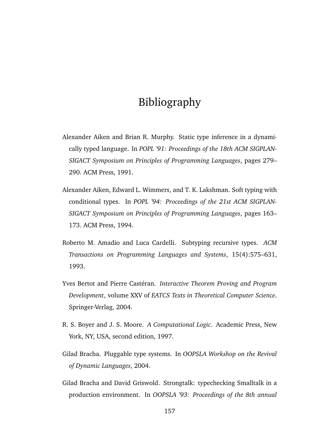# Bibliography

- Alexander Aiken and Brian R. Murphy. Static type inference in a dynamically typed language. In *POPL '91: Proceedings of the 18th ACM SIGPLAN-SIGACT Symposium on Principles of Programming Languages*, pages 279– 290. ACM Press, 1991.
- <span id="page-170-3"></span>Alexander Aiken, Edward L. Wimmers, and T. K. Lakshman. Soft typing with conditional types. In *POPL '94: Proceedings of the 21st ACM SIGPLAN-SIGACT Symposium on Principles of Programming Languages*, pages 163– 173. ACM Press, 1994.
- <span id="page-170-1"></span>Roberto M. Amadio and Luca Cardelli. Subtyping recursive types. *ACM Transactions on Programming Languages and Systems*, 15(4):575–631, 1993.
- <span id="page-170-2"></span>Yves Bertot and Pierre Castéran. *Interactive Theorem Proving and Program Development*, volume XXV of *EATCS Texts in Theoretical Computer Science*. Springer-Verlag, 2004.
- R. S. Boyer and J. S. Moore. *A Computational Logic*. Academic Press, New York, NY, USA, second edition, 1997.
- <span id="page-170-0"></span>Gilad Bracha. Pluggable type systems. In *OOPSLA Workshop on the Revival of Dynamic Languages*, 2004.
- Gilad Bracha and David Griswold. Strongtalk: typechecking Smalltalk in a production environment. In *OOPSLA '93: Proceedings of the 8th annual*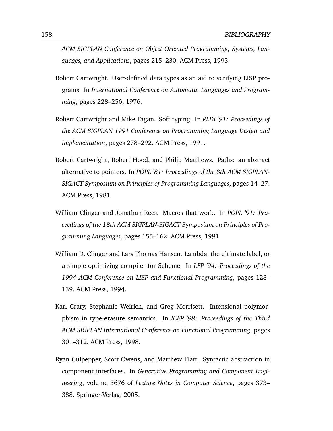*ACM SIGPLAN Conference on Object Oriented Programming, Systems, Languages, and Applications*, pages 215–230. ACM Press, 1993.

- <span id="page-171-0"></span>Robert Cartwright. User-defined data types as an aid to verifying LISP programs. In *International Conference on Automata, Languages and Programming*, pages 228–256, 1976.
- Robert Cartwright and Mike Fagan. Soft typing. In *PLDI '91: Proceedings of the ACM SIGPLAN 1991 Conference on Programming Language Design and Implementation*, pages 278–292. ACM Press, 1991.
- Robert Cartwright, Robert Hood, and Philip Matthews. Paths: an abstract alternative to pointers. In *POPL '81: Proceedings of the 8th ACM SIGPLAN-SIGACT Symposium on Principles of Programming Languages*, pages 14–27. ACM Press, 1981.
- William Clinger and Jonathan Rees. Macros that work. In *POPL '91: Proceedings of the 18th ACM SIGPLAN-SIGACT Symposium on Principles of Programming Languages*, pages 155–162. ACM Press, 1991.
- William D. Clinger and Lars Thomas Hansen. Lambda, the ultimate label, or a simple optimizing compiler for Scheme. In *LFP '94: Proceedings of the 1994 ACM Conference on LISP and Functional Programming*, pages 128– 139. ACM Press, 1994.
- <span id="page-171-1"></span>Karl Crary, Stephanie Weirich, and Greg Morrisett. Intensional polymorphism in type-erasure semantics. In *ICFP '98: Proceedings of the Third ACM SIGPLAN International Conference on Functional Programming*, pages 301–312. ACM Press, 1998.
- Ryan Culpepper, Scott Owens, and Matthew Flatt. Syntactic abstraction in component interfaces. In *Generative Programming and Component Engineering*, volume 3676 of *Lecture Notes in Computer Science*, pages 373– 388. Springer-Verlag, 2005.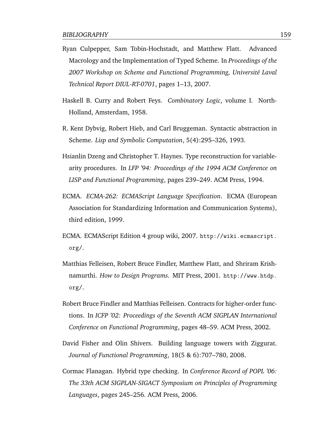- Ryan Culpepper, Sam Tobin-Hochstadt, and Matthew Flatt. Advanced Macrology and the Implementation of Typed Scheme. In *Proceedings of the* 2007 Workshop on Scheme and Functional Programming, Université Laval *Technical Report DIUL-RT-0701*, pages 1–13, 2007.
- <span id="page-172-1"></span>Haskell B. Curry and Robert Feys. *Combinatory Logic*, volume I. North-Holland, Amsterdam, 1958.
- R. Kent Dybvig, Robert Hieb, and Carl Bruggeman. Syntactic abstraction in Scheme. *Lisp and Symbolic Computation*, 5(4):295–326, 1993.
- <span id="page-172-2"></span>Hsianlin Dzeng and Christopher T. Haynes. Type reconstruction for variablearity procedures. In *LFP '94: Proceedings of the 1994 ACM Conference on LISP and Functional Programming*, pages 239–249. ACM Press, 1994.
- ECMA. *ECMA-262: ECMAScript Language Specification*. ECMA (European Association for Standardizing Information and Communication Systems), third edition, 1999.
- ECMA. ECMAScript Edition 4 group wiki, 2007. [http://wiki.ecmascript.](http://wiki.ecmascript.org/) [org/](http://wiki.ecmascript.org/).
- Matthias Felleisen, Robert Bruce Findler, Matthew Flatt, and Shriram Krishnamurthi. *How to Design Programs*. MIT Press, 2001. [http://www.htdp.](http://www.htdp.org/) [org/](http://www.htdp.org/).
- Robert Bruce Findler and Matthias Felleisen. Contracts for higher-order functions. In *ICFP '02: Proceedings of the Seventh ACM SIGPLAN International Conference on Functional Programming*, pages 48–59. ACM Press, 2002.
- David Fisher and Olin Shivers. Building language towers with Ziggurat. *Journal of Functional Programming*, 18(5 & 6):707–780, 2008.
- <span id="page-172-0"></span>Cormac Flanagan. Hybrid type checking. In *Conference Record of POPL '06: The 33th ACM SIGPLAN-SIGACT Symposium on Principles of Programming Languages*, pages 245–256. ACM Press, 2006.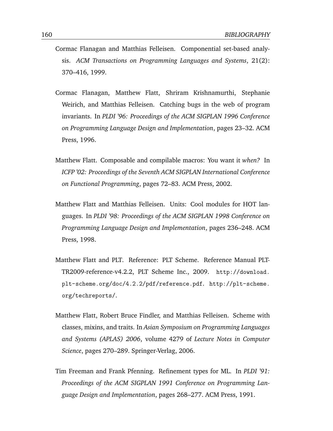- <span id="page-173-1"></span>Cormac Flanagan and Matthias Felleisen. Componential set-based analysis. *ACM Transactions on Programming Languages and Systems*, 21(2): 370–416, 1999.
- Cormac Flanagan, Matthew Flatt, Shriram Krishnamurthi, Stephanie Weirich, and Matthias Felleisen. Catching bugs in the web of program invariants. In *PLDI '96: Proceedings of the ACM SIGPLAN 1996 Conference on Programming Language Design and Implementation*, pages 23–32. ACM Press, 1996.
- Matthew Flatt. Composable and compilable macros: You want it *when?* In *ICFP '02: Proceedings of the Seventh ACM SIGPLAN International Conference on Functional Programming*, pages 72–83. ACM Press, 2002.
- <span id="page-173-3"></span>Matthew Flatt and Matthias Felleisen. Units: Cool modules for HOT languages. In *PLDI '98: Proceedings of the ACM SIGPLAN 1998 Conference on Programming Language Design and Implementation*, pages 236–248. ACM Press, 1998.
- Matthew Flatt and PLT. Reference: PLT Scheme. Reference Manual PLT-TR2009-reference-v4.2.2, PLT Scheme Inc., 2009. [http://download.](http://download.plt-scheme.org/doc/4.2.2/pdf/reference.pdf) [plt-scheme.org/doc/4.2.2/pdf/reference.pdf](http://download.plt-scheme.org/doc/4.2.2/pdf/reference.pdf). [http://plt-scheme.](http://plt-scheme.org/techreports/) [org/techreports/](http://plt-scheme.org/techreports/).
- <span id="page-173-2"></span>Matthew Flatt, Robert Bruce Findler, and Matthias Felleisen. Scheme with classes, mixins, and traits. In *Asian Symposium on Programming Languages and Systems (APLAS) 2006*, volume 4279 of *Lecture Notes in Computer Science*, pages 270–289. Springer-Verlag, 2006.
- <span id="page-173-0"></span>Tim Freeman and Frank Pfenning. Refinement types for ML. In *PLDI '91: Proceedings of the ACM SIGPLAN 1991 Conference on Programming Language Design and Implementation*, pages 268–277. ACM Press, 1991.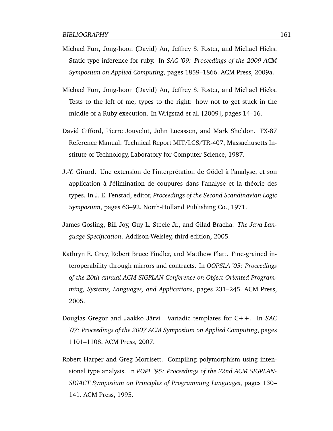- <span id="page-174-0"></span>Michael Furr, Jong-hoon (David) An, Jeffrey S. Foster, and Michael Hicks. Static type inference for ruby. In *SAC '09: Proceedings of the 2009 ACM Symposium on Applied Computing*, pages 1859–1866. ACM Press, 2009a.
- <span id="page-174-1"></span>Michael Furr, Jong-hoon (David) An, Jeffrey S. Foster, and Michael Hicks. Tests to the left of me, types to the right: how not to get stuck in the middle of a Ruby execution. In [Wrigstad et al.](#page-180-1) [\[2009\]](#page-180-1), pages 14–16.
- <span id="page-174-2"></span>David Gifford, Pierre Jouvelot, John Lucassen, and Mark Sheldon. FX-87 Reference Manual. Technical Report MIT/LCS/TR-407, Massachusetts Institute of Technology, Laboratory for Computer Science, 1987.
- J.-Y. Girard. Une extension de l'interprétation de Gödel à l'analyse, et son application à l'élimination de coupures dans l'analyse et la théorie des types. In J. E. Fenstad, editor, *Proceedings of the Second Scandinavian Logic Symposium*, pages 63–92. North-Holland Publishing Co., 1971.
- <span id="page-174-4"></span>James Gosling, Bill Joy, Guy L. Steele Jr., and Gilad Bracha. *The Java Language Specification*. Addison-Welsley, third edition, 2005.
- Kathryn E. Gray, Robert Bruce Findler, and Matthew Flatt. Fine-grained interoperability through mirrors and contracts. In *OOPSLA '05: Proceedings of the 20th annual ACM SIGPLAN Conference on Object Oriented Programming, Systems, Languages, and Applications*, pages 231–245. ACM Press, 2005.
- <span id="page-174-5"></span>Douglas Gregor and Jaakko Järvi. Variadic templates for C++. In SAC *'07: Proceedings of the 2007 ACM Symposium on Applied Computing*, pages 1101–1108. ACM Press, 2007.
- <span id="page-174-3"></span>Robert Harper and Greg Morrisett. Compiling polymorphism using intensional type analysis. In *POPL '95: Proceedings of the 22nd ACM SIGPLAN-SIGACT Symposium on Principles of Programming Languages*, pages 130– 141. ACM Press, 1995.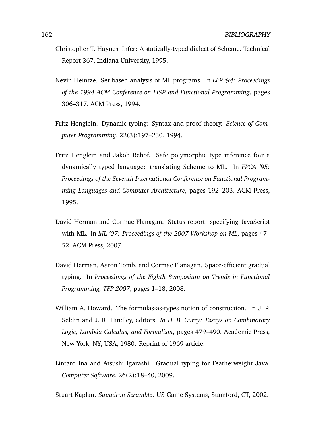- <span id="page-175-4"></span>Christopher T. Haynes. Infer: A statically-typed dialect of Scheme. Technical Report 367, Indiana University, 1995.
- Nevin Heintze. Set based analysis of ML programs. In *LFP '94: Proceedings of the 1994 ACM Conference on LISP and Functional Programming*, pages 306–317. ACM Press, 1994.
- Fritz Henglein. Dynamic typing: Syntax and proof theory. *Science of Computer Programming*, 22(3):197–230, 1994.
- Fritz Henglein and Jakob Rehof. Safe polymorphic type inference foir a dynamically typed language: translating Scheme to ML. In *FPCA '95: Proceedings of the Seventh International Conference on Functional Programming Languages and Computer Architecture*, pages 192–203. ACM Press, 1995.
- David Herman and Cormac Flanagan. Status report: specifying JavaScript with ML. In *ML '07: Proceedings of the 2007 Workshop on ML*, pages 47– 52. ACM Press, 2007.
- <span id="page-175-1"></span>David Herman, Aaron Tomb, and Cormac Flanagan. Space-efficient gradual typing. In *Proceedings of the Eighth Symposium on Trends in Functional Programming, TFP 2007*, pages 1–18, 2008.
- <span id="page-175-3"></span>William A. Howard. The formulas-as-types notion of construction. In J. P. Seldin and J. R. Hindley, editors, *To H. B. Curry: Essays on Combinatory Logic, Lambda Calculus, and Formalism*, pages 479–490. Academic Press, New York, NY, USA, 1980. Reprint of 1969 article.
- <span id="page-175-2"></span>Lintaro Ina and Atsushi Igarashi. Gradual typing for Featherweight Java. *Computer Software*, 26(2):18–40, 2009.

<span id="page-175-0"></span>Stuart Kaplan. *Squadron Scramble*. US Game Systems, Stamford, CT, 2002.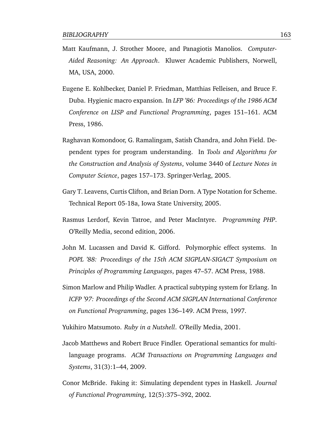- Matt Kaufmann, J. Strother Moore, and Panagiotis Manolios. *Computer-Aided Reasoning: An Approach*. Kluwer Academic Publishers, Norwell, MA, USA, 2000.
- Eugene E. Kohlbecker, Daniel P. Friedman, Matthias Felleisen, and Bruce F. Duba. Hygienic macro expansion. In *LFP '86: Proceedings of the 1986 ACM Conference on LISP and Functional Programming*, pages 151–161. ACM Press, 1986.
- <span id="page-176-0"></span>Raghavan Komondoor, G. Ramalingam, Satish Chandra, and John Field. Dependent types for program understanding. In *Tools and Algorithms for the Construction and Analysis of Systems*, volume 3440 of *Lecture Notes in Computer Science*, pages 157–173. Springer-Verlag, 2005.
- Gary T. Leavens, Curtis Clifton, and Brian Dorn. A Type Notation for Scheme. Technical Report 05-18a, Iowa State University, 2005.
- Rasmus Lerdorf, Kevin Tatroe, and Peter MacIntyre. *Programming PHP*. O'Reilly Media, second edition, 2006.
- John M. Lucassen and David K. Gifford. Polymorphic effect systems. In *POPL '88: Proceedings of the 15th ACM SIGPLAN-SIGACT Symposium on Principles of Programming Languages*, pages 47–57. ACM Press, 1988.
- Simon Marlow and Philip Wadler. A practical subtyping system for Erlang. In *ICFP '97: Proceedings of the Second ACM SIGPLAN International Conference on Functional Programming*, pages 136–149. ACM Press, 1997.

Yukihiro Matsumoto. *Ruby in a Nutshell*. O'Reilly Media, 2001.

- Jacob Matthews and Robert Bruce Findler. Operational semantics for multilanguage programs. *ACM Transactions on Programming Languages and Systems*, 31(3):1–44, 2009.
- <span id="page-176-1"></span>Conor McBride. Faking it: Simulating dependent types in Haskell. *Journal of Functional Programming*, 12(5):375–392, 2002.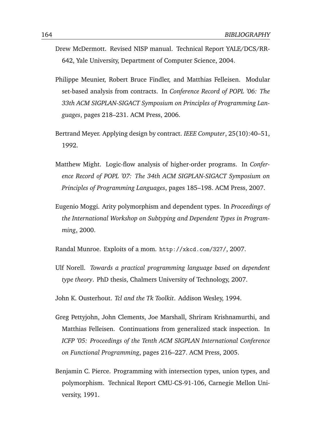- Drew McDermott. Revised NISP manual. Technical Report YALE/DCS/RR-642, Yale University, Department of Computer Science, 2004.
- Philippe Meunier, Robert Bruce Findler, and Matthias Felleisen. Modular set-based analysis from contracts. In *Conference Record of POPL '06: The 33th ACM SIGPLAN-SIGACT Symposium on Principles of Programming Languages*, pages 218–231. ACM Press, 2006.
- Bertrand Meyer. Applying design by contract. *IEEE Computer*, 25(10):40–51, 1992.
- <span id="page-177-3"></span>Matthew Might. Logic-flow analysis of higher-order programs. In *Conference Record of POPL '07: The 34th ACM SIGPLAN-SIGACT Symposium on Principles of Programming Languages*, pages 185–198. ACM Press, 2007.
- <span id="page-177-2"></span>Eugenio Moggi. Arity polymorphism and dependent types. In *Proceedings of the International Workshop on Subtyping and Dependent Types in Programming*, 2000.
- Randal Munroe. Exploits of a mom. <http://xkcd.com/327/>, 2007.
- <span id="page-177-1"></span>Ulf Norell. *Towards a practical programming language based on dependent type theory*. PhD thesis, Chalmers University of Technology, 2007.
- John K. Ousterhout. *Tcl and the Tk Toolkit*. Addison Wesley, 1994.
- Greg Pettyjohn, John Clements, Joe Marshall, Shriram Krishnamurthi, and Matthias Felleisen. Continuations from generalized stack inspection. In *ICFP '05: Proceedings of the Tenth ACM SIGPLAN International Conference on Functional Programming*, pages 216–227. ACM Press, 2005.
- <span id="page-177-0"></span>Benjamin C. Pierce. Programming with intersection types, union types, and polymorphism. Technical Report CMU-CS-91-106, Carnegie Mellon University, 1991.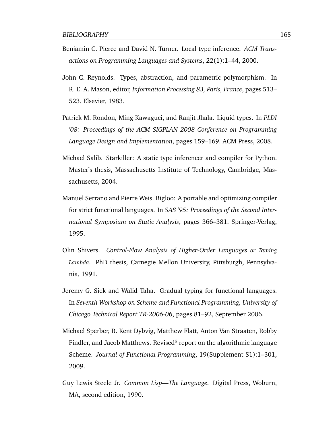- Benjamin C. Pierce and David N. Turner. Local type inference. *ACM Transactions on Programming Languages and Systems*, 22(1):1–44, 2000.
- <span id="page-178-1"></span>John C. Reynolds. Types, abstraction, and parametric polymorphism. In R. E. A. Mason, editor, *Information Processing 83, Paris, France*, pages 513– 523. Elsevier, 1983.
- <span id="page-178-2"></span>Patrick M. Rondon, Ming Kawaguci, and Ranjit Jhala. Liquid types. In *PLDI '08: Proceedings of the ACM SIGPLAN 2008 Conference on Programming Language Design and Implementation*, pages 159–169. ACM Press, 2008.
- Michael Salib. Starkiller: A static type inferencer and compiler for Python. Master's thesis, Massachusetts Institute of Technology, Cambridge, Massachusetts, 2004.
- Manuel Serrano and Pierre Weis. Bigloo: A portable and optimizing compiler for strict functional languages. In *SAS '95: Proceedings of the Second International Symposium on Static Analysis*, pages 366–381. Springer-Verlag, 1995.
- <span id="page-178-3"></span>Olin Shivers. *Control-Flow Analysis of Higher-Order Languages or Taming Lambda*. PhD thesis, Carnegie Mellon University, Pittsburgh, Pennsylvania, 1991.
- <span id="page-178-0"></span>Jeremy G. Siek and Walid Taha. Gradual typing for functional languages. In *Seventh Workshop on Scheme and Functional Programming, University of Chicago Technical Report TR-2006-06*, pages 81–92, September 2006.
- Michael Sperber, R. Kent Dybvig, Matthew Flatt, Anton Van Straaten, Robby Findler, and Jacob Matthews. Revised $^6$  report on the algorithmic language Scheme. *Journal of Functional Programming*, 19(Supplement S1):1–301, 2009.
- Guy Lewis Steele Jr. *Common Lisp—The Language*. Digital Press, Woburn, MA, second edition, 1990.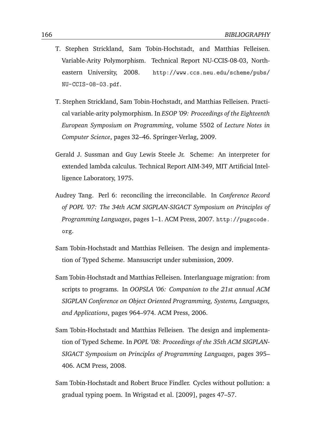- T. Stephen Strickland, Sam Tobin-Hochstadt, and Matthias Felleisen. Variable-Arity Polymorphism. Technical Report NU-CCIS-08-03, Northeastern University, 2008. [http://www.ccs.neu.edu/scheme/pubs/](http://www.ccs.neu.edu/scheme/pubs/NU-CCIS-08-03.pdf) [NU-CCIS-08-03.pdf](http://www.ccs.neu.edu/scheme/pubs/NU-CCIS-08-03.pdf).
- T. Stephen Strickland, Sam Tobin-Hochstadt, and Matthias Felleisen. Practical variable-arity polymorphism. In *ESOP '09: Proceedings of the Eighteenth European Symposium on Programming*, volume 5502 of *Lecture Notes in Computer Science*, pages 32–46. Springer-Verlag, 2009.
- Gerald J. Sussman and Guy Lewis Steele Jr. Scheme: An interpreter for extended lambda calculus. Technical Report AIM-349, MIT Artificial Intelligence Laboratory, 1975.
- Audrey Tang. Perl 6: reconciling the irreconcilable. In *Conference Record of POPL '07: The 34th ACM SIGPLAN-SIGACT Symposium on Principles of Programming Languages*, pages 1–1. ACM Press, 2007. [http://pugscode.](http://pugscode.org) [org](http://pugscode.org).
- Sam Tobin-Hochstadt and Matthias Felleisen. The design and implementation of Typed Scheme. Mansuscript under submission, 2009.
- <span id="page-179-0"></span>Sam Tobin-Hochstadt and Matthias Felleisen. Interlanguage migration: from scripts to programs. In *OOPSLA '06: Companion to the 21st annual ACM SIGPLAN Conference on Object Oriented Programming, Systems, Languages, and Applications*, pages 964–974. ACM Press, 2006.
- Sam Tobin-Hochstadt and Matthias Felleisen. The design and implementation of Typed Scheme. In *POPL '08: Proceedings of the 35th ACM SIGPLAN-SIGACT Symposium on Principles of Programming Languages*, pages 395– 406. ACM Press, 2008.
- Sam Tobin-Hochstadt and Robert Bruce Findler. Cycles without pollution: a gradual typing poem. In [Wrigstad et al.](#page-180-1) [\[2009\]](#page-180-1), pages 47–57.